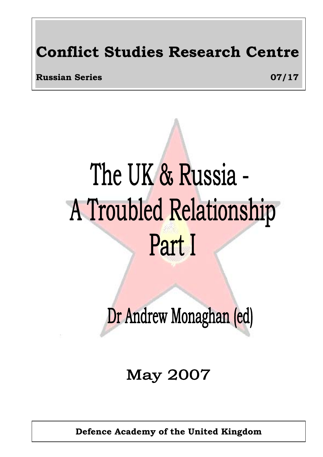# **Conflict Studies Research Centre**

**Russian Series 07/17** 

# The UK & Russia -A Troubled Relationship Part I

Dr Andrew Monaghan (ed)

**May 2007** 

**Defence Academy of the United Kingdom**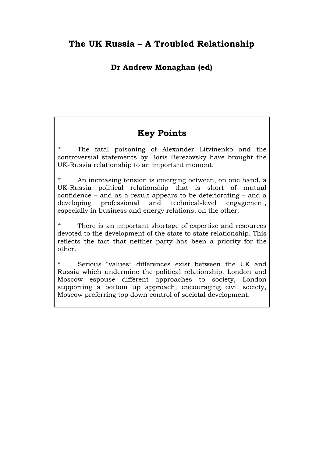# **The UK Russia – A Troubled Relationship**

## **Dr Andrew Monaghan (ed)**

# **Key Points**

The fatal poisoning of Alexander Litvinenko and the controversial statements by Boris Berezovsky have brought the UK-Russia relationship to an important moment.

An increasing tension is emerging between, on one hand, a UK-Russia political relationship that is short of mutual confidence – and as a result appears to be deteriorating – and a developing professional and technical-level engagement, especially in business and energy relations, on the other.

There is an important shortage of expertise and resources devoted to the development of the state to state relationship. This reflects the fact that neither party has been a priority for the other.

Serious "values" differences exist between the UK and Russia which undermine the political relationship. London and Moscow espouse different approaches to society, London supporting a bottom up approach, encouraging civil society, Moscow preferring top down control of societal development.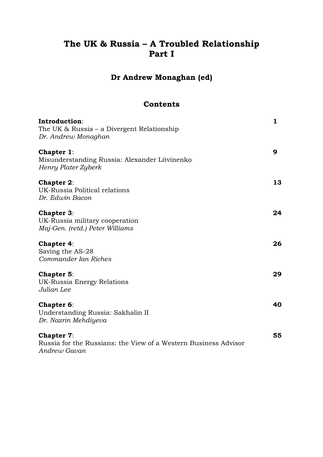# **The UK & Russia – A Troubled Relationship Part I**

# **Dr Andrew Monaghan (ed)**

#### **Contents**

| Introduction:<br>The UK $& Russia - a Divergent Relationship$<br>Dr. Andrew Monaghan                 | 1  |
|------------------------------------------------------------------------------------------------------|----|
| <b>Chapter 1:</b><br>Misunderstanding Russia: Alexander Litvinenko<br>Henry Plater Zyberk            | 9  |
| <b>Chapter 2:</b><br>UK-Russia Political relations<br>Dr. Edwin Bacon                                | 13 |
| <b>Chapter 3:</b><br>UK-Russia military cooperation<br>Maj-Gen. (retd.) Peter Williams               | 24 |
| <b>Chapter 4:</b><br>Saving the AS-28<br>Commander Ian Riches                                        | 26 |
| Chapter 5:<br>UK-Russia Energy Relations<br>Julian Lee                                               | 29 |
| Chapter 6:<br>Understanding Russia: Sakhalin II<br>Dr. Nazrin Mehdiyeva                              | 40 |
| <b>Chapter 7:</b><br>Russia for the Russians: the View of a Western Business Advisor<br>Andrew Gavan | 55 |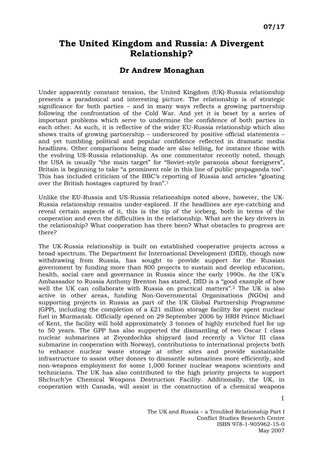# **The United Kingdom and Russia: A Divergent Relationship?**

#### **Dr Andrew Monaghan**

Under apparently constant tension, the United Kingdom (UK)-Russia relationship presents a paradoxical and interesting picture. The relationship is of strategic significance for both parties – and in many ways reflects a growing partnership following the confrontation of the Cold War. And yet it is beset by a series of important problems which serve to undermine the confidence of both parties in each other. As such, it is reflective of the wider EU-Russia relationship which also shows traits of growing partnership – underscored by positive official statements – and yet tumbling political and popular confidence reflected in dramatic media headlines. Other comparisons being made are also telling, for instance those with the evolving US-Russia relationship. As one commentator recently noted, though the USA is usually "the main target" for "Soviet-style paranoia about foreigners", Britain is beginning to take "a prominent role in this line of public propaganda too". This has included criticism of the BBC's reporting of Russia and articles "gloating over the British hostages captured by Iran".[1](#page-10-0)

Unlike the EU-Russia and US-Russia relationships noted above, however, the UK-Russia relationship remains under-explored. If the headlines are eye-catching and reveal certain aspects of it, this is the tip of the iceberg, both in terms of the cooperation and even the difficulties in the relationship. What are the key drivers in the relationship? What cooperation has there been? What obstacles to progress are there?

The UK-Russia relationship is built on established cooperative projects across a broad spectrum. The Department for International Development (DfID), though now withdrawing from Russia, has sought to provide support for the Russian government by funding more than 800 projects to sustain and develop education, health, social care and governance in Russia since the early 1990s. As the UK's Ambassador to Russia Anthony Brenton has stated, DfID is a "good example of how well the UK can collaborate with Russia on practical matters".[2](#page-10-1) The UK is also active in other areas, funding Non-Governmental Organisations (NGOs) and supporting projects in Russia as part of the UK Global Partnership Programme (GPP), including the completion of a  $£21$  million storage facility for spent nuclear fuel in Murmansk. Officially opened on 29 September 2006 by HRH Prince Michael of Kent, the facility will hold approximately 3 tonnes of highly enriched fuel for up to 50 years. The GPP has also supported the dismantling of two Oscar I class nuclear submarines at Zvyozdochka shipyard (and recently a Victor III class submarine in cooperation with Norway), contributions to international projects both to enhance nuclear waste storage at other sites and provide sustainable infrastructure to assist other donors to dismantle submarines more efficiently, and non-weapons employment for some 1,000 former nuclear weapons scientists and technicians. The UK has also contributed to the high priority projects to support Shchuch'ye Chemical Weapons Destruction Facility. Additionally, the UK, in cooperation with Canada, will assist in the construction of a chemical weapons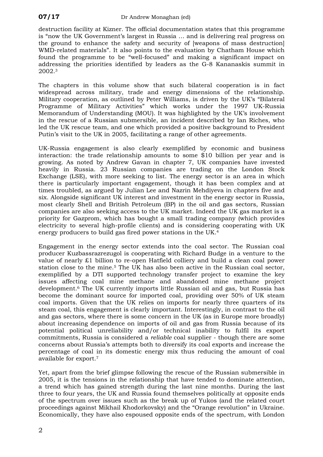destruction facility at Kizner. The official documentation states that this programme is "now the UK Government's largest in Russia … and is delivering real progress on the ground to enhance the safety and security of [weapons of mass destruction] WMD-related materials". It also points to the evaluation by Chatham House which found the programme to be "well-focused" and making a significant impact on addressing the priorities identified by leaders as the G-8 Kananaskis summit in 2002.[3](#page-10-2)

The chapters in this volume show that such bilateral cooperation is in fact widespread across military, trade and energy dimensions of the relationship. Military cooperation, as outlined by Peter Williams, is driven by the UK's "Bilateral Programme of Military Activities" which works under the 1997 UK-Russia Memorandum of Understanding (MOU). It was highlighted by the UK's involvement in the rescue of a Russian submersible, an incident described by Ian Riches, who led the UK rescue team, and one which provided a positive background to President Putin's visit to the UK in 2005, facilitating a range of other agreements.

UK-Russia engagement is also clearly exemplified by economic and business interaction: the trade relationship amounts to some \$10 billion per year and is growing. As noted by Andrew Gavan in chapter 7, UK companies have invested heavily in Russia. 23 Russian companies are trading on the London Stock Exchange (LSE), with more seeking to list. The energy sector is an area in which there is particularly important engagement, though it has been complex and at times troubled, as argued by Julian Lee and Nazrin Mehdiyeva in chapters five and six. Alongside significant UK interest and investment in the energy sector in Russia, most clearly Shell and British Petroleum (BP) in the oil and gas sectors, Russian companies are also seeking access to the UK market. Indeed the UK gas market is a priority for Gazprom, which has bought a small trading company (which provides electricity to several high-profile clients) and is considering cooperating with UK energy producers to build gas fired power stations in the UK.[4](#page-10-3)

Engagement in the energy sector extends into the coal sector. The Russian coal producer Kuzbassrazrezugol is cooperating with Richard Budge in a venture to the value of nearly £1 billion to re-open Hatfield colliery and build a clean coal power station close to the mine.[5](#page-10-4) The UK has also been active in the Russian coal sector, exemplified by a DTI supported technology transfer project to examine the key issues affecting coal mine methane and abandoned mine methane project development.[6](#page-10-5) The UK currently imports little Russian oil and gas, but Russia has become the dominant source for imported coal, providing over 50% of UK steam coal imports. Given that the UK relies on imports for nearly three quarters of its steam coal, this engagement is clearly important. Interestingly, in contrast to the oil and gas sectors, where there is some concern in the UK (as in Europe more broadly) about increasing dependence on imports of oil and gas from Russia because of its potential political unreliability and/or technical inability to fulfil its export commitments, Russia is considered a *reliable* coal supplier - though there are some concerns about Russia's attempts both to diversify its coal exports and increase the percentage of coal in its domestic energy mix thus reducing the amount of coal available for export.[7](#page-10-6)

Yet, apart from the brief glimpse following the rescue of the Russian submersible in 2005, it is the tensions in the relationship that have tended to dominate attention, a trend which has gained strength during the last nine months. During the last three to four years, the UK and Russia found themselves politically at opposite ends of the spectrum over issues such as the break up of Yukos (and the related court proceedings against Mikhail Khodorkovsky) and the "Orange revolution" in Ukraine. Economically, they have also espoused opposite ends of the spectrum, with London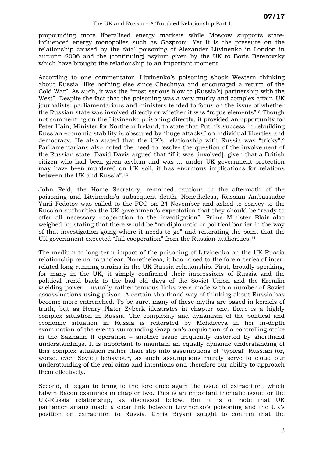propounding more liberalised energy markets while Moscow supports stateinfluenced energy monopolies such as Gazprom. Yet it is the pressure on the relationship caused by the fatal poisoning of Alexander Litvinenko in London in autumn 2006 and the (continuing) asylum given by the UK to Boris Berezovsky which have brought the relationship to an important moment.

According to one commentator, Litvinenko's poisoning shook Western thinking about Russia "like nothing else since Chechnya and encouraged a return of the Cold War". As such, it was the "most serious blow to (Russia's) partnership with the West". Despite the fact that the poisoning was a very murky and complex affair, UK journalists, parliamentarians and ministers tended to focus on the issue of whether the Russian state was involved directly or whether it was "rogue elements".[8](#page-10-7) Though not commenting on the Litvinenko poisoning directly, it provided an opportunity for Peter Hain, Minister for Northern Ireland, to state that Putin's success in rebuilding Russian economic stability is obscured by "huge attacks" on individual liberties and democracy. He also stated that the UK's relationship with Russia was "tricky".[9](#page-10-8) Parliamentarians also noted the need to resolve the question of the involvement of the Russian state. David Davis argued that "if it was [involved], given that a British citizen who had been given asylum and was … under UK government protection may have been murdered on UK soil, it has enormous implications for relations between the UK and Russia".[10](#page-10-9)

John Reid, the Home Secretary, remained cautious in the aftermath of the poisoning and Litvinenko's subsequent death. Nonetheless, Russian Ambassador Yurii Fedotov was called to the FCO on 24 November and asked to convey to the Russian authorities the UK government's expectation that they should be "ready to offer all necessary cooperation to the investigation". Prime Minister Blair also weighed in, stating that there would be "no diplomatic or political barrier in the way of that investigation going where it needs to go" and reiterating the point that the UK government expected "full cooperation" from the Russian authorities.<sup>[11](#page-10-10)</sup>

The medium-to-long term impact of the poisoning of Litvinenko on the UK-Russia relationship remains unclear. Nonetheless, it has raised to the fore a series of interrelated long-running strains in the UK-Russia relationship. First, broadly speaking, for many in the UK, it simply confirmed their impressions of Russia and the political trend back to the bad old days of the Soviet Union and the Kremlin wielding power – usually rather tenuous links were made with a number of Soviet assassinations using poison. A certain shorthand way of thinking about Russia has become more entrenched. To be sure, many of these myths are based in kernels of truth, but as Henry Plater Zyberk illustrates in chapter one, there is a highly complex situation in Russia. The complexity and dynamism of the political and economic situation in Russia is reiterated by Mehdiyeva in her in-depth examination of the events surrounding Gazprom's acquisition of a controlling stake in the Sakhalin II operation – another issue frequently distorted by shorthand understandings. It is important to maintain an equally dynamic understanding of this complex situation rather than slip into assumptions of "typical" Russian (or, worse, even Soviet) behaviour, as such assumptions merely serve to cloud our understanding of the real aims and intentions and therefore our ability to approach them effectively.

Second, it began to bring to the fore once again the issue of extradition, which Edwin Bacon examines in chapter two. This is an important thematic issue for the UK-Russia relationship, as discussed below. But it is of note that UK parliamentarians made a clear link between Litvinenko's poisoning and the UK's position on extradition to Russia. Chris Bryant sought to confirm that the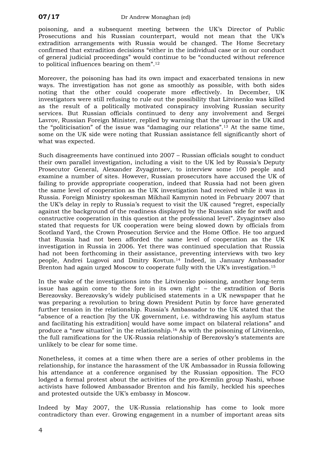poisoning, and a subsequent meeting between the UK's Director of Public Prosecutions and his Russian counterpart, would not mean that the UK's extradition arrangements with Russia would be changed. The Home Secretary confirmed that extradition decisions "either in the individual case or in our conduct of general judicial proceedings" would continue to be "conducted without reference to political influences bearing on them".[12](#page-10-11)

Moreover, the poisoning has had its own impact and exacerbated tensions in new ways. The investigation has not gone as smoothly as possible, with both sides noting that the other could cooperate more effectively. In December, UK investigators were still refusing to rule out the possibility that Litvinenko was killed as the result of a politically motivated conspiracy involving Russian security services. But Russian officials continued to deny any involvement and Sergei Lavrov, Russian Foreign Minister, replied by warning that the uproar in the UK and the "politicisation" of the issue was "damaging our relations".[13](#page-10-12) At the same time, some on the UK side were noting that Russian assistance fell significantly short of what was expected.

Such disagreements have continued into 2007 – Russian officials sought to conduct their own parallel investigation, including a visit to the UK led by Russia's Deputy Prosecutor General, Alexander Zvyagintsev, to interview some 100 people and examine a number of sites. However, Russian prosecutors have accused the UK of failing to provide appropriate cooperation, indeed that Russia had not been given the same level of cooperation as the UK investigation had received while it was in Russia. Foreign Ministry spokesman Mikhail Kamynin noted in February 2007 that the UK's delay in reply to Russia's request to visit the UK caused "regret, especially against the background of the readiness displayed by the Russian side for swift and constructive cooperation in this question at the professional level". Zvyagintsev also stated that requests for UK cooperation were being slowed down by officials from Scotland Yard, the Crown Prosecution Service and the Home Office. He too argued that Russia had not been afforded the same level of cooperation as the UK investigation in Russia in 2006. Yet there was continued speculation that Russia had not been forthcoming in their assistance, preventing interviews with two key people, Andrei Lugovoi and Dmitry Kovtun.[14](#page-10-13) Indeed, in January Ambassador Brenton had again urged Moscow to cooperate fully with the UK's investigation.<sup>[15](#page-10-14)</sup>

In the wake of the investigations into the Litvinenko poisoning, another long-term issue has again come to the fore in its own right – the extradition of Boris Berezovsky. Berezovsky's widely publicised statements in a UK newspaper that he was preparing a revolution to bring down President Putin by force have generated further tension in the relationship. Russia's Ambassador to the UK stated that the "absence of a reaction [by the UK government, i.e. withdrawing his asylum status and facilitating his extradition] would have some impact on bilateral relations" and produce a "new situation" in the relationship.[16](#page-10-15) As with the poisoning of Litvinenko, the full ramifications for the UK-Russia relationship of Berezovsky's statements are unlikely to be clear for some time.

Nonetheless, it comes at a time when there are a series of other problems in the relationship, for instance the harassment of the UK Ambassador in Russia following his attendance at a conference organised by the Russian opposition. The FCO lodged a formal protest about the activities of the pro-Kremlin group Nashi, whose activists have followed Ambassador Brenton and his family, heckled his speeches and protested outside the UK's embassy in Moscow.

Indeed by May 2007, the UK-Russia relationship has come to look more contradictory than ever. Growing engagement in a number of important areas sits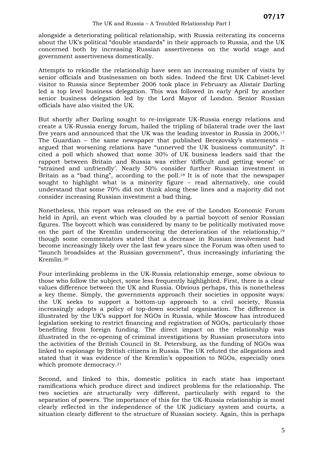alongside a deteriorating political relationship, with Russia reiterating its concerns about the UK's political "double standards" in their approach to Russia, and the UK concerned both by increasing Russian assertiveness on the world stage and government assertiveness domestically.

Attempts to rekindle the relationship have seen an increasing number of visits by senior officials and businessmen on both sides. Indeed the first UK Cabinet-level visitor to Russia since September 2006 took place in February as Alistair Darling led a top level business delegation. This was followed in early April by another senior business delegation led by the Lord Mayor of London. Senior Russian officials have also visited the UK.

But shortly after Darling sought to re-invigorate UK-Russia energy relations and create a UK-Russia energy forum, hailed the tripling of bilateral trade over the last five years and announced that the UK was the leading investor in Russia in 2006,<sup>[17](#page-10-16)</sup> The Guardian – the same newspaper that published Berezovsky's statements – argued that worsening relations have "unnerved the UK business community". It cited a poll which showed that some 30% of UK business leaders said that the rapport between Britain and Russia was either 'difficult and getting worse' or "strained and unfriendly'. Nearly 50% consider further Russian investment in Britain as a "bad thing", according to the poll.<sup>[18](#page-10-17)</sup> It is of note that the newspaper sought to highlight what is a minority figure – read alternatively, one could understand that some 70% did not think along these lines and a majority did not consider increasing Russian investment a bad thing.

Nonetheless, this report was released on the eve of the London Economic Forum held in April, an event which was clouded by a partial boycott of senior Russian figures. The boycott which was considered by many to be politically motivated move on the part of the Kremlin underscoring the deterioration of the relationship,[19](#page-10-18) though some commentators stated that a decrease in Russian involvement had become increasingly likely over the last few years since the Forum was often used to "launch broadsides at the Russian government", thus increasingly infuriating the Kremlin.[20](#page-10-19)

Four interlinking problems in the UK-Russia relationship emerge, some obvious to those who follow the subject, some less frequently highlighted. First, there is a clear values difference between the UK and Russia. Obvious perhaps, this is nonetheless a key theme. Simply, the governments approach their societies in opposite ways: the UK seeks to support a bottom-up approach to a civil society, Russia increasingly adopts a policy of top-down societal organisation. The difference is illustrated by the UK's support for NGOs in Russia, while Moscow has introduced legislation seeking to restrict financing and registration of NGOs, particularly those benefiting from foreign funding. The direct impact on the relationship was illustrated in the re-opening of criminal investigations by Russian prosecutors into the activities of the British Council in St. Petersburg, as the funding of NGOs was linked to espionage by British citizens in Russia. The UK refuted the allegations and stated that it was evidence of the Kremlin's opposition to NGOs, especially ones which promote democracy.<sup>[21](#page-10-20)</sup>

Second, and linked to this, domestic politics in each state has important ramifications which produce direct and indirect problems for the relationship. The two societies are structurally very different, particularly with regard to the separation of powers. The importance of this for the UK-Russia relationship is most clearly reflected in the independence of the UK judiciary system and courts, a situation clearly different to the structure of Russian society. Again, this is perhaps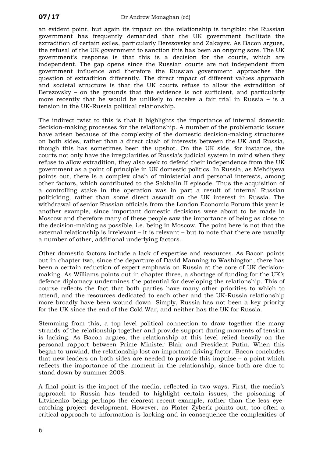an evident point, but again its impact on the relationship is tangible: the Russian government has frequently demanded that the UK government facilitate the extradition of certain exiles, particularly Berezovsky and Zakayev. As Bacon argues, the refusal of the UK government to sanction this has been an ongoing sore. The UK government's response is that this is a decision for the courts, which are independent. The gap opens since the Russian courts are not independent from government influence and therefore the Russian government approaches the question of extradition differently. The direct impact of different values approach and societal structure is that the UK courts refuse to allow the extradition of Berezovsky – on the grounds that the evidence is not sufficient, and particularly more recently that he would be unlikely to receive a fair trial in Russia – is a tension in the UK-Russia political relationship.

The indirect twist to this is that it highlights the importance of internal domestic decision-making processes for the relationship. A number of the problematic issues have arisen because of the complexity of the domestic decision-making structures on both sides, rather than a direct clash of interests between the UK and Russia, though this has sometimes been the upshot. On the UK side, for instance, the courts not only have the irregularities of Russia's judicial system in mind when they refuse to allow extradition, they also seek to defend their independence from the UK government as a point of principle in UK domestic politics. In Russia, as Mehdiyeva points out, there is a complex clash of ministerial and personal interests, among other factors, which contributed to the Sakhalin II episode. Thus the acquisition of a controlling stake in the operation was in part a result of internal Russian politicking, rather than some direct assault on the UK interest in Russia. The withdrawal of senior Russian officials from the London Economic Forum this year is another example, since important domestic decisions were about to be made in Moscow and therefore many of these people saw the importance of being as close to the decision-making as possible, i.e. being in Moscow. The point here is not that the external relationship is irrelevant – it is relevant – but to note that there are usually a number of other, additional underlying factors.

Other domestic factors include a lack of expertise and resources. As Bacon points out in chapter two, since the departure of David Manning to Washington, there has been a certain reduction of expert emphasis on Russia at the core of UK decisionmaking. As Williams points out in chapter three, a shortage of funding for the UK's defence diplomacy undermines the potential for developing the relationship. This of course reflects the fact that both parties have many other priorities to which to attend, and the resources dedicated to each other and the UK-Russia relationship more broadly have been wound down. Simply, Russia has not been a key priority for the UK since the end of the Cold War, and neither has the UK for Russia.

Stemming from this, a top level political connection to draw together the many strands of the relationship together and provide support during moments of tension is lacking. As Bacon argues, the relationship at this level relied heavily on the personal rapport between Prime Minister Blair and President Putin. When this began to unwind, the relationship lost an important driving factor. Bacon concludes that new leaders on both sides are needed to provide this impulse – a point which reflects the importance of the moment in the relationship, since both are due to stand down by summer 2008.

A final point is the impact of the media, reflected in two ways. First, the media's approach to Russia has tended to highlight certain issues, the poisoning of Litvinenko being perhaps the clearest recent example, rather than the less eyecatching project development. However, as Plater Zyberk points out, too often a critical approach to information is lacking and in consequence the complexities of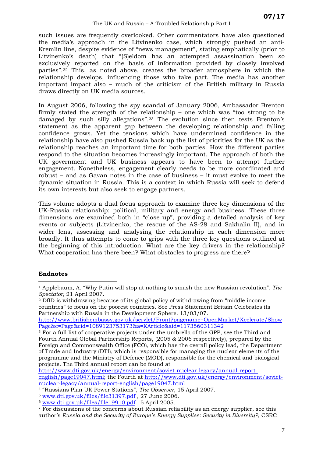#### The UK and Russia – A Troubled Relationship Part I

<span id="page-10-8"></span><span id="page-10-7"></span>such issues are frequently overlooked. Other commentators have also questioned the media's approach in the Litvinenko case, which strongly pushed an anti-Kremlin line, despite evidence of "news management", stating emphatically (prior to Litvinenko's death) that "(S)eldom has an attempted assassination been so exclusively reported on the basis of information provided by closely involved parties".[22](#page-10-21) This, as noted above, creates the broader atmosphere in which the relationship develops, influencing those who take part. The media has another important impact also – much of the criticism of the British military in Russia draws directly on UK media sources.

<span id="page-10-11"></span><span id="page-10-10"></span><span id="page-10-9"></span>In August 2006, following the spy scandal of January 2006, Ambassador Brenton firmly stated the strength of the relationship – one which was "too strong to be damaged by such silly allegations".[23](#page-15-0) The evolution since then tests Brenton's statement as the apparent gap between the developing relationship and falling confidence grows. Yet the tensions which have undermined confidence in the relationship have also pushed Russia back up the list of priorities for the UK as the relationship reaches an important time for both parties. How the different parties respond to the situation becomes increasingly important. The approach of both the UK government and UK business appears to have been to attempt further engagement. Nonetheless, engagement clearly needs to be more coordinated and robust – and as Gavan notes in the case of business – it must evolve to meet the dynamic situation in Russia. This is a context in which Russia will seek to defend its own interests but also seek to engage partners.

<span id="page-10-16"></span><span id="page-10-15"></span><span id="page-10-14"></span><span id="page-10-13"></span><span id="page-10-12"></span>This volume adopts a dual focus approach to examine three key dimensions of the UK-Russia relationship: political, military and energy and business. These three dimensions are examined both in "close up", providing a detailed analysis of key events or subjects (Litvinenko, the rescue of the AS-28 and Sakhalin II), and in wider lens, assessing and analysing the relationship in each dimension more broadly. It thus attempts to come to grips with the three key questions outlined at the beginning of this introduction. What are the key drivers in the relationship? What cooperation has there been? What obstacles to progress are there?

#### <span id="page-10-18"></span><span id="page-10-17"></span>**Endnotes**

<span id="page-10-1"></span>2 DfID is withdrawing because of its global policy of withdrawing from "middle income countries" to focus on the poorest countries. See Press Statement Britain Celebrates its Partnership with Russia in the Development Sphere. 13/03/07.

[http://www.britishembassy.gov.uk/servlet/Front?pagename=OpenMarket/Xcelerate/Show](http://www.britishembassy.gov.uk/servlet/Front?pagename=OpenMarket/Xcelerate/ShowPage&c=Page&cid=1089123753173&a=KArticle&aid=1173560311342) [Page&c=Page&cid=1089123753173&a=KArticle&aid=1173560311342](http://www.britishembassy.gov.uk/servlet/Front?pagename=OpenMarket/Xcelerate/ShowPage&c=Page&cid=1089123753173&a=KArticle&aid=1173560311342) 3 For a full list of cooperative projects under the umbrella of the GPP, see the Third and

[http://www.dti.gov.uk/energy/environment/soviet-nuclear-legacy/annual-report](http://www.dti.gov.uk/energy/environment/soviet-nuclear-legacy/annual-report-english/page19047.html)[english/page19047.html](http://www.dti.gov.uk/energy/environment/soviet-nuclear-legacy/annual-report-english/page19047.html); the Fourth at [http://www.dti.gov.uk/energy/environment/soviet](http://www.dti.gov.uk/energy/environment/soviet-nuclear-legacy/annual-report-english/page19047.html)[nuclear-legacy/annual-report-english/page19047.html](http://www.dti.gov.uk/energy/environment/soviet-nuclear-legacy/annual-report-english/page19047.html)

<span id="page-10-19"></span><span id="page-10-0"></span> $\overline{a}$ 1 Applebaum, A. "Why Putin will stop at nothing to smash the new Russian revolution", *The Spectator,* 21 April 2007.

<span id="page-10-21"></span><span id="page-10-20"></span><span id="page-10-2"></span>Fourth Annual Global Partnership Reports, (2005 & 2006 respectively), prepared by the Foreign and Commonwealth Office (FCO), which has the overall policy lead, the Department of Trade and Industry (DTI), which is responsible for managing the nuclear elements of the programme and the Ministry of Defence (MOD), responsible for the chemical and biological projects. The Third annual report can be found at

<span id="page-10-3"></span><sup>4 &</sup>quot;Russians Plan UK Power Stations", *The Observer*, 15 April 2007.

<span id="page-10-4"></span>

<span id="page-10-6"></span><span id="page-10-5"></span>

<sup>&</sup>lt;sup>5</sup> www.dti.gov.uk/files/file31397.pdf , 27 June 2006.<br>
<sup>6</sup> [www.dti.gov.uk/files/file19910.pdf](http://www.dti.gov.uk/files/file19910.pdf) , 5 April 2005.<br>
<sup>7</sup> For discussions of the concerns about Russian reliability as an energy supplier, see this author's *Russia and the Security of Europe's Energy Supplies: Security in Diversity?*, CSRC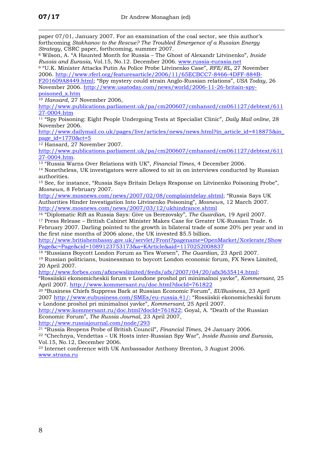$\overline{a}$ 

paper 07/01, January 2007. For an examination of the coal sector, see this author's forthcoming *Stakhanov to the Rescue? The Troubled Emergence of a Russian Energy Strategy*, CSRC paper, forthcoming, summer 2007.

8 Wilson, A. "A Haunted Month for Russia – The Ghost of Alexandr Litvinenko", *Inside Russia and Eurasia*, Vol.15, No.12. December 2006. [www.russia-eurasia.net](http://www.russia-eurasia.net/) 9 "U.K. Minister Attacks Putin As Police Probe Litvinenko Case", *RFE/RL*, 27 November

2006. [http://www.rferl.org/featuresarticle/2006/11/65ECBCC7-8466-4DFF-884B-](http://www.rferl.org/featuresarticle/2006/11/65ECBCC7-8466-4DFF-884B-F201609A8449.html)

[F201609A8449.html](http://www.rferl.org/featuresarticle/2006/11/65ECBCC7-8466-4DFF-884B-F201609A8449.html); "Spy mystery could strain Anglo-Russian relations", *USA Today*, 26 November 2006. [http://www.usatoday.com/news/world/2006-11-26-britain-spy](http://www.usatoday.com/news/world/2006-11-26-britain-spy-poisoned_x.htm)[poisoned\\_x.htm](http://www.usatoday.com/news/world/2006-11-26-britain-spy-poisoned_x.htm)

<sup>10</sup> *Hansard*, 27 November 2006,

[http://www.publications.parliament.uk/pa/cm200607/cmhansrd/cm061127/debtext/611](http://www.publications.parliament.uk/pa/cm200607/cmhansrd/cm061127/debtext/61127-0004.htm) [27-0004.htm](http://www.publications.parliament.uk/pa/cm200607/cmhansrd/cm061127/debtext/61127-0004.htm)

11 "Spy Poisoning: Eight People Undergoing Tests at Specialist Clinic", *Daily Mail online*, 28 November 2006.

[http://www.dailymail.co.uk/pages/live/articles/news/news.html?in\\_article\\_id=418875&in\\_](http://www.dailymail.co.uk/pages/live/articles/news/news.html?in_article_id=418875&in_page_id=1770&ct=5) [page\\_id=1770&ct=5](http://www.dailymail.co.uk/pages/live/articles/news/news.html?in_article_id=418875&in_page_id=1770&ct=5)

12 Hansard, 27 November 2007.

[http://www.publications.parliament.uk/pa/cm200607/cmhansrd/cm061127/debtext/611](http://www.publications.parliament.uk/pa/cm200607/cmhansrd/cm061127/debtext/61127-0004.htm) [27-0004.htm](http://www.publications.parliament.uk/pa/cm200607/cmhansrd/cm061127/debtext/61127-0004.htm).<br><sup>13</sup> ["Russia Wa](http://www.publications.parliament.uk/pa/cm200607/cmhansrd/cm061127/debtext/61127-0004.htm)rns Over Relations with UK", *Financial Times*, 4 December 2006.<br><sup>14</sup> Nonetheless, UK investigators were allowed to sit in on interviews conducted by Russian

authorities.

15 See, for instance, "Russia Says Britain Delays Response on Litvinenko Poisoning Probe", *Mosnews*, 8 February 2007.

<http://www.mosnews.com/news/2007/02/08/complaintdelay.shtml>; "Russia Says UK Authorities Hinder Investigation Into Litvinenko Poisoning", *Mosnews*, 12 March 2007.

<sup>16</sup> "Diplomatic Rift as Russia Says: Give us Berezovsky", *The Guardian*, 19 April 2007.

<sup>17</sup> Press Release - British Cabinet Minister Makes Case for Greater UK-Russian Trade. 6 February 2007. Darling pointed to the growth in bilateral trade of some 20% per year and in the first nine months of 2006 alone, the UK invested \$5.5 billion.

[http://www.britishembassy.gov.uk/servlet/Front?pagename=OpenMarket/Xcelerate/Show](http://www.britishembassy.gov.uk/servlet/Front?pagename=OpenMarket/Xcelerate/ShowPage&c=Page&cid=1089123753173&a=KArticle&aid=1170252008837) [Page&c=Page&cid=1089123753173&a=KArticle&aid=1170252008837](http://www.britishembassy.gov.uk/servlet/Front?pagename=OpenMarket/Xcelerate/ShowPage&c=Page&cid=1089123753173&a=KArticle&aid=1170252008837)

18 "Russians Boycott London Forum as Ties Worsen", *The Guardian*, 23 April 2007. <sup>19</sup> Russian politicians, businessman to boycott London economic forum, FX News Limited, 20 April 2007.

[http://www.forbes.com/afxnewslimited/feeds/afx/2007/04/20/afx3635414.html;](http://www.forbes.com/afxnewslimited/feeds/afx/2007/04/20/afx3635414.html)

"Rossiiskii ekonomicheskii forum v Londone proshol pri minimalnoi yavke", *Kommersant*, 25 April 2007. <http://www.kommersant.ru/doc.html?docId=761822>

20 "Business Chiefs Suppress Bark at Russian Economic Forum", *EUBusiness*, 23 April 2007 <http://www.eubusiness.com/SMEs/eu-russia.41/>; "Rossiiskii ekonomicheskii forum v Londone proshol pri minimalnoi yavke", *Kommersant*, 25 April 2007.

<http://www.kommersant.ru/doc.html?docId=761822>; Goyal, A. "Death of the Russian Economic Forum", *The Russia Journal*, 23 April 2007,

<http://www.russiajournal.com/node/293>

21 "Russia Reopens Probe of British Council", *Financial Times*, 24 January 2006. 22 "Chechnya, Vendettas – UK Hosts inter-Russian Spy War", *Inside Russia and Eurasia*, Vol.15, No.12, December 2006.

23 Internet conference with UK Ambassador Anthony Brenton, 3 August 2006. [www.strana.ru](http://www.strana.ru/)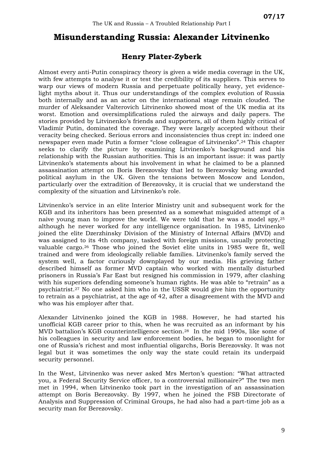## **Misunderstanding Russia: Alexander Litvinenko**

#### **Henry Plater-Zyberk**

Almost every anti-Putin conspiracy theory is given a wide media coverage in the UK, with few attempts to analyse it or test the credibility of its suppliers. This serves to warp our views of modern Russia and perpetuate politically heavy, yet evidencelight myths about it. Thus our understandings of the complex evolution of Russia both internally and as an actor on the international stage remain clouded. The murder of Aleksander Valterovich Litvinenko showed most of the UK media at its worst. Emotion and oversimplifications ruled the airways and daily papers. The stories provided by Litvinenko's friends and supporters, all of them highly critical of Vladimir Putin, dominated the coverage. They were largely accepted without their veracity being checked. Serious errors and inconsistencies thus crept in: indeed one newspaper even made Putin a former "close colleague of Litvinenko".[24](#page-15-1) This chapter seeks to clarify the picture by examining Litvinenko's background and his relationship with the Russian authorities. This is an important issue: it was partly Litvinenko's statements about his involvement in what he claimed to be a planned assassination attempt on Boris Berezovsky that led to Berezovsky being awarded political asylum in the UK. Given the tensions between Moscow and London, particularly over the extradition of Berezovsky, it is crucial that we understand the complexity of the situation and Litvinenko's role.

Litvinenko's service in an elite Interior Ministry unit and subsequent work for the KGB and its inheritors has been presented as a somewhat misguided attempt of a naive young man to improve the world. We were told that he was a model spy,[25](#page-15-2) although he never worked for any intelligence organisation. In 1985, Litvinenko joined the elite Dzerzhinsky Division of the Ministry of Internal Affairs (MVD) and was assigned to its 4th company, tasked with foreign missions, usually protecting valuable cargo.[26](#page-15-3) Those who joined the Soviet elite units in 1985 were fit, well trained and were from ideologically reliable families. Litvinenko's family served the system well, a factor curiously downplayed by our media. His grieving father described himself as former MVD captain who worked with mentally disturbed prisoners in Russia's Far East but resigned his commission in 1979, after clashing with his superiors defending someone's human rights. He was able to "retrain" as a psychiatrist.[27](#page-15-4) No one asked him who in the USSR would give him the opportunity to retrain as a psychiatrist, at the age of 42, after a disagreement with the MVD and who was his employer after that.

Alexander Litvinenko joined the KGB in 1988. However, he had started his unofficial KGB career prior to this, when he was recruited as an informant by his MVD battalion's KGB counterintelligence section.[28](#page-15-5) In the mid 1990s, like some of his colleagues in security and law enforcement bodies, he began to moonlight for one of Russia's richest and most influential oligarchs, Boris Berezovsky. It was not legal but it was sometimes the only way the state could retain its underpaid security personnel.

In the West, Litvinenko was never asked Mrs Merton's question: "What attracted you, a Federal Security Service officer, to a controversial millionaire?" The two men met in 1994, when Litvinenko took part in the investigation of an assassination attempt on Boris Berezovsky. By 1997, when he joined the FSB Directorate of Analysis and Suppression of Criminal Groups, he had also had a part-time job as a security man for Berezovsky.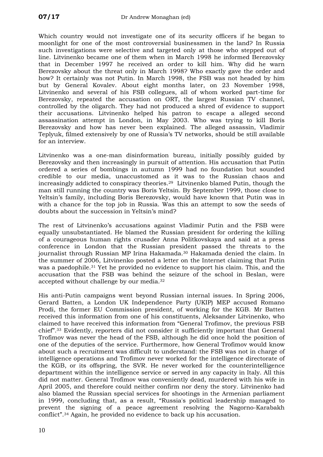Which country would not investigate one of its security officers if he began to moonlight for one of the most controversial businessmen in the land? In Russia such investigations were selective and targeted only at those who stepped out of line. Litvinenko became one of them when in March 1998 he informed Berezovsky that in December 1997 he received an order to kill him. Why did he warn Berezovsky about the threat only in March 1998? Who exactly gave the order and how? It certainly was not Putin. In March 1998, the FSB was not headed by him but by General Kovalev. About eight months later, on 23 November 1998, Litvinenko and several of his FSB collegues, all of whom worked part-time for Berezovsky, repeated the accusation on ORT, the largest Russian TV channel, controlled by the oligarch. They had not produced a shred of evidence to support their accusations. Litvinenko helped his patron to escape a alleged second assassination attempt in London, in May 2003. Who was trying to kill Boris Berezovsky and how has never been explained. The alleged assassin, Vladimir Teplyuk, filmed extensively by one of Russia's TV networks, should be still available for an interview.

Litvinenko was a one-man disinformation bureau, initially possibly guided by Berezovsky and then increasingly in pursuit of attention. His accusation that Putin ordered a series of bombings in autumn 1999 had no foundation but sounded credible to our media, unaccustomed as it was to the Russian chaos and increasingly addicted to conspiracy theories.[29](#page-15-6) Litvinenko blamed Putin, though the man still running the country was Boris Yeltsin. By September 1999, those close to Yeltsin's family, including Boris Berezovsky, would have known that Putin was in with a chance for the top job in Russia. Was this an attempt to sow the seeds of doubts about the succession in Yeltsin's mind?

The rest of Litvinenko's accusations against Vladimir Putin and the FSB were equally unsubstantiated. He blamed the Russian president for ordering the killing of a courageous human rights crusader Anna Politkovskaya and said at a press conference in London that the Russian president passed the threats to the journalist through Russian MP Irina Hakamada.[30](#page-15-7) Hakamada denied the claim. In the summer of 2006, Litvinenko posted a letter on the Internet claiming that Putin was a paedophile.[31](#page-15-8) Yet he provided no evidence to support his claim. This, and the accusation that the FSB was behind the seizure of the school in Beslan, were accepted without challenge by our media.[32](#page-15-9)

His anti-Putin campaigns went beyond Russian internal issues. In Spring 2006, Gerard Batten, a London UK Independence Party (UKIP) MEP accused Romano Prodi, the former EU Commission president, of working for the KGB. Mr Batten received this information from one of his constituents, Aleksander Litvinenko, who claimed to have received this information from "General Trofimov, the previous FSB chief".[33](#page-15-10) Evidently, reporters did not consider it sufficiently important that General Trofimov was never the head of the FSB, although he did once hold the position of one of the deputies of the service. Furthermore, how General Trofimov would know about such a recruitment was difficult to understand: the FSB was not in charge of intelligence operations and Trofimov never worked for the intelligence directorate of the KGB, or its offspring, the SVR. He never worked for the counterintelligence department within the intelligence service or served in any capacity in Italy. All this did not matter. General Trofimov was conveniently dead, murdered with his wife in April 2005, and therefore could neither confirm nor deny the story. Litvinenko had also blamed the Russian special services for shootings in the Armenian parliament in 1999, concluding that, as a result, "Russia's political leadership managed to prevent the signing of a peace agreement resolving the Nagorno-Karabakh conflict".[34](#page-15-11) Again, he provided no evidence to back up his accusation.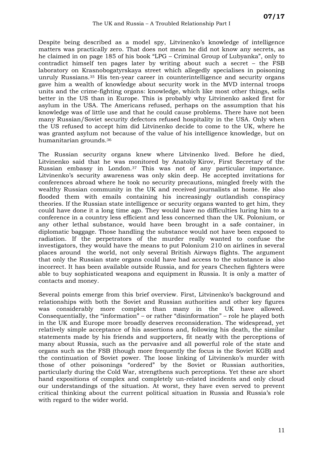Despite being described as a model spy, Litvinenko's knowledge of intelligence matters was practically zero. That does not mean he did not know any secrets, as he claimed in on page 185 of his book "LPG – Criminal Group of Lubyanka", only to contradict himself ten pages later by writing about such a secret – the FSB laboratory on Krasnobogatyrskaya street which allegedly specialises in poisoning unruly Russians.[35](#page-15-12) His ten-year career in counterintelligence and security organs gave him a wealth of knowledge about security work in the MVD internal troops units and the crime-fighting organs: knowledge, which like most other things, sells better in the US than in Europe. This is probably why Litvinenko asked first for asylum in the USA. The Americans refused, perhaps on the assumption that his knowledge was of little use and that he could cause problems. There have not been many Russian/Soviet security defectors refused hospitality in the USA. Only when the US refused to accept him did Litvinenko decide to come to the UK, where he was granted asylum not because of the value of his intelligence knowledge, but on humanitarian grounds.[36](#page-15-13)

The Russian security organs knew where Litvinenko lived. Before he died, Litvinenko said that he was monitored by Anatoliy Kirov, First Secretary of the Russian embassy in London.[37](#page-25-0) This was not of any particular importance. Litvinenko's security awareness was only skin deep. He accepted invitations for conferences abroad where he took no security precautions, mingled freely with the wealthy Russian community in the UK and received journalists at home. He also flooded them with emails containing his increasingly outlandish conspiracy theories. If the Russian state intelligence or security organs wanted to get him, they could have done it a long time ago. They would have no difficulties luring him to a conference in a country less efficient and less concerned than the UK. Polonium, or any other lethal substance, would have been brought in a safe container, in diplomatic baggage. Those handling the substance would not have been exposed to radiation. If the perpetrators of the murder really wanted to confuse the investigators, they would have the means to put Polonium 210 on airlines in several places around the world, not only several British Airways flights. The argument that only the Russian state organs could have had access to the substance is also incorrect. It has been available outside Russia, and for years Chechen fighters were able to buy sophisticated weapons and equipment in Russia. It is only a matter of contacts and money.

Several points emerge from this brief overview. First, Litvinenko's background and relationships with both the Soviet and Russian authorities and other key figures was considerably more complex than many in the UK have allowed. Consequentially, the "information" – or rather "disinformation" – role he played both in the UK and Europe more broadly deserves reconsideration. The widespread, yet relatively simple acceptance of his assertions and, following his death, the similar statements made by his friends and supporters, fit neatly with the perceptions of many about Russia, such as the pervasive and all powerful role of the state and organs such as the FSB (though more frequently the focus is the Soviet KGB) and the continuation of Soviet power. The loose linking of Litvinenko's murder with those of other poisonings "ordered" by the Soviet or Russian authorities, particularly during the Cold War, strengthens such perceptions. Yet these are short hand expositions of complex and completely un-related incidents and only cloud our understandings of the situation. At worst, they have even served to prevent critical thinking about the current political situation in Russia and Russia's role with regard to the wider world.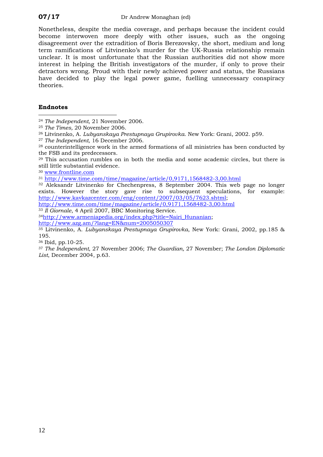Nonetheless, despite the media coverage, and perhaps because the incident could become interwoven more deeply with other issues, such as the ongoing disagreement over the extradition of Boris Berezovsky, the short, medium and long term ramifications of Litvinenko's murder for the UK-Russia relationship remain unclear. It is most unfortunate that the Russian authorities did not show more interest in helping the British investigators of the murder, if only to prove their detractors wrong. Proud with their newly achieved power and status, the Russians have decided to play the legal power game, fuelling unnecessary conspiracy theories.

#### **Endnotes**

 $\overline{a}$ 

<span id="page-15-6"></span>29 This accusation rumbles on in both the media and some academic circles, but there is still little substantial evidence. 30 [www.frontline.com](http://www.frontline.com/)

<span id="page-15-7"></span>

<span id="page-15-8"></span><sup>31</sup> <http://www.time.com/time/magazine/article/0,9171,1568482-3,00.html>

<span id="page-15-9"></span>32 Aleksandr Litvinenko for Chechenpress, 8 September 2004. This web page no longer exists. However the story gave rise to subsequent speculations, for example: [http://www.kavkazcenter.com/eng/content/2007/03/05/7623.shtml;](http://www.kavkazcenter.com/eng/content/2007/03/05/7623.shtml)

<http://www.time.com/time/magazine/article/0,9171,1568482-3,00.html>

<span id="page-15-10"></span><sup>33</sup> *Il Giornale*, 4 April 2007, BBC Monitoring Service.

<span id="page-15-11"></span><sup>34</sup>[http://www.armeniapedia.org/index.php?title=Nairi\\_Hunanian](http://www.armeniapedia.org/index.php?title=Nairi_Hunanian);<br>http://www.azg.am/?lang=EN&num=2005050307

<span id="page-15-12"></span><sup>35</sup> Litvinenko, A. *Lubyanskaya Prestupnaya Grupirovka*, New York: Grani, 2002, pp.185 & 195.

<span id="page-15-13"></span>36 Ibid, pp.10-25.

<span id="page-15-0"></span><sup>37</sup> *The Independent,* 27 November 2006; *The Guardian,* 27 November; *The London Diplomatic List*, December 2004, p.63.

<span id="page-15-1"></span><sup>24</sup> *The Independent*, 21 November 2006.

<span id="page-15-2"></span><sup>25</sup> *The Times,* 20 November 2006.

<span id="page-15-3"></span><sup>26</sup> Litvinenko, A. *Lubyanskaya Prestupnaya Grupirovka*. New York: Grani, 2002. p59.

<span id="page-15-4"></span><sup>27</sup> *The Independent*, 16 December 2006.

<span id="page-15-5"></span><sup>28</sup> counterintelligence work in the armed formations of all ministries has been conducted by the FSB and its predecessors.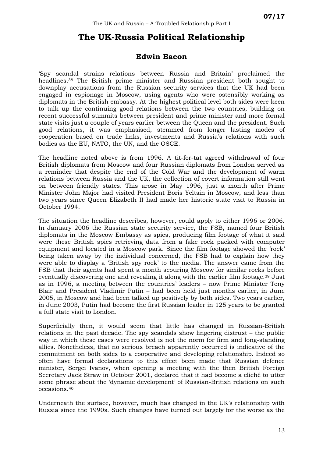# **The UK-Russia Political Relationship**

#### **Edwin Bacon**

'Spy scandal strains relations between Russia and Britain' proclaimed the headlines.[38](#page-25-1) The British prime minister and Russian president both sought to downplay accusations from the Russian security services that the UK had been engaged in espionage in Moscow, using agents who were ostensibly working as diplomats in the British embassy. At the highest political level both sides were keen to talk up the continuing good relations between the two countries, building on recent successful summits between president and prime minister and more formal state visits just a couple of years earlier between the Queen and the president. Such good relations, it was emphasised, stemmed from longer lasting modes of cooperation based on trade links, investments and Russia's relations with such bodies as the EU, NATO, the UN, and the OSCE.

The headline noted above is from 1996. A tit-for-tat agreed withdrawal of four British diplomats from Moscow and four Russian diplomats from London served as a reminder that despite the end of the Cold War and the development of warm relations between Russia and the UK, the collection of covert information still went on between friendly states. This arose in May 1996, just a month after Prime Minister John Major had visited President Boris Yeltsin in Moscow, and less than two years since Queen Elizabeth II had made her historic state visit to Russia in October 1994.

The situation the headline describes, however, could apply to either 1996 or 2006. In January 2006 the Russian state security service, the FSB, named four British diplomats in the Moscow Embassy as spies, producing film footage of what it said were these British spies retrieving data from a fake rock packed with computer equipment and located in a Moscow park. Since the film footage showed the 'rock' being taken away by the individual concerned, the FSB had to explain how they were able to display a 'British spy rock' to the media. The answer came from the FSB that their agents had spent a month scouring Moscow for similar rocks before eventually discovering one and revealing it along with the earlier film footage.[39](#page-25-2) Just as in 1996, a meeting between the countries' leaders – now Prime Minister Tony Blair and President Vladimir Putin – had been held just months earlier, in June 2005, in Moscow and had been talked up positively by both sides. Two years earlier, in June 2003, Putin had become the first Russian leader in 125 years to be granted a full state visit to London.

Superficially then, it would seem that little has changed in Russian-British relations in the past decade. The spy scandals show lingering distrust – the public way in which these cases were resolved is not the norm for firm and long-standing allies. Nonetheless, that no serious breach apparently occurred is indicative of the commitment on both sides to a cooperative and developing relationship. Indeed so often have formal declarations to this effect been made that Russian defence minister, Sergei Ivanov, when opening a meeting with the then British Foreign Secretary Jack Straw in October 2001, declared that it had become a cliché to utter some phrase about the 'dynamic development' of Russian-British relations on such occasions.[40](#page-25-3)

Underneath the surface, however, much has changed in the UK's relationship with Russia since the 1990s. Such changes have turned out largely for the worse as the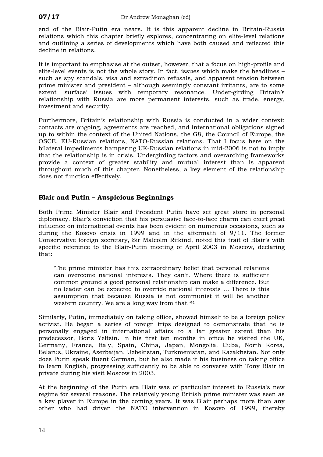end of the Blair-Putin era nears. It is this apparent decline in Britain-Russia relations which this chapter briefly explores, concentrating on elite-level relations and outlining a series of developments which have both caused and reflected this decline in relations.

It is important to emphasise at the outset, however, that a focus on high-profile and elite-level events is not the whole story. In fact, issues which make the headlines – such as spy scandals, visa and extradition refusals, and apparent tension between prime minister and president – although seemingly constant irritants, are to some extent 'surface' issues with temporary resonance. Under-girding Britain's relationship with Russia are more permanent interests, such as trade, energy, investment and security.

Furthermore, Britain's relationship with Russia is conducted in a wider context: contacts are ongoing, agreements are reached, and international obligations signed up to within the context of the United Nations, the G8, the Council of Europe, the OSCE, EU-Russian relations, NATO-Russian relations. That I focus here on the bilateral impediments hampering UK-Russian relations in mid-2006 is not to imply that the relationship is in crisis. Undergirding factors and overarching frameworks provide a context of greater stability and mutual interest than is apparent throughout much of this chapter. Nonetheless, a key element of the relationship does not function effectively.

#### **Blair and Putin – Auspicious Beginnings**

Both Prime Minister Blair and President Putin have set great store in personal diplomacy. Blair's conviction that his persuasive face-to-face charm can exert great influence on international events has been evident on numerous occasions, such as during the Kosovo crisis in 1999 and in the aftermath of 9/11. The former Conservative foreign secretary, Sir Malcolm Rifkind, noted this trait of Blair's with specific reference to the Blair-Putin meeting of April 2003 in Moscow, declaring that:

'The prime minister has this extraordinary belief that personal relations can overcome national interests. They can't. Where there is sufficient common ground a good personal relationship can make a difference. But no leader can be expected to override national interests … There is this assumption that because Russia is not communist it will be another western country. We are a long way from that.<sup>'[41](#page-25-4)</sup>

Similarly, Putin, immediately on taking office, showed himself to be a foreign policy activist. He began a series of foreign trips designed to demonstrate that he is personally engaged in international affairs to a far greater extent than his predecessor, Boris Yeltsin. In his first ten months in office he visited the UK, Germany, France, Italy, Spain, China, Japan, Mongolia, Cuba, North Korea, Belarus, Ukraine, Azerbaijan, Uzbekistan, Turkmenistan, and Kazakhstan. Not only does Putin speak fluent German, but he also made it his business on taking office to learn English, progressing sufficiently to be able to converse with Tony Blair in private during his visit Moscow in 2003.

At the beginning of the Putin era Blair was of particular interest to Russia's new regime for several reasons. The relatively young British prime minister was seen as a key player in Europe in the coming years. It was Blair perhaps more than any other who had driven the NATO intervention in Kosovo of 1999, thereby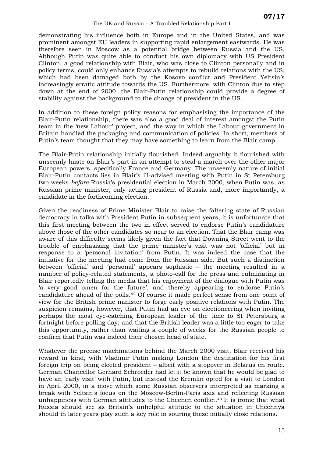demonstrating his influence both in Europe and in the United States, and was prominent amongst EU leaders in supporting rapid enlargement eastwards. He was therefore seen in Moscow as a potential bridge between Russia and the US. Although Putin was quite able to conduct his own diplomacy with US President Clinton, a good relationship with Blair, who was close to Clinton personally and in policy terms, could only enhance Russia's attempts to rebuild relations with the US, which had been damaged both by the Kosovo conflict and President Yeltsin's increasingly erratic attitude towards the US. Furthermore, with Clinton due to step down at the end of 2000, the Blair-Putin relationship could provide a degree of stability against the background to the change of president in the US.

In addition to these foreign policy reasons for emphasising the importance of the Blair-Putin relationship, there was also a good deal of interest amongst the Putin team in the 'new Labour' project, and the way in which the Labour government in Britain handled the packaging and communication of policies. In short, members of Putin's team thought that they may have something to learn from the Blair camp.

The Blair-Putin relationship initially flourished. Indeed arguably it flourished with unseemly haste on Blair's part in an attempt to steal a march over the other major European powers, specifically France and Germany. The unseemly nature of initial Blair-Putin contacts lies in Blair's ill-advised meeting with Putin in St Petersburg two weeks *before* Russia's presidential election in March 2000, when Putin was, as Russian prime minister, only acting president of Russia and, more importantly, a candidate in the forthcoming election.

Given the readiness of Prime Minister Blair to raise the faltering state of Russian democracy in talks with President Putin in subsequent years, it is unfortunate that this first meeting between the two in effect served to endorse Putin's candidature above those of the other candidates so near to an election. That the Blair camp was aware of this difficulty seems likely given the fact that Downing Street went to the trouble of emphasising that the prime minister's visit was not 'official' but in response to a 'personal invitation' from Putin. It was indeed the case that the initiative for the meeting had come from the Russian side. But such a distinction between 'official' and 'personal' appears sophistic – the meeting resulted in a number of policy-related statements, a photo-call for the press and culminating in Blair reportedly telling the media that his enjoyment of the dialogue with Putin was 'a very good omen for the future', and thereby appearing to endorse Putin's candidature ahead of the polls.[42](#page-25-5) Of course it made perfect sense from one point of view for the British prime minister to forge early positive relations with Putin. The suspicion remains, however, that Putin had an eye on electioneering when inviting perhaps the most eye-catching European leader of the time to St Petersburg a fortnight before polling day, and that the British leader was a little too eager to take this opportunity, rather than waiting a couple of weeks for the Russian people to confirm that Putin was indeed their chosen head of state.

Whatever the precise machinations behind the March 2000 visit, Blair received his reward in kind, with Vladimir Putin making London the destination for his first foreign trip on being elected president – albeit with a stopover in Belarus en route. German Chancellor Gerhard Schroeder had let it be known that he would be glad to have an 'early visit' with Putin, but instead the Kremlin opted for a visit to London in April 2000, in a move which some Russian observers interpreted as marking a break with Yeltsin's focus on the Moscow-Berlin-Paris axis and reflecting Russian unhappiness with German attitudes to the Chechen conflict.[43](#page-25-6) It is ironic that what Russia should see as Britain's unhelpful attitude to the situation in Chechnya should in later years play such a key role in souring these initially close relations.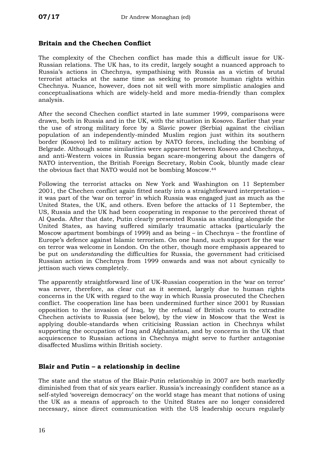#### **Britain and the Chechen Conflict**

The complexity of the Chechen conflict has made this a difficult issue for UK-Russian relations. The UK has, to its credit, largely sought a nuanced approach to Russia's actions in Chechnya, sympathising with Russia as a victim of brutal terrorist attacks at the same time as seeking to promote human rights within Chechnya. Nuance, however, does not sit well with more simplistic analogies and conceptualisations which are widely-held and more media-friendly than complex analysis.

After the second Chechen conflict started in late summer 1999, comparisons were drawn, both in Russia and in the UK, with the situation in Kosovo. Earlier that year the use of strong military force by a Slavic power (Serbia) against the civilian population of an independently-minded Muslim region just within its southern border (Kosovo) led to military action by NATO forces, including the bombing of Belgrade. Although some similarities were apparent between Kosovo and Chechnya, and anti-Western voices in Russia began scare-mongering about the dangers of NATO intervention, the British Foreign Secretary, Robin Cook, bluntly made clear the obvious fact that NATO would not be bombing Moscow.[44](#page-25-7)

Following the terrorist attacks on New York and Washington on 11 September 2001, the Chechen conflict again fitted neatly into a straightforward interpretation – it was part of the 'war on terror' in which Russia was engaged just as much as the United States, the UK, and others. Even before the attacks of 11 September, the US, Russia and the UK had been cooperating in response to the perceived threat of Al Qaeda. After that date, Putin clearly presented Russia as standing alongside the United States, as having suffered similarly traumatic attacks (particularly the Moscow apartment bombings of 1999) and as being – in Chechnya – the frontline of Europe's defence against Islamic terrorism. On one hand, such support for the war on terror was welcome in London. On the other, though more emphasis appeared to be put on *understanding* the difficulties for Russia, the government had criticised Russian action in Chechnya from 1999 onwards and was not about cynically to jettison such views completely.

The apparently straightforward line of UK-Russian cooperation in the 'war on terror' was never, therefore, as clear cut as it seemed, largely due to human rights concerns in the UK with regard to the way in which Russia prosecuted the Chechen conflict. The cooperation line has been undermined further since 2001 by Russian opposition to the invasion of Iraq, by the refusal of British courts to extradite Chechen activists to Russia (see below), by the view in Moscow that the West is applying double-standards when criticising Russian action in Chechnya whilst supporting the occupation of Iraq and Afghanistan, and by concerns in the UK that acquiescence to Russian actions in Chechnya might serve to further antagonise disaffected Muslims within British society.

#### **Blair and Putin – a relationship in decline**

The state and the status of the Blair-Putin relationship in 2007 are both markedly diminished from that of six years earlier. Russia's increasingly confident stance as a self-styled 'sovereign democracy' on the world stage has meant that notions of using the UK as a means of approach to the United States are no longer considered necessary, since direct communication with the US leadership occurs regularly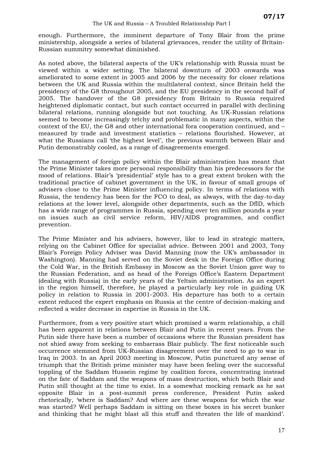enough. Furthermore, the imminent departure of Tony Blair from the prime ministership, alongside a series of bilateral grievances, render the utility of Britain-Russian summitry somewhat diminished.

As noted above, the bilateral aspects of the UK's relationship with Russia must be viewed within a wider setting. The bilateral downturn of 2003 onwards was ameliorated to some extent in 2005 and 2006 by the necessity for closer relations between the UK and Russia within the multilateral context, since Britain held the presidency of the G8 throughout 2005, and the EU presidency in the second half of 2005. The handover of the G8 presidency from Britain to Russia required heightened diplomatic contact, but such contact occurred in parallel with declining bilateral relations, running alongside but not touching. As UK-Russian relations seemed to become increasingly tetchy and problematic in many aspects, within the context of the EU, the G8 and other international fora cooperation continued, and – measured by trade and investment statistics – relations flourished. However, at what the Russians call 'the highest level', the previous warmth between Blair and Putin demonstrably cooled, as a range of disagreements emerged.

The management of foreign policy within the Blair administration has meant that the Prime Minister takes more personal responsibility than his predecessors for the mood of relations. Blair's 'presidential' style has to a great extent broken with the traditional practice of cabinet government in the UK, in favour of small groups of advisers close to the Prime Minister influencing policy. In terms of relations with Russia, the tendency has been for the FCO to deal, as always, with the day-to-day relations at the lower level, alongside other departments, such as the DfID, which has a wide range of programmes in Russia, spending over ten million pounds a year on issues such as civil service reform, HIV/AIDS programmes, and conflict prevention.

The Prime Minister and his advisers, however, like to lead in strategic matters, relying on the Cabinet Office for specialist advice. Between 2001 and 2003, Tony Blair's Foreign Policy Adviser was David Manning (now the UK's ambassador in Washington). Manning had served on the Soviet desk in the Foreign Office during the Cold War, in the British Embassy in Moscow as the Soviet Union gave way to the Russian Federation, and as head of the Foreign Office's Eastern Department (dealing with Russia) in the early years of the Yeltsin administration. As an expert in the region himself, therefore, he played a particularly key role in guiding UK policy in relation to Russia in 2001-2003. His departure has both to a certain extent reduced the expert emphasis on Russia at the centre of decision-making and reflected a wider decrease in expertise in Russia in the UK.

Furthermore, from a very positive start which promised a warm relationship, a chill has been apparent in relations between Blair and Putin in recent years. From the Putin side there have been a number of occasions where the Russian president has not shied away from seeking to embarrass Blair publicly. The first noticeable such occurrence stemmed from UK-Russian disagreement over the need to go to war in Iraq in 2003. In an April 2003 meeting in Moscow, Putin punctured any sense of triumph that the British prime minister may have been feeling over the successful toppling of the Saddam Hussein regime by coalition forces, concentrating instead on the fate of Saddam and the weapons of mass destruction, which both Blair and Putin still thought at the time to exist. In a somewhat mocking remark as he sat opposite Blair in a post-summit press conference, President Putin asked rhetorically, 'where is Saddam? And where are these weapons for which the war was started? Well perhaps Saddam is sitting on these boxes in his secret bunker and thinking that he might blast all this stuff and threaten the life of mankind'.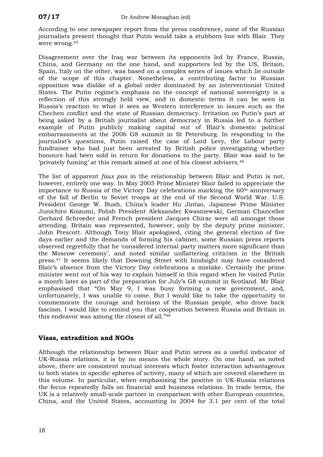According to one newspaper report from the press conference, none of the Russian journalists present thought that Putin would take a stubborn line with Blair. They were wrong.[45](#page-25-8) 

Disagreement over the Iraq war between its opponents led by France, Russia, China, and Germany on the one hand, and supporters led by the US, Britain, Spain, Italy on the other, was based on a complex series of issues which lie outside of the scope of this chapter. Nonetheless, a contributing factor to Russian opposition was dislike of a global order dominated by an interventionist United States. The Putin regime's emphasis on the concept of national sovereignty is a reflection of this strongly held view, and in domestic terms it can be seen in Russia's reaction to what it sees as Western interference in issues such as the Chechen conflict and the state of Russian democracy. Irritation on Putin's part at being asked by a British journalist about democracy in Russia led to a further example of Putin publicly making capital out of Blair's domestic political embarrassments at the 2006 G8 summit in St Petersburg. In responding to the journalist's questions, Putin raised the case of Lord Levy, the Labour party fundraiser who had just been arrested by British police investigating whether honours had been sold in return for donations to the party. Blair was said to be 'privately fuming' at this remark aimed at one of his closest advisers.[46](#page-25-9)

The list of apparent *faux pas* in the relationship between Blair and Putin is not, however, entirely one way. In May 2005 Prime Minister Blair failed to appreciate the importance to Russia of the Victory Day celebrations marking the 60th anniversary of the fall of Berlin to Soviet troops at the end of the Second World War. U.S. President George W. Bush, China's leader Hu Jintao, Japanese Prime Minister Junichiro Koizumi, Polish President Aleksander Kwasniewski, German Chancellor Gerhard Schroeder and French president Jacques Chirac were all amongst those attending. Britain was represented, however, only by the deputy prime minister, John Prescott. Although Tony Blair apologised, citing the general election of five days earlier and the demands of forming his cabinet, some Russian press reports observed regretfully that he 'considered internal party matters more significant than the Moscow ceremony', and noted similar unflattering criticism in the British press.[47](#page-25-10) It seems likely that Downing Street with hindsight may have considered Blair's absence from the Victory Day celebrations a mistake. Certainly the prime minister went out of his way to explain himself in this regard when he visited Putin a month later as part of the preparation for July's G8 summit in Scotland. Mr Blair emphasised that "On May 9, I was busy forming a new government, and, unfortunately, I was unable to come. But I would like to take the opportunity to commemorate the courage and heroism of the Russian people, who drove back fascism. I would like to remind you that cooperation between Russia and Britain in this endeavor was among the closest of all."[48](#page-25-11)

#### **Visas, extradition and NGOs**

Although the relationship between Blair and Putin serves as a useful indicator of UK-Russia relations, it is by no means the whole story. On one hand, as noted above, there are consistent mutual interests which foster interaction advantageous to both states in specific spheres of activity, many of which are covered elsewhere in this volume. In particular, when emphasising the positive in UK-Russia relations the focus repeatedly falls on financial and business relations. In trade terms, the UK is a relatively small-scale partner in comparison with other European countries, China, and the United States, accounting in 2004 for 3.1 per cent of the total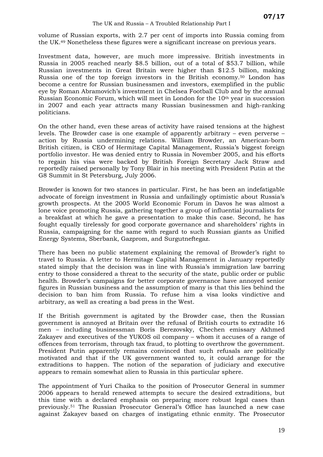volume of Russian exports, with 2.7 per cent of imports into Russia coming from the UK.[49](#page-25-12) Nonetheless these figures were a significant increase on previous years.

Investment data, however, are much more impressive. British investments in Russia in 2005 reached nearly \$8.5 billion, out of a total of \$53.7 billion, while Russian investments in Great Britain were higher than \$12.5 billion, making Russia one of the top foreign investors in the British economy.[50](#page-25-13) London has become a centre for Russian businessmen and investors, exemplified in the public eye by Roman Abramovich's investment in Chelsea Football Club and by the annual Russian Economic Forum, which will meet in London for the 10th year in succession in 2007 and each year attracts many Russian businessmen and high-ranking politicians.

On the other hand, even these areas of activity have raised tensions at the highest levels. The Browder case is one example of apparently arbitrary – even perverse – action by Russia undermining relations. William Browder, an American-born British citizen, is CEO of Hermitage Capital Management, Russia's biggest foreign portfolio investor. He was denied entry to Russia in November 2005, and his efforts to regain his visa were backed by British Foreign Secretary Jack Straw and reportedly raised personally by Tony Blair in his meeting with President Putin at the G8 Summit in St Petersburg, July 2006.

Browder is known for two stances in particular. First, he has been an indefatigable advocate of foreign investment in Russia and unfailingly optimistic about Russia's growth prospects. At the 2005 World Economic Forum in Davos he was almost a lone voice promoting Russia, gathering together a group of influential journalists for a breakfast at which he gave a presentation to make this case. Second, he has fought equally tirelessly for good corporate governance and shareholders' rights in Russia, campaigning for the same with regard to such Russian giants as Unified Energy Systems, Sberbank, Gazprom, and Surgutneftegaz.

There has been no public statement explaining the removal of Browder's right to travel to Russia. A letter to Hermitage Capital Management in January reportedly stated simply that the decision was in line with Russia's immigration law barring entry to those considered a threat to the security of the state, public order or public health. Browder's campaigns for better corporate governance have annoyed senior figures in Russian business and the assumption of many is that this lies behind the decision to ban him from Russia. To refuse him a visa looks vindictive and arbitrary, as well as creating a bad press in the West.

If the British government is agitated by the Browder case, then the Russian government is annoyed at Britain over the refusal of British courts to extradite 16 men – including businessman Boris Berezovsky, Chechen emissary Akhmed Zakayev and executives of the YUKOS oil company – whom it accuses of a range of offences from terrorism, through tax fraud, to plotting to overthrow the government. President Putin apparently remains convinced that such refusals are politically motivated and that if the UK government wanted to, it could arrange for the extraditions to happen. The notion of the separation of judiciary and executive appears to remain somewhat alien to Russia in this particular sphere.

The appointment of Yuri Chaika to the position of Prosecutor General in summer 2006 appears to herald renewed attempts to secure the desired extraditions, but this time with a declared emphasis on preparing more robust legal cases than previously.[51](#page-25-14) The Russian Prosecutor General's Office has launched a new case against Zakayev based on charges of instigating ethnic enmity. The Prosecutor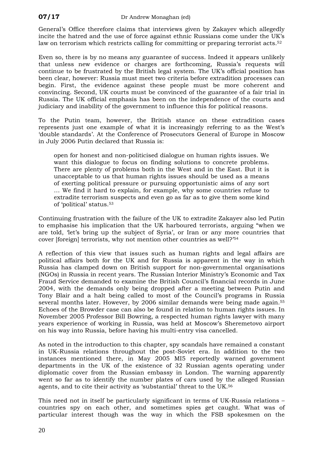General's Office therefore claims that interviews given by Zakayev which allegedly incite the hatred and the use of force against ethnic Russians come under the UK's law on terrorism which restricts calling for committing or preparing terrorist acts.<sup>[52](#page-25-15)</sup>

Even so, there is by no means any guarantee of success. Indeed it appears unlikely that unless new evidence or charges are forthcoming, Russia's requests will continue to be frustrated by the British legal system. The UK's official position has been clear, however: Russia must meet two criteria before extradition processes can begin. First, the evidence against these people must be more coherent and convincing. Second, UK courts must be convinced of the guarantee of a fair trial in Russia. The UK official emphasis has been on the independence of the courts and judiciary and inability of the government to influence this for political reasons.

To the Putin team, however, the British stance on these extradition cases represents just one example of what it is increasingly referring to as the West's 'double standards'. At the Conference of Prosecutors General of Europe in Moscow in July 2006 Putin declared that Russia is:

open for honest and non-politicised dialogue on human rights issues. We want this dialogue to focus on finding solutions to concrete problems. There are plenty of problems both in the West and in the East. But it is unacceptable to us that human rights issues should be used as a means of exerting political pressure or pursuing opportunistic aims of any sort … We find it hard to explain, for example, why some countries refuse to extradite terrorism suspects and even go as far as to give them some kind of 'political' status.[53](#page-25-16)

Continuing frustration with the failure of the UK to extradite Zakayev also led Putin to emphasise his implication that the UK harboured terrorists, arguing "when we are told, 'let's bring up the subject of Syria', or Iran or any more countries that cover [foreign] terrorists, why not mention other countries as well?' [54](#page-25-17)

A reflection of this view that issues such as human rights and legal affairs are political affairs both for the UK and for Russia is apparent in the way in which Russia has clamped down on British support for non-governmental organisations (NGOs) in Russia in recent years. The Russian Interior Ministry's Economic and Tax Fraud Service demanded to examine the British Council's financial records in June 2004, with the demands only being dropped after a meeting between Putin and Tony Blair and a halt being called to most of the Council's programs in Russia several months later. However, by 2006 similar demands were being made again.<sup>[55](#page-25-18)</sup> Echoes of the Browder case can also be found in relation to human rights issues. In November 2005 Professor Bill Bowring, a respected human rights lawyer with many years experience of working in Russia, was held at Moscow's Sheremetovo airport on his way into Russia, before having his multi-entry visa cancelled.

As noted in the introduction to this chapter, spy scandals have remained a constant in UK-Russia relations throughout the post-Soviet era. In addition to the two instances mentioned there, in May 2005 MI5 reportedly warned government departments in the UK of the existence of 32 Russian agents operating under diplomatic cover from the Russian embassy in London. The warning apparently went so far as to identify the number plates of cars used by the alleged Russian agents, and to cite their activity as 'substantial' threat to the UK.[56](#page-28-0) 

This need not in itself be particularly significant in terms of UK-Russia relations – countries spy on each other, and sometimes spies get caught. What was of particular interest though was the way in which the FSB spokesmen on the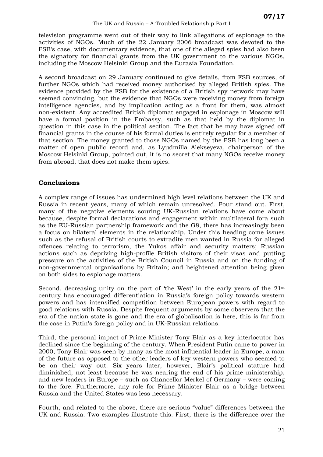television programme went out of their way to link allegations of espionage to the activities of NGOs. Much of the 22 January 2006 broadcast was devoted to the FSB's case, with documentary evidence, that one of the alleged spies had also been the signatory for financial grants from the UK government to the various NGOs, including the Moscow Helsinki Group and the Eurasia Foundation.

A second broadcast on 29 January continued to give details, from FSB sources, of further NGOs which had received money authorised by alleged British spies. The evidence provided by the FSB for the existence of a British spy network may have seemed convincing, but the evidence that NGOs were receiving money from foreign intelligence agencies, and by implication acting as a front for them, was almost non-existent. Any accredited British diplomat engaged in espionage in Moscow will have a formal position in the Embassy, such as that held by the diplomat in question in this case in the political section. The fact that he may have signed off financial grants in the course of his formal duties is entirely regular for a member of that section. The money granted to those NGOs named by the FSB has long been a matter of open public record and, as Lyudmilla Alekseyeva, chairperson of the Moscow Helsinki Group, pointed out, it is no secret that many NGOs receive money from abroad, that does not make them spies.

#### **Conclusions**

A complex range of issues has undermined high level relations between the UK and Russia in recent years, many of which remain unresolved. Four stand out. First, many of the negative elements souring UK-Russian relations have come about because, despite formal declarations and engagement within multilateral fora such as the EU-Russian partnership framework and the G8, there has increasingly been a focus on bilateral elements in the relationship. Under this heading come issues such as the refusal of British courts to extradite men wanted in Russia for alleged offences relating to terrorism, the Yukos affair and security matters; Russian actions such as depriving high-profile British visitors of their visas and putting pressure on the activities of the British Council in Russia and on the funding of non-governmental organisations by Britain; and heightened attention being given on both sides to espionage matters.

Second, decreasing unity on the part of 'the West' in the early years of the  $21<sup>st</sup>$ century has encouraged differentiation in Russia's foreign policy towards western powers and has intensified competition between European powers with regard to good relations with Russia. Despite frequent arguments by some observers that the era of the nation state is gone and the era of globalisation is here, this is far from the case in Putin's foreign policy and in UK-Russian relations.

Third, the personal impact of Prime Minister Tony Blair as a key interlocutor has declined since the beginning of the century. When President Putin came to power in 2000, Tony Blair was seen by many as the most influential leader in Europe, a man of the future as opposed to the other leaders of key western powers who seemed to be on their way out. Six years later, however, Blair's political stature had diminished, not least because he was nearing the end of his prime ministership, and new leaders in Europe – such as Chancellor Merkel of Germany – were coming to the fore. Furthermore, any role for Prime Minister Blair as a bridge between Russia and the United States was less necessary.

Fourth, and related to the above, there are serious "value" differences between the UK and Russia. Two examples illustrate this. First, there is the difference over the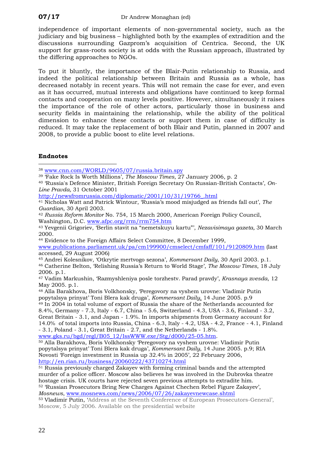independence of important elements of non-governmental society, such as the judiciary and big business – highlighted both by the examples of extradition and the discussions surrounding Gazprom's acquisition of Centrica. Second, the UK support for grass-roots society is at odds with the Russian approach, illustrated by the differing approaches to NGOs.

<span id="page-25-18"></span><span id="page-25-17"></span>To put it bluntly, the importance of the Blair-Putin relationship to Russia, and indeed the political relationship between Britain and Russia as a whole, has decreased notably in recent years. This will not remain the case for ever, and even as it has occurred, mutual interests and obligations have continued to keep formal contacts and cooperation on many levels positive. However, simultaneously it raises the importance of the role of other actors, particularly those in business and security fields in maintaining the relationship, while the ability of the political dimension to enhance these contacts or support them in case of difficulty is reduced. It may take the replacement of both Blair and Putin, planned in 2007 and 2008, to provide a public boost to elite level relations.

#### **Endnotes**

<span id="page-25-1"></span> $\overline{a}$ <sup>38</sup> [www.cnn.com/WORLD/9605/07/russia.britain.spy](http://www.cnn.com/WORLD/9605/07/russia.britain.spy)

- <span id="page-25-2"></span>39 'Fake Rock Is Worth Millions', *The Moscow Times*, 27 January 2006, p. 2
- <span id="page-25-3"></span>40 'Russia's Defence Minister, British Foreign Secretary On Russian-British Contacts', *On-Line Pravda,* 31 October 2001

[http://newsfromrussia.com/diplomatic/2001/10/31/19766\\_.html](http://newsfromrussia.com/diplomatic/2001/10/31/19766_.html)

<span id="page-25-4"></span>41 Nicholas Watt and Patrick Wintour, 'Russia's mood misjudged as friends fall out', *The Guardian*, 30 April 2003.

<span id="page-25-5"></span><sup>42</sup> *Russia Reform Monitor* No. 754, 15 March 2000, American Foreign Policy Council,

<span id="page-25-6"></span>Washington, D.C. [www.afpc.org/rrm/rrm754.htm](http://www.afpc.org/rrm/rrm754.htm) 43 Yevgenii Grigoriev, 'Berlin stavit na "nemetskuyu kartu"', *Nezavisimaya gazeta,* 30 March 2000.

<span id="page-25-7"></span>44 Evidence to the Foreign Affairs Select Committee, 8 December 1999,

<span id="page-25-0"></span>[www.publications.parliament.uk/pa/cm199900/cmselect/cmfaff/101/9120809.htm](http://www.publications.parliament.uk/pa/cm199900/cmselect/cmfaff/101/9120809.htm) (last accessed, 29 August 2006)

<span id="page-25-9"></span><span id="page-25-8"></span>45 Andrei Kolesnikov, 'Otkrytie mertvogo sezona', *Kommersant Daily*, 30 April 2003. p.1. 46 Catherine Belton, 'Relishing Russia's Return to World Stage', *The Moscow Times*, 18 July 2006. p.1.

<span id="page-25-10"></span>47 Vadim Markushin, 'Razmyshleniya posle torzhestv. Parad pravdy', *Krasnaya zvesda*, 12 May 2005. p.1.

<span id="page-25-12"></span><span id="page-25-11"></span>48 Alla Barakhova, Boris Volkhonsky, 'Peregovory na vyshem urovne: Vladimir Putin popytalsya prinyat' Toni Blera kak druga', *Kommersant Daily*, 14 June 2005. p.9 49 In 2004 in total volume of export of Russia the share of the Netherlands accounted for 8.4%, Germany - 7.3, Italy - 6.7, China - 5.6, Switzerland - 4.3, USA - 3.6, Finland - 3.2, Great Britain - 3.1, and Japan - 1.9%. In imports shipments from Germany account for 14.0% of total imports into Russia, China - 6.3, Italy - 4.2, USA - 4.2, France - 4.1, Finland

- 3.1, Poland - 3.1, Great Britain - 2.7, and the Netherlands - 1.8%. www.gks.ru/bgd/regl/B05  $12$ /IssWWW.exe/Stg/d000/25-05.htm.

<span id="page-25-13"></span>50 Alla Barakhova, Boris Volkhonsky 'Peregovory na vyshem urovne: Vladimir Putin popytalsya prinyat' Toni Blera kak druga', *Kommersant Daily*, 14 June 2005. p.9; RIA Novosti 'Foreign investment in Russia up 32.4% in 2005', 22 February 2006, http://en.rian.ru/business/20060222/43710274.html

<span id="page-25-14"></span><sup>51</sup> Russia previously charged Zakayev with forming criminal bands and the attempted murder of a police officer. Moscow also believes he was involved in the Dubrovka theatre hostage crisis. UK courts have rejected seven previous attempts to extradite him. 52 'Russian Prosecutors Bring New Charges Against Chechen Rebel Figure Zakayev', *Mosnews*, [www.mosnews.com/news/2006/07/26/zakayevnewcase.shtml](http://www.mosnews.com/news/2006/07/26/zakayevnewcase.shtml) 53 Vladimir Putin, 'Address at the Seventh Conference of European Prosecutors-General',

<span id="page-25-16"></span><span id="page-25-15"></span>Moscow, 5 July 2006. Available on the presidential website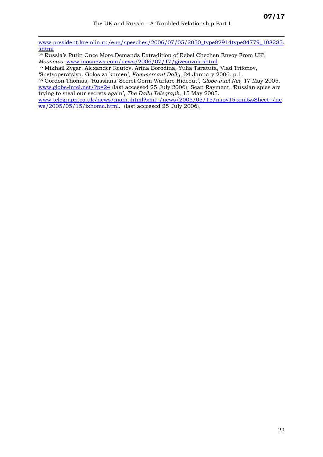[www.president.kremlin.ru/eng/speeches/2006/07/05/2050\\_type82914type84779\\_108285.](http://www.president.kremlin.ru/eng/speeches/2006/07/05/2050_type82914type84779_108285.shtml) [shtml](http://www.president.kremlin.ru/eng/speeches/2006/07/05/2050_type82914type84779_108285.shtml)

54 Russia's Putin Once More Demands Extradition of Rebel Chechen Envoy From UK', *Mosnews*, [www.mosnews.com/news/2006/07/17/givesuzak.shtml](http://www.mosnews.com/news/2006/07/17/givesuzak.shtml)

55 Mikhail Zygar, Alexander Reutov, Arina Borodina, Yulia Taratuta, Vlad Trifonov, 'Spetsoperatsiya. Golos za kamen', *Kommersant Daily*, 24 January 2006. p.1.

<sup>56</sup> Gordon Thomas, 'Russians' Secret Germ Warfare Hideout', *Globe-Intel Net*, 17 May 2005.

 $\overline{a}$ 

[www.globe-intel.net/?p=24](http://www.globe-intel.net/?p=24) (last accessed 25 July 2006); Sean Rayment, 'Russian spies are trying to steal our secrets again', *The Daily Telegraph*, 15 May 2005.

[www.telegraph.co.uk/news/main.jhtml?xml=/news/2005/05/15/nspy15.xml&sSheet=/ne](http://www.telegraph.co.uk/news/main.jhtml?xml=/news/2005/05/15/nspy15.xml&sSheet=/news/2005/05/15/ixhome.html) [ws/2005/05/15/ixhome.html.](http://www.telegraph.co.uk/news/main.jhtml?xml=/news/2005/05/15/nspy15.xml&sSheet=/news/2005/05/15/ixhome.html) (last accessed 25 July 2006).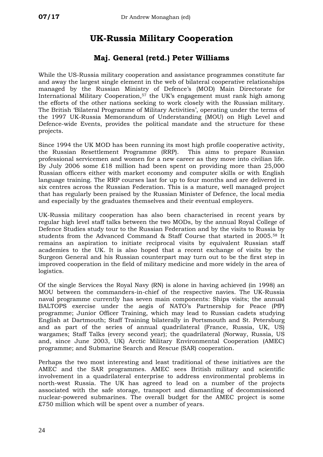# **UK-Russia Military Cooperation**

#### **Maj. General (retd.) Peter Williams**

While the US-Russia military cooperation and assistance programmes constitute far and away the largest single element in the web of bilateral cooperative relationships managed by the Russian Ministry of Defence's (MOD) Main Directorate for International Military Cooperation,[57](#page-28-1) the UK's engagement must rank high among the efforts of the other nations seeking to work closely with the Russian military. The British 'Bilateral Programme of Military Activities', operating under the terms of the 1997 UK-Russia Memorandum of Understanding (MOU) on High Level and Defence-wide Events, provides the political mandate and the structure for these projects.

Since 1994 the UK MOD has been running its most high profile cooperative activity, the Russian Resettlement Programme (RRP). This aims to prepare Russian professional servicemen and women for a new career as they move into civilian life. By July 2006 some £18 million had been spent on providing more than 25,000 Russian officers either with market economy and computer skills or with English language training. The RRP courses last for up to four months and are delivered in six centres across the Russian Federation. This is a mature, well managed project that has regularly been praised by the Russian Minister of Defence, the local media and especially by the graduates themselves and their eventual employers.

UK-Russia military cooperation has also been characterised in recent years by regular high level staff talks between the two MODs, by the annual Royal College of Defence Studies study tour to the Russian Federation and by the visits to Russia by students from the Advanced Command & Staff Course that started in 2005.[58](#page-31-0) It remains an aspiration to initiate reciprocal visits by equivalent Russian staff academies to the UK. It is also hoped that a recent exchange of visits by the Surgeon General and his Russian counterpart may turn out to be the first step in improved cooperation in the field of military medicine and more widely in the area of logistics.

Of the single Services the Royal Navy (RN) is alone in having achieved (in 1998) an MOU between the commanders-in-chief of the respective navies. The UK-Russia naval programme currently has seven main components: Ships visits; the annual BALTOPS exercise under the aegis of NATO's Partnership for Peace (PfP) programme; Junior Officer Training, which may lead to Russian cadets studying English at Dartmouth; Staff Training bilaterally in Portsmouth and St. Petersburg and as part of the series of annual quadrilateral (France, Russia, UK, US) wargames; Staff Talks (every second year); the quadrilateral (Norway, Russia, US and, since June 2003, UK) Arctic Military Environmental Cooperation (AMEC) programme; and Submarine Search and Rescue (SAR) cooperation.

Perhaps the two most interesting and least traditional of these initiatives are the AMEC and the SAR programmes. AMEC sees British military and scientific involvement in a quadrilateral enterprise to address environmental problems in north-west Russia. The UK has agreed to lead on a number of the projects associated with the safe storage, transport and dismantling of decommissioned nuclear-powered submarines. The overall budget for the AMEC project is some £750 million which will be spent over a number of years.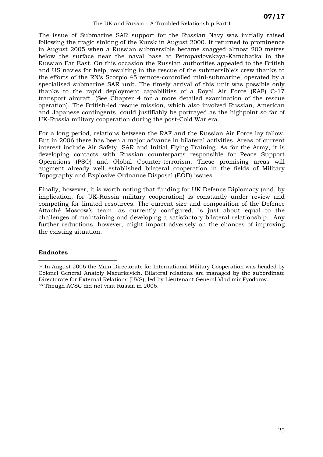<span id="page-28-0"></span>The issue of Submarine SAR support for the Russian Navy was initially raised following the tragic sinking of the Kursk in August 2000. It returned to prominence in August 2005 when a Russian submersible became snagged almost 200 metres below the surface near the naval base at Petropavlovskaya-Kamchatka in the Russian Far East. On this occasion the Russian authorities appealed to the British and US navies for help, resulting in the rescue of the submersible's crew thanks to the efforts of the RN's Scorpio 45 remote-controlled mini-submarine, operated by a specialised submarine SAR unit. The timely arrival of this unit was possible only thanks to the rapid deployment capabilities of a Royal Air Force (RAF) C-17 transport aircraft. (See Chapter 4 for a more detailed examination of the rescue operation). The British-led rescue mission, which also involved Russian, American and Japanese contingents, could justifiably be portrayed as the highpoint so far of UK-Russia military cooperation during the post-Cold War era.

For a long period, relations between the RAF and the Russian Air Force lay fallow. But in 2006 there has been a major advance in bilateral activities. Areas of current interest include Air Safety, SAR and Initial Flying Training. As for the Army, it is developing contacts with Russian counterparts responsible for Peace Support Operations (PSO) and Global Counter-terrorism. These promising areas will augment already well established bilateral cooperation in the fields of Military Topography and Explosive Ordnance Disposal (EOD) issues.

Finally, however, it is worth noting that funding for UK Defence Diplomacy (and, by implication, for UK-Russia military cooperation) is constantly under review and competing for limited resources. The current size and composition of the Defence Attaché Moscow's team, as currently configured, is just about equal to the challenges of maintaining and developing a satisfactory bilateral relationship. Any further reductions, however, might impact adversely on the chances of improving the existing situation.

#### **Endnotes**

<span id="page-28-1"></span> $\overline{a}$ 57 In August 2006 the Main Directorate for International Military Cooperation was headed by Colonel General Anatoly Mazurkevich. Bilateral relations are managed by the subordinate Directorate for External Relations (UVS), led by Lieutenant General Vladimir Fyodorov. <sup>58</sup> Though ACSC did not visit Russia in 2006.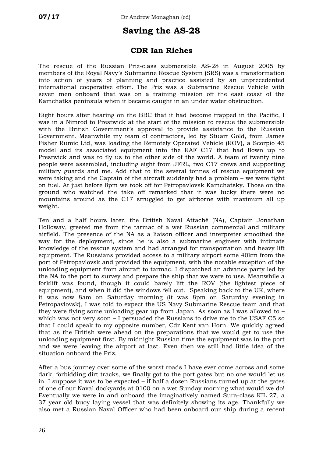# **Saving the AS-28**

#### **CDR Ian Riches**

The rescue of the Russian Priz-class submersible AS-28 in August 2005 by members of the Royal Navy's Submarine Rescue System (SRS) was a transformation into action of years of planning and practice assisted by an unprecedented international cooperative effort. The Priz was a Submarine Rescue Vehicle with seven men onboard that was on a training mission off the east coast of the Kamchatka peninsula when it became caught in an under water obstruction.

Eight hours after hearing on the BBC that it had become trapped in the Pacific, I was in a Nimrod to Prestwick at the start of the mission to rescue the submersible with the British Government's approval to provide assistance to the Russian Government. Meanwhile my team of contractors, led by Stuart Gold, from James Fisher Rumic Ltd, was loading the Remotely Operated Vehicle (ROV), a Scorpio 45 model and its associated equipment into the RAF C17 that had flown up to Prestwick and was to fly us to the other side of the world. A team of twenty nine people were assembled, including eight from JFRL, two C17 crews and supporting military guards and me. Add that to the several tonnes of rescue equipment we were taking and the Captain of the aircraft suddenly had a problem – we were tight on fuel. At just before 8pm we took off for Petropavlovsk Kamchatsky. Those on the ground who watched the take off remarked that it was lucky there were no mountains around as the C17 struggled to get airborne with maximum all up weight.

Ten and a half hours later, the British Naval Attaché (NA), Captain Jonathan Holloway, greeted me from the tarmac of a wet Russian commercial and military airfield. The presence of the NA as a liaison officer and interpreter smoothed the way for the deployment, since he is also a submarine engineer with intimate knowledge of the rescue system and had arranged for transportation and heavy lift equipment. The Russians provided access to a military airport some 40km from the port of Petropavlovsk and provided the equipment, with the notable exception of the unloading equipment from aircraft to tarmac. I dispatched an advance party led by the NA to the port to survey and prepare the ship that we were to use. Meanwhile a forklift was found, though it could barely lift the ROV (the lightest piece of equipment), and when it did the windows fell out. Speaking back to the UK, where it was now 8am on Saturday morning (it was 8pm on Saturday evening in Petropavlovsk), I was told to expect the US Navy Submarine Rescue team and that they were flying some unloading gear up from Japan. As soon as I was allowed to – which was not very soon – I persuaded the Russians to drive me to the USAF C5 so that I could speak to my opposite number, Cdr Kent van Horn. We quickly agreed that as the British were ahead on the preparations that we would get to use the unloading equipment first. By midnight Russian time the equipment was in the port and we were leaving the airport at last. Even then we still had little idea of the situation onboard the Priz.

After a bus journey over some of the worst roads I have ever come across and some dark, forbidding dirt tracks, we finally got to the port gates but no one would let us in. I suppose it was to be expected – if half a dozen Russians turned up at the gates of one of our Naval dockyards at 0100 on a wet Sunday morning what would we do! Eventually we were in and onboard the imaginatively named Sura-class KIL 27, a 37 year old buoy laying vessel that was definitely showing its age. Thankfully we also met a Russian Naval Officer who had been onboard our ship during a recent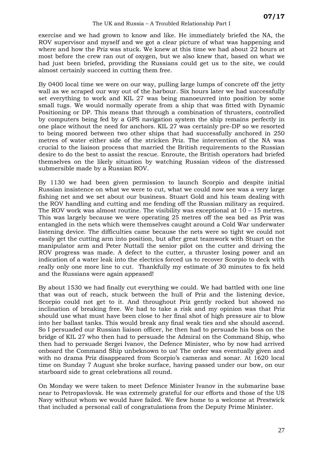#### The UK and Russia – A Troubled Relationship Part I

exercise and we had grown to know and like. He immediately briefed the NA, the ROV supervisor and myself and we got a clear picture of what was happening and where and how the Priz was stuck. We knew at this time we had about 22 hours at most before the crew ran out of oxygen, but we also knew that, based on what we had just been briefed, providing the Russians could get us to the site, we could almost certainly succeed in cutting them free.

By 0400 local time we were on our way, pulling large lumps of concrete off the jetty wall as we scraped our way out of the harbour. Six hours later we had successfully set everything to work and KIL 27 was being manoeuvred into position by some small tugs. We would normally operate from a ship that was fitted with Dynamic Positioning or DP. This means that through a combination of thrusters, controlled by computers being fed by a GPS navigation system the ship remains perfectly in one place without the need for anchors. KIL 27 was certainly pre-DP so we resorted to being moored between two other ships that had successfully anchored in 250 metres of water either side of the stricken Priz. The intervention of the NA was crucial to the liaison process that married the British requirements to the Russian desire to do the best to assist the rescue. Enroute, the British operators had briefed themselves on the likely situation by watching Russian videos of the distressed submersible made by a Russian ROV.

By 1130 we had been given permission to launch Scorpio and despite initial Russian insistence on what we were to cut, what we could now see was a very large fishing net and we set about our business. Stuart Gold and his team dealing with the ROV handling and cutting and me fending off the Russian military as required. The ROV work was almost routine. The visibility was exceptional at 10 – 15 metres. This was largely because we were operating 25 metres off the sea bed as Priz was entangled in the nets which were themselves caught around a Cold War underwater listening device. The difficulties came because the nets were so tight we could not easily get the cutting arm into position, but after great teamwork with Stuart on the manipulator arm and Peter Nuttall the senior pilot on the cutter and driving the ROV progress was made. A defect to the cutter, a thruster losing power and an indication of a water leak into the electrics forced us to recover Scorpio to deck with really only one more line to cut. Thankfully my estimate of 30 minutes to fix held and the Russians were again appeased!

By about 1530 we had finally cut everything we could. We had battled with one line that was out of reach, stuck between the hull of Priz and the listening device, Scorpio could not get to it. And throughout Priz gently rocked but showed no inclination of breaking free. We had to take a risk and my opinion was that Priz should use what must have been close to her final shot of high pressure air to blow into her ballast tanks. This would break any final weak ties and she should ascend. So I persuaded our Russian liaison officer, he then had to persuade his boss on the bridge of KIL 27 who then had to persuade the Admiral on the Command Ship, who then had to persuade Sergei Ivanov, the Defence Minister, who by now had arrived onboard the Command Ship unbeknown to us! The order was eventually given and with no drama Priz disappeared from Scorpio's cameras and sonar. At 1620 local time on Sunday 7 August she broke surface, having passed under our bow, on our starboard side to great celebrations all round.

On Monday we were taken to meet Defence Minister Ivanov in the submarine base near to Petropavlovsk. He was extremely grateful for our efforts and those of the US Navy without whom we would have failed. We flew home to a welcome at Prestwick that included a personal call of congratulations from the Deputy Prime Minister.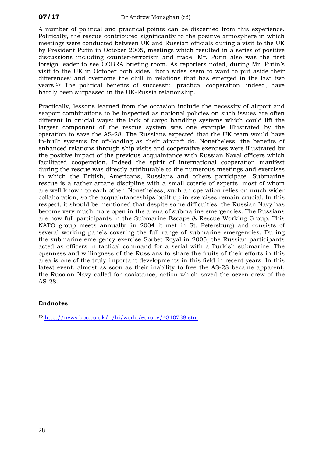A number of political and practical points can be discerned from this experience. Politically, the rescue contributed significantly to the positive atmosphere in which meetings were conducted between UK and Russian officials during a visit to the UK by President Putin in October 2005, meetings which resulted in a series of positive discussions including counter-terrorism and trade. Mr. Putin also was the first foreign leader to see COBRA briefing room. As reporters noted, during Mr. Putin's visit to the UK in October both sides, 'both sides seem to want to put aside their differences' and overcome the chill in relations that has emerged in the last two years.[59](#page-41-0) The political benefits of successful practical cooperation, indeed, have hardly been surpassed in the UK-Russia relationship.

Practically, lessons learned from the occasion include the necessity of airport and seaport combinations to be inspected as national policies on such issues are often different in crucial ways: the lack of cargo handling systems which could lift the largest component of the rescue system was one example illustrated by the operation to save the AS-28. The Russians expected that the UK team would have in-built systems for off-loading as their aircraft do. Nonetheless, the benefits of enhanced relations through ship visits and cooperative exercises were illustrated by the positive impact of the previous acquaintance with Russian Naval officers which facilitated cooperation. Indeed the spirit of international cooperation manifest during the rescue was directly attributable to the numerous meetings and exercises in which the British, Americans, Russians and others participate. Submarine rescue is a rather arcane discipline with a small coterie of experts, most of whom are well known to each other. Nonetheless, such an operation relies on much wider collaboration, so the acquaintanceships built up in exercises remain crucial. In this respect, it should be mentioned that despite some difficulties, the Russian Navy has become very much more open in the arena of submarine emergencies. The Russians are now full participants in the Submarine Escape & Rescue Working Group. This NATO group meets annually (in 2004 it met in St. Petersburg) and consists of several working panels covering the full range of submarine emergencies. During the submarine emergency exercise Sorbet Royal in 2005, the Russian participants acted as officers in tactical command for a serial with a Turkish submarine. The openness and willingness of the Russians to share the fruits of their efforts in this area is one of the truly important developments in this field in recent years. In this latest event, almost as soon as their inability to free the AS-28 became apparent, the Russian Navy called for assistance, action which saved the seven crew of the AS-28.

#### <span id="page-31-0"></span>**Endnotes**

 $\overline{a}$ <sup>59</sup> <http://news.bbc.co.uk/1/hi/world/europe/4310738.stm>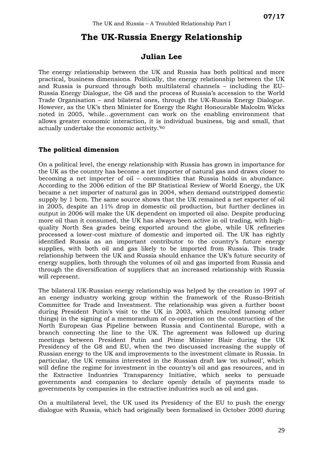# **The UK-Russia Energy Relationship**

#### **Julian Lee**

The energy relationship between the UK and Russia has both political and more practical, business dimensions. Politically, the energy relationship between the UK and Russia is pursued through both multilateral channels – including the EU-Russia Energy Dialogue, the G8 and the process of Russia's accession to the World Trade Organisation – and bilateral ones, through the UK-Russia Energy Dialogue. However, as the UK's then Minister for Energy the Right Honourable Malcolm Wicks noted in 2005, 'while…government can work on the enabling environment that allows greater economic interaction, it is individual business, big and small, that actually undertake the economic activity.'[60](#page-41-1)

#### **The political dimension**

On a political level, the energy relationship with Russia has grown in importance for the UK as the country has become a net importer of natural gas and draws closer to becoming a net importer of oil – commodities that Russia holds in abundance. According to the 2006 edition of the BP Statistical Review of World Energy, the UK became a net importer of natural gas in 2004, when demand outstripped domestic supply by 1 bcm. The same source shows that the UK remained a net exporter of oil in 2005, despite an 11% drop in domestic oil production, but further declines in output in 2006 will make the UK dependent on imported oil also. Despite producing more oil than it consumed, the UK has always been active in oil trading, with highquality North Sea grades being exported around the globe, while UK refineries processed a lower-cost mixture of domestic and imported oil. The UK has rightly identified Russia as an important contributor to the country's future energy supplies, with both oil and gas likely to be imported from Russia. This trade relationship between the UK and Russia should enhance the UK's future security of energy supplies, both through the volumes of oil and gas imported from Russia and through the diversification of suppliers that an increased relationship with Russia will represent.

The bilateral UK-Russian energy relationship was helped by the creation in 1997 of an energy industry working group within the framework of the Russo-British Committee for Trade and Investment. The relationship was given a further boost during President Putin's visit to the UK in 2003, which resulted (among other things) in the signing of a memorandum of co-operation on the construction of the North European Gas Pipeline between Russia and Continental Europe, with a branch connecting the line to the UK. The agreement was followed up during meetings between President Putin and Prime Minister Blair during the UK Presidency of the G8 and EU, when the two discussed increasing the supply of Russian energy to the UK and improvements to the investment climate in Russia. In particular, the UK remains interested in the Russian draft law 'on subsoil', which will define the regime for investment in the country's oil and gas resources, and in the Extractive Industries Transparency Initiative, which seeks to persuade governments and companies to declare openly details of payments made to governments by companies in the extractive industries such as oil and gas.

On a multilateral level, the UK used its Presidency of the EU to push the energy dialogue with Russia, which had originally been formalised in October 2000 during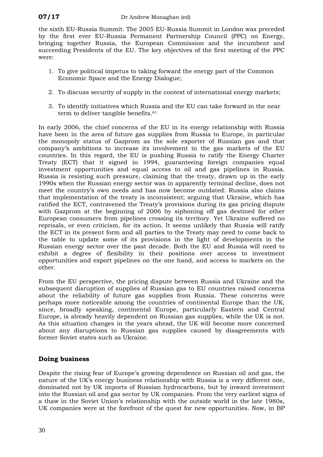the sixth EU-Russia Summit. The 2005 EU-Russia Summit in London was preceded by the first ever EU-Russia Permanent Partnership Council (PPC) on Energy, bringing together Russia, the European Commission and the incumbent and succeeding Presidents of the EU. The key objectives of the first meeting of the PPC were:

- 1. To give political impetus to taking forward the energy part of the Common Economic Space and the Energy Dialogue;
- 2. To discuss security of supply in the context of international energy markets;
- 3. To identify initiatives which Russia and the EU can take forward in the near term to deliver tangible benefits.<sup>[61](#page-41-2)</sup>

In early 2006, the chief concerns of the EU in its energy relationship with Russia have been in the area of future gas supplies from Russia to Europe, in particular the monopoly status of Gazprom as the sole exporter of Russian gas and that company's ambitions to increase its involvement in the gas markets of the EU countries. In this regard, the EU is pushing Russia to ratify the Energy Charter Treaty (ECT) that it signed in 1994, guaranteeing foreign companies equal investment opportunities and equal access to oil and gas pipelines in Russia. Russia is resisting such pressure, claiming that the treaty, drawn up in the early 1990s when the Russian energy sector was in apparently terminal decline, does not meet the country's own needs and has now become outdated. Russia also claims that implementation of the treaty is inconsistent; arguing that Ukraine, which has ratified the ECT, contravened the Treaty's provisions during its gas pricing dispute with Gazprom at the beginning of 2006 by siphoning off gas destined for other European consumers from pipelines crossing its territory. Yet Ukraine suffered no reprisals, or even criticism, for its action. It seems unlikely that Russia will ratify the ECT in its present form and all parties to the Treaty may need to come back to the table to update some of its provisions in the light of developments in the Russian energy sector over the past decade. Both the EU and Russia will need to exhibit a degree of flexibility in their positions over access to investment opportunities and export pipelines on the one hand, and access to markets on the other.

From the EU perspective, the pricing dispute between Russia and Ukraine and the subsequent disruption of supplies of Russian gas to EU countries raised concerns about the reliability of future gas supplies from Russia. These concerns were perhaps more noticeable among the countries of continental Europe than the UK, since, broadly speaking, continental Europe, particularly Eastern and Central Europe, is already heavily dependent on Russian gas supplies, while the UK is not. As this situation changes in the years ahead, the UK will become more concerned about any disruptions to Russian gas supplies caused by disagreements with former Soviet states such as Ukraine.

#### **Doing business**

Despite the rising fear of Europe's growing dependence on Russian oil and gas, the nature of the UK's energy business relationship with Russia is a very different one, dominated not by UK imports of Russian hydrocarbons, but by inward investment into the Russian oil and gas sector by UK companies. From the very earliest signs of a thaw in the Soviet Union's relationship with the outside world in the late 1980s, UK companies were at the forefront of the quest for new opportunities. Now, in BP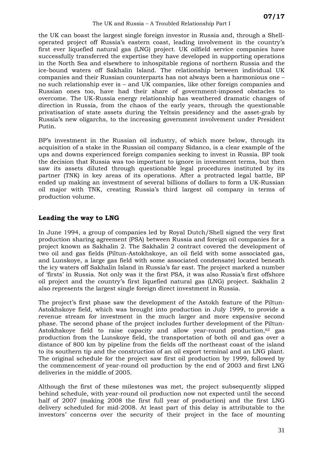the UK can boast the largest single foreign investor in Russia and, through a Shelloperated project off Russia's eastern coast, leading involvement in the country's first ever liquefied natural gas (LNG) project. UK oilfield service companies have successfully transferred the expertise they have developed in supporting operations in the North Sea and elsewhere to inhospitable regions of northern Russia and the ice-bound waters off Sakhalin Island. The relationship between individual UK companies and their Russian counterparts has not always been a harmonious one – no such relationship ever is – and UK companies, like other foreign companies and Russian ones too, have had their share of government-imposed obstacles to overcome. The UK-Russia energy relationship has weathered dramatic changes of direction in Russia, from the chaos of the early years, through the questionable privatisation of state assets during the Yeltsin presidency and the asset-grab by Russia's new oligarchs, to the increasing government involvement under President Putin.

BP's investment in the Russian oil industry, of which more below, through its acquisition of a stake in the Russian oil company Sidanco, is a clear example of the ups and downs experienced foreign companies seeking to invest in Russia. BP took the decision that Russia was too important to ignore in investment terms, but then saw its assets diluted through questionable legal procedures instituted by its partner (TNK) in key areas of its operations. After a protracted legal battle, BP ended up making an investment of several billions of dollars to form a UK-Russian oil major with TNK, creating Russia's third largest oil company in terms of production volume.

#### **Leading the way to LNG**

In June 1994, a group of companies led by Royal Dutch/Shell signed the very first production sharing agreement (PSA) between Russia and foreign oil companies for a project known as Sakhalin 2. The Sakhalin 2 contract covered the development of two oil and gas fields (Piltun-Astokhskoye, an oil field with some associated gas, and Lunskoye, a large gas field with some associated condensate) located beneath the icy waters off Sakhalin Island in Russia's far east. The project marked a number of 'firsts' in Russia. Not only was it the first PSA, it was also Russia's first offshore oil project and the country's first liquefied natural gas (LNG) project. Sakhalin 2 also represents the largest single foreign direct investment in Russia.

The project's first phase saw the development of the Astokh feature of the Piltun-Astokhskoye field, which was brought into production in July 1999, to provide a revenue stream for investment in the much larger and more expensive second phase. The second phase of the project includes further development of the Piltun-Astokhskoye field to raise capacity and allow year-round production,[62](#page-41-3) gas production from the Lunskoye field, the transportation of both oil and gas over a distance of 800 km by pipeline from the fields off the northeast coast of the island to its southern tip and the construction of an oil export terminal and an LNG plant. The original schedule for the project saw first oil production by 1999, followed by the commencement of year-round oil production by the end of 2003 and first LNG deliveries in the middle of 2005.

Although the first of these milestones was met, the project subsequently slipped behind schedule, with year-round oil production now not expected until the second half of 2007 (making 2008 the first full year of production) and the first LNG delivery scheduled for mid-2008. At least part of this delay is attributable to the investors' concerns over the security of their project in the face of mounting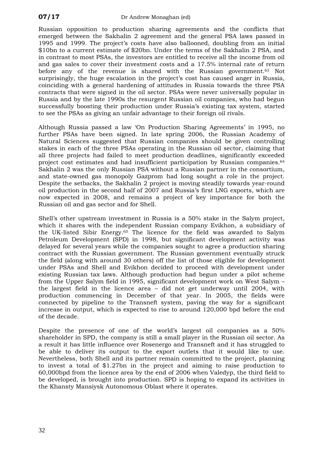Russian opposition to production sharing agreements and the conflicts that emerged between the Sakhalin 2 agreement and the general PSA laws passed in 1995 and 1999. The project's costs have also ballooned, doubling from an initial \$10bn to a current estimate of \$20bn. Under the terms of the Sakhalin 2 PSA, and in contrast to most PSAs, the investors are entitled to receive all the income from oil and gas sales to cover their investment costs and a 17.5% internal rate of return before any of the revenue is shared with the Russian government.[63](#page-41-4) Not surprisingly, the huge escalation in the project's cost has caused anger in Russia, coinciding with a general hardening of attitudes in Russia towards the three PSA contracts that were signed in the oil sector. PSAs were never universally popular in Russia and by the late 1990s the resurgent Russian oil companies, who had begun successfully boosting their production under Russia's existing tax system, started to see the PSAs as giving an unfair advantage to their foreign oil rivals.

Although Russia passed a law 'On Production Sharing Agreements' in 1995, no further PSAs have been signed. In late spring 2006, the Russian Academy of Natural Sciences suggested that Russian companies should be given controlling stakes in each of the three PSAs operating in the Russian oil sector, claiming that all three projects had failed to meet production deadlines, significantly exceeded project cost estimates and had insufficient participation by Russian companies.[64](#page-41-5) Sakhalin 2 was the only Russian PSA without a Russian partner in the consortium, and state-owned gas monopoly Gazprom had long sought a role in the project. Despite the setbacks, the Sakhalin 2 project is moving steadily towards year-round oil production in the second half of 2007 and Russia's first LNG exports, which are now expected in 2008, and remains a project of key importance for both the Russian oil and gas sector and for Shell.

Shell's other upstream investment in Russia is a 50% stake in the Salym project, which it shares with the independent Russian company Evikhon, a subsidiary of the UK-listed Sibir Energy.[65](#page-41-6) The licence for the field was awarded to Salym Petroleum Development (SPD) in 1998, but significant development activity was delayed for several years while the companies sought to agree a production sharing contract with the Russian government. The Russian government eventually struck the field (along with around 30 others) off the list of those eligible for development under PSAs and Shell and Evikhon decided to proceed with development under existing Russian tax laws. Although production had begun under a pilot scheme from the Upper Salym field in 1995, significant development work on West Salym – the largest field in the licence area – did not get underway until 2004, with production commencing in December of that year. In 2005, the fields were connected by pipeline to the Transneft system, paving the way for a significant increase in output, which is expected to rise to around 120,000 bpd before the end of the decade.

Despite the presence of one of the world's largest oil companies as a 50% shareholder in SPD, the company is still a small player in the Russian oil sector. As a result it has little influence over Rosenergo and Transneft and it has struggled to be able to deliver its output to the export outlets that it would like to use. Nevertheless, both Shell and its partner remain committed to the project, planning to invest a total of \$1.27bn in the project and aiming to raise production to 60,000bpd from the licence area by the end of 2006 when Valedyp, the third field to be developed, is brought into production. SPD is hoping to expand its activities in the Khansty Mansiysk Autonomous Oblast where it operates.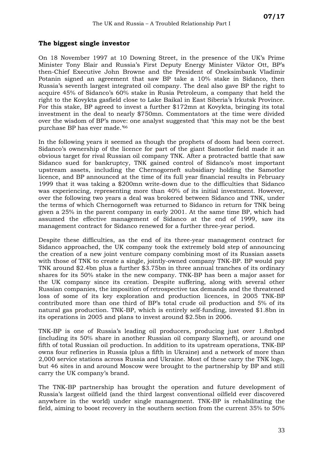#### **The biggest single investor**

On 18 November 1997 at 10 Downing Street, in the presence of the UK's Prime Minister Tony Blair and Russia's First Deputy Energy Minister Viktor Ott, BP's then-Chief Executive John Browne and the President of Oneksimbank Vladimir Potanin signed an agreement that saw BP take a 10% stake in Sidanco, then Russia's seventh largest integrated oil company. The deal also gave BP the right to acquire 45% of Sidanco's 60% stake in Rusia Petroleum, a company that held the right to the Kovykta gasfield close to Lake Baikal in East Siberia's Irkutsk Province. For this stake, BP agreed to invest a further \$172mn at Kovykta, bringing its total investment in the deal to nearly \$750mn. Commentators at the time were divided over the wisdom of BP's move: one analyst suggested that 'this may not be the best purchase BP has ever made.'[66](#page-41-7)

In the following years it seemed as though the prophets of doom had been correct. Sidanco's ownership of the licence for part of the giant Samotlor field made it an obvious target for rival Russian oil company TNK. After a protracted battle that saw Sidanco sued for bankruptcy, TNK gained control of Sidanco's most important upstream assets, including the Chernogorneft subsidiary holding the Samotlor licence, and BP announced at the time of its full year financial results in February 1999 that it was taking a \$200mn write-down due to the difficulties that Sidanco was experiencing, representing more than 40% of its initial investment. However, over the following two years a deal was brokered between Sidanco and TNK, under the terms of which Chernogorneft was returned to Sidanco in return for TNK being given a 25% in the parent company in early 2001. At the same time BP, which had assumed the effective management of Sidanco at the end of 1999, saw its management contract for Sidanco renewed for a further three-year period.

Despite these difficulties, as the end of its three-year management contract for Sidanco approached, the UK company took the extremely bold step of announcing the creation of a new joint venture company combining most of its Russian assets with those of TNK to create a single, jointly-owned company TNK-BP. BP would pay TNK around \$2.4bn plus a further \$3.75bn in three annual tranches of its ordinary shares for its 50% stake in the new company. TNK-BP has been a major asset for the UK company since its creation. Despite suffering, along with several other Russian companies, the imposition of retrospective tax demands and the threatened loss of some of its key exploration and production licences, in 2005 TNK-BP contributed more than one third of BP's total crude oil production and 5% of its natural gas production. TNK-BP, which is entirely self-funding, invested \$1.8bn in its operations in 2005 and plans to invest around \$2.5bn in 2006.

TNK-BP is one of Russia's leading oil producers, producing just over 1.8mbpd (including its 50% share in another Russian oil company Slavneft), or around one fifth of total Russian oil production. In addition to its upstream operations, TNK-BP owns four refineries in Russia (plus a fifth in Ukraine) and a network of more than 2,000 service stations across Russia and Ukraine. Most of these carry the TNK logo, but 46 sites in and around Moscow were brought to the partnership by BP and still carry the UK company's brand.

The TNK-BP partnership has brought the operation and future development of Russia's largest oilfield (and the third largest conventional oilfield ever discovered anywhere in the world) under single management. TNK-BP is rehabilitating the field, aiming to boost recovery in the southern section from the current 35% to 50%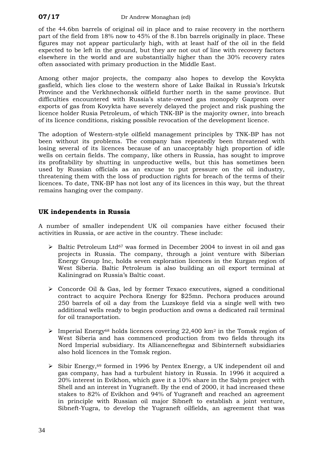of the 44.6bn barrels of original oil in place and to raise recovery in the northern part of the field from 18% now to 45% of the 8.1bn barrels originally in place. These figures may not appear particularly high, with at least half of the oil in the field expected to be left in the ground, but they are not out of line with recovery factors elsewhere in the world and are substantially higher than the 30% recovery rates often associated with primary production in the Middle East.

Among other major projects, the company also hopes to develop the Kovykta gasfield, which lies close to the western shore of Lake Baikal in Russia's Irkutsk Province and the Verkhnechonsk oilfield further north in the same province. But difficulties encountered with Russia's state-owned gas monopoly Gazprom over exports of gas from Kovykta have severely delayed the project and risk pushing the licence holder Rusia Petroleum, of which TNK-BP is the majority owner, into breach of its licence conditions, risking possible revocation of the development licence.

The adoption of Western-style oilfield management principles by TNK-BP has not been without its problems. The company has repeatedly been threatened with losing several of its licences because of an unacceptably high proportion of idle wells on certain fields. The company, like others in Russia, has sought to improve its profitability by shutting in unproductive wells, but this has sometimes been used by Russian officials as an excuse to put pressure on the oil industry, threatening them with the loss of production rights for breach of the terms of their licences. To date, TNK-BP has not lost any of its licences in this way, but the threat remains hanging over the company.

#### **UK independents in Russia**

A number of smaller independent UK oil companies have either focused their activities in Russia, or are active in the country. These include:

- $\triangleright$  Baltic Petroleum Ltd<sup>67</sup> was formed in December 2004 to invest in oil and gas projects in Russia. The company, through a joint venture with Siberian Energy Group Inc, holds seven exploration licences in the Kurgan region of West Siberia. Baltic Petroleum is also building an oil export terminal at Kaliningrad on Russia's Baltic coast.
- $\geq$  Concorde Oil & Gas, led by former Texaco executives, signed a conditional contract to acquire Pechora Energy for \$25mn. Pechora produces around 250 barrels of oil a day from the Luzskoye field via a single well with two additional wells ready to begin production and owns a dedicated rail terminal for oil transportation.
- $\triangleright$  Imperial Energy<sup>68</sup> holds licences covering 22,400 km<sup>2</sup> in the Tomsk region of West Siberia and has commenced production from two fields through its Nord Imperial subsidiary. Its Allianceneftegaz and Sibinterneft subsidiaries also hold licences in the Tomsk region.
- $\geq$  Sibir Energy,<sup>69</sup> formed in 1996 by Pentex Energy, a UK independent oil and gas company, has had a turbulent history in Russia. In 1996 it acquired a 20% interest in Evikhon, which gave it a 10% share in the Salym project with Shell and an interest in Yugraneft. By the end of 2000, it had increased these stakes to 82% of Evikhon and 94% of Yugraneft and reached an agreement in principle with Russian oil major Sibneft to establish a joint venture, Sibneft-Yugra, to develop the Yugraneft oilfields, an agreement that was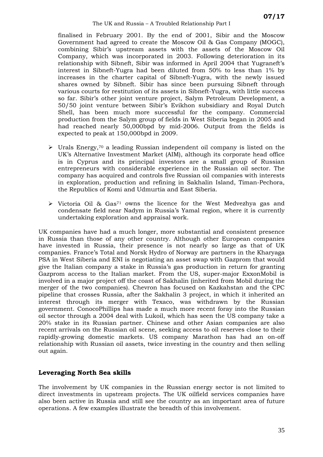finalised in February 2001. By the end of 2001, Sibir and the Moscow Government had agreed to create the Moscow Oil & Gas Company (MOGC), combining Sibir's upstream assets with the assets of the Moscow Oil Company, which was incorporated in 2003. Following deterioration in its relationship with Sibneft, Sibir was informed in April 2004 that Yugraneft's interest in Sibneft-Yugra had been diluted from 50% to less than 1% by increases in the charter capital of Sibneft-Yugra, with the newly issued shares owned by Sibneft. Sibir has since been pursuing Sibneft through various courts for restitution of its assets in Sibneft-Yugra, with little success so far. Sibir's other joint venture project, Salym Petroleum Development, a 50/50 joint venture between Sibir's Evikhon subsidiary and Royal Dutch Shell, has been much more successful for the company. Commercial production from the Salym group of fields in West Siberia began in 2005 and had reached nearly 50,000bpd by mid-2006. Output from the fields is expected to peak at 150,000bpd in 2009.

- $\triangleright$  Urals Energy,<sup>70</sup> a leading Russian independent oil company is listed on the UK's Alternative Investment Market (AIM), although its corporate head office is in Cyprus and its principal investors are a small group of Russian entrepreneurs with considerable experience in the Russian oil sector. The company has acquired and controls five Russian oil companies with interests in exploration, production and refining in Sakhalin Island, Timan-Pechora, the Republics of Komi and Udmurtia and East Siberia.
- $\triangleright$  Victoria Oil & Gas<sup>71</sup> owns the licence for the West Medvezhya gas and condensate field near Nadym in Russia's Yamal region, where it is currently undertaking exploration and appraisal work.

UK companies have had a much longer, more substantial and consistent presence in Russia than those of any other country. Although other European companies have invested in Russia, their presence is not nearly so large as that of UK companies. France's Total and Norsk Hydro of Norway are partners in the Kharyaga PSA in West Siberia and ENI is negotiating an asset swap with Gazprom that would give the Italian company a stake in Russia's gas production in return for granting Gazprom access to the Italian market. From the US, super-major ExxonMobil is involved in a major project off the coast of Sakhalin (inherited from Mobil during the merger of the two companies). Chevron has focused on Kazkahstan and the CPC pipeline that crosses Russia, after the Sakhalin 3 project, in which it inherited an interest through its merger with Texaco, was withdrawn by the Russian government. ConocoPhillips has made a much more recent foray into the Russian oil sector through a 2004 deal with Lukoil, which has seen the US company take a 20% stake in its Russian partner. Chinese and other Asian companies are also recent arrivals on the Russian oil scene, seeking access to oil reserves close to their rapidly-growing domestic markets. US company Marathon has had an on-off relationship with Russian oil assets, twice investing in the country and then selling out again.

#### **Leveraging North Sea skills**

The involvement by UK companies in the Russian energy sector is not limited to direct investments in upstream projects. The UK oilfield services companies have also been active in Russia and still see the country as an important area of future operations. A few examples illustrate the breadth of this involvement.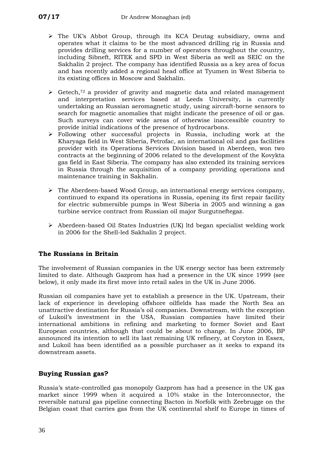- ¾ The UK's Abbot Group, through its KCA Deutag subsidiary, owns and operates what it claims to be the most advanced drilling rig in Russia and provides drilling services for a number of operators throughout the country, including Sibneft, RITEK and SPD in West Siberia as well as SEIC on the Sakhalin 2 project. The company has identified Russia as a key area of focus and has recently added a regional head office at Tyumen in West Siberia to its existing offices in Moscow and Sakhalin.
- $\triangleright$  Getech,<sup>72</sup> a provider of gravity and magnetic data and related management and interpretation services based at Leeds University, is currently undertaking an Russian aeromagnetic study, using aircraft-borne sensors to search for magnetic anomalies that might indicate the presence of oil or gas. Such surveys can cover wide areas of otherwise inaccessible country to provide initial indications of the presence of hydrocarbons.
- ¾ Following other successful projects in Russia, including work at the Kharyaga field in West Siberia, Petrofac, an international oil and gas facilities provider with its Operations Services Division based in Aberdeen, won two contracts at the beginning of 2006 related to the development of the Kovykta gas field in East Siberia. The company has also extended its training services in Russia through the acquisition of a company providing operations and maintenance training in Sakhalin.
- $\triangleright$  The Aberdeen-based Wood Group, an international energy services company, continued to expand its operations in Russia, opening its first repair facility for electric submersible pumps in West Siberia in 2005 and winning a gas turbine service contract from Russian oil major Surgutneftegaz.
- ¾ Aberdeen-based Oil States Industries (UK) ltd began specialist welding work in 2006 for the Shell-led Sakhalin 2 project.

#### **The Russians in Britain**

The involvement of Russian companies in the UK energy sector has been extremely limited to date. Although Gazprom has had a presence in the UK since 1999 (see below), it only made its first move into retail sales in the UK in June 2006.

Russian oil companies have yet to establish a presence in the UK. Upstream, their lack of experience in developing offshore oilfields has made the North Sea an unattractive destination for Russia's oil companies. Downstream, with the exception of Lukoil's investment in the USA, Russian companies have limited their international ambitions in refining and marketing to former Soviet and East European countries, although that could be about to change. In June 2006, BP announced its intention to sell its last remaining UK refinery, at Coryton in Essex, and Lukoil has been identified as a possible purchaser as it seeks to expand its downstream assets.

#### **Buying Russian gas?**

Russia's state-controlled gas monopoly Gazprom has had a presence in the UK gas market since 1999 when it acquired a 10% stake in the Interconnector, the reversible natural gas pipeline connecting Bacton in Norfolk with Zeebrugge on the Belgian coast that carries gas from the UK continental shelf to Europe in times of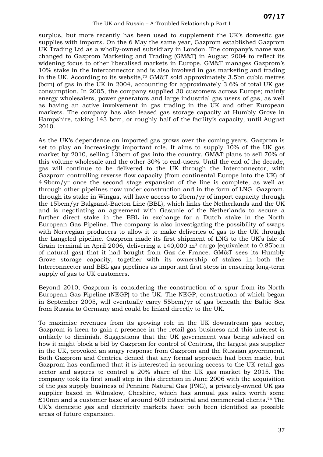surplus, but more recently has been used to supplement the UK's domestic gas supplies with imports. On the 6 May the same year, Gazprom established Gazprom UK Trading Ltd as a wholly-owned subsidiary in London. The company's name was changed to Gazprom Marketing and Trading (GM&T) in August 2004 to reflect its widening focus to other liberalised markets in Europe. GM&T manages Gazprom's 10% stake in the Interconnector and is also involved in gas marketing and trading in the UK. According to its website,[73](#page-41-14) GM&T sold approximately 3.5bn cubic metres (bcm) of gas in the UK in 2004, accounting for approximately 3.6% of total UK gas consumption. In 2005, the company supplied 30 customers across Europe; mainly energy wholesalers, power generators and large industrial gas users of gas, as well as having an active involvement in gas trading in the UK and other European markets. The company has also leased gas storage capacity at Humbly Grove in Hampshire, taking 143 bcm, or roughly half of the facility's capacity, until August 2010.

As the UK's dependence on imported gas grows over the coming years, Gazprom is set to play an increasingly important role. It aims to supply 10% of the UK gas market by 2010, selling 13bcm of gas into the country. GM&T plans to sell 70% of this volume wholesale and the other 30% to end-users. Until the end of the decade, gas will continue to be delivered to the UK through the Interconnector, with Gazprom controlling reverse flow capacity (from continental Europe into the UK) of 4.9bcm/yr once the second stage expansion of the line is complete, as well as through other pipelines now under construction and in the form of LNG. Gazprom, through its stake in Wingas, will have access to 2bcm/yr of import capacity through the 15bcm/yr Balgzand-Bacton Line (BBL), which links the Netherlands and the UK and is negotiating an agreement with Gasunie of the Netherlands to secure a further direct stake in the BBL in exchange for a Dutch stake in the North European Gas Pipeline. The company is also investigating the possibility of swaps with Norwegian producers to allow it to make deliveries of gas to the UK through the Langeled pipeline. Gazprom made its first shipment of LNG to the UK's Isle of Grain terminal in April 2006, delivering a 140,000 m<sup>3</sup> cargo (equivalent to 0.85bcm of natural gas) that it had bought from Gaz de France. GM&T sees its Humbly Grove storage capacity, together with its ownership of stakes in both the Interconnector and BBL gas pipelines as important first steps in ensuring long-term supply of gas to UK customers.

Beyond 2010, Gazprom is considering the construction of a spur from its North European Gas Pipeline (NEGP) to the UK. The NEGP, construction of which began in September 2005, will eventually carry 55bcm/yr of gas beneath the Baltic Sea from Russia to Germany and could be linked directly to the UK.

To maximise revenues from its growing role in the UK downstream gas sector, Gazprom is keen to gain a presence in the retail gas business and this interest is unlikely to diminish. Suggestions that the UK government was being advised on how it might block a bid by Gazprom for control of Centrica, the largest gas supplier in the UK, provoked an angry response from Gazprom and the Russian government. Both Gazprom and Centrica denied that any formal approach had been made, but Gazprom has confirmed that it is interested in securing access to the UK retail gas sector and aspires to control a 20% share of the UK gas market by 2015. The company took its first small step in this direction in June 2006 with the acquisition of the gas supply business of Pennine Natural Gas (PNG), a privately-owned UK gas supplier based in Wilmslow, Cheshire, which has annual gas sales worth some £10mn and a customer base of around 600 industrial and commercial clients.[74](#page-53-0) The UK's domestic gas and electricity markets have both been identified as possible areas of future expansion.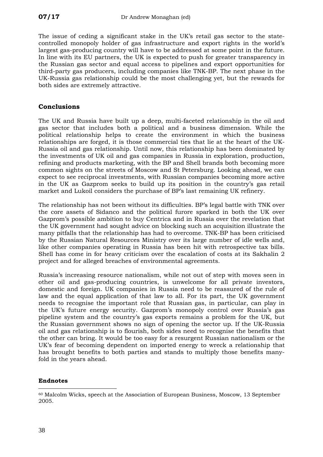<span id="page-41-3"></span><span id="page-41-2"></span>The issue of ceding a significant stake in the UK's retail gas sector to the statecontrolled monopoly holder of gas infrastructure and export rights in the world's largest gas-producing country will have to be addressed at some point in the future. In line with its EU partners, the UK is expected to push for greater transparency in the Russian gas sector and equal access to pipelines and export opportunities for third-party gas producers, including companies like TNK-BP. The next phase in the UK-Russia gas relationship could be the most challenging yet, but the rewards for both sides are extremely attractive.

#### <span id="page-41-6"></span><span id="page-41-5"></span><span id="page-41-4"></span>**Conclusions**

<span id="page-41-13"></span><span id="page-41-12"></span><span id="page-41-11"></span><span id="page-41-10"></span><span id="page-41-9"></span><span id="page-41-8"></span><span id="page-41-7"></span>The UK and Russia have built up a deep, multi-faceted relationship in the oil and gas sector that includes both a political and a business dimension. While the political relationship helps to create the environment in which the business relationships are forged, it is those commercial ties that lie at the heart of the UK-Russia oil and gas relationship. Until now, this relationship has been dominated by the investments of UK oil and gas companies in Russia in exploration, production, refining and products marketing, with the BP and Shell brands both becoming more common sights on the streets of Moscow and St Petersburg. Looking ahead, we can expect to see reciprocal investments, with Russian companies becoming more active in the UK as Gazprom seeks to build up its position in the country's gas retail market and Lukoil considers the purchase of BP's last remaining UK refinery.

<span id="page-41-14"></span>The relationship has not been without its difficulties. BP's legal battle with TNK over the core assets of Sidanco and the political furore sparked in both the UK over Gazprom's possible ambition to buy Centrica and in Russia over the revelation that the UK government had sought advice on blocking such an acquisition illustrate the many pitfalls that the relationship has had to overcome. TNK-BP has been criticised by the Russian Natural Resources Ministry over its large number of idle wells and, like other companies operating in Russia has been hit with retrospective tax bills. Shell has come in for heavy criticism over the escalation of costs at its Sakhalin 2 project and for alleged breaches of environmental agreements.

<span id="page-41-0"></span>Russia's increasing resource nationalism, while not out of step with moves seen in other oil and gas-producing countries, is unwelcome for all private investors, domestic and foreign. UK companies in Russia need to be reassured of the rule of law and the equal application of that law to all. For its part, the UK government needs to recognise the important role that Russian gas, in particular, can play in the UK's future energy security. Gazprom's monopoly control over Russia's gas pipeline system and the country's gas exports remains a problem for the UK, but the Russian government shows no sign of opening the sector up. If the UK-Russia oil and gas relationship is to flourish, both sides need to recognise the benefits that the other can bring. It would be too easy for a resurgent Russian nationalism or the UK's fear of becoming dependent on imported energy to wreck a relationship that has brought benefits to both parties and stands to multiply those benefits manyfold in the years ahead.

#### **Endnotes**

 $\overline{a}$ 

<span id="page-41-1"></span><sup>60</sup> Malcolm Wicks, speech at the Association of European Business, Moscow, 13 September 2005.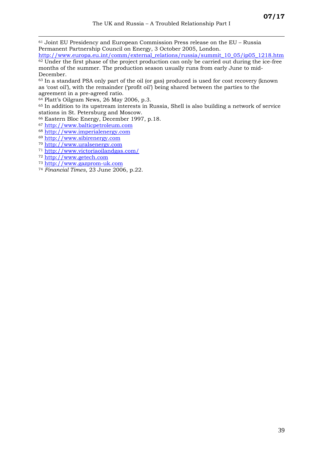61 Joint EU Presidency and European Commission Press release on the EU – Russia Permanent Partnership Council on Energy, 3 October 2005, London.

[http://www.europa.eu.int/comm/external\\_relations/russia/summit\\_10\\_05/ip05\\_1218.htm](http://www.europa.eu.int/comm/external_relations/russia/summit_10_05/ip05_1218.htm) <sup>62</sup> Under the first phase of the project production can only be carried out during the ice-free

months of the summer. The production season usually runs from early June to mid-December.<br><sup>63</sup> In a standard PSA only part of the oil (or gas) produced is used for cost recovery (known

as 'cost oil'), with the remainder ('profit oil') being shared between the parties to the agreement in a pre-agreed ratio.

64 Platt's Oilgram News, 26 May 2006, p.3.

<sup>65</sup> In addition to its upstream interests in Russia, Shell is also building a network of service stations in St. Petersburg and Moscow. 66 Eastern Bloc Energy, December 1997, p.18.

- 
- 
- %% [http://www.balticpetroleum.com](http://www.balticpetroleum.com/)<br>
68 http://www.imperialenergy.com<br>
69 http://www.sibirenergy.com<br>
70 [http://www.uralsenergy.com](http://www.uralsenergy.com/)<br>
71 <http://www.victoriaoilandgas.com/><br>
72 [http://www.getech.com](http://www.getech.com/)<br>
73 http://www.gazprom-uk.c
- 

 $\overline{a}$ 

- 
- <sup>74</sup> *Financial Times*, 23 June 2006, p.22.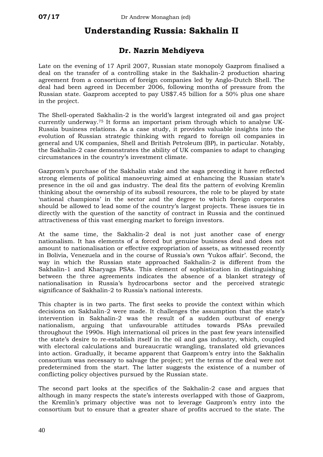# **Understanding Russia: Sakhalin II**

#### **Dr. Nazrin Mehdiyeva**

Late on the evening of 17 April 2007, Russian state monopoly Gazprom finalised a deal on the transfer of a controlling stake in the Sakhalin-2 production sharing agreement from a consortium of foreign companies led by Anglo-Dutch Shell. The deal had been agreed in December 2006, following months of pressure from the Russian state. Gazprom accepted to pay US\$7.45 billion for a 50% plus one share in the project.

The Shell-operated Sakhalin-2 is the world's largest integrated oil and gas project currently underway.[75](#page-53-1) It forms an important prism through which to analyse UK-Russia business relations. As a case study, it provides valuable insights into the evolution of Russian strategic thinking with regard to foreign oil companies in general and UK companies, Shell and British Petroleum (BP), in particular. Notably, the Sakhalin-2 case demonstrates the ability of UK companies to adapt to changing circumstances in the country's investment climate.

Gazprom's purchase of the Sakhalin stake and the saga preceding it have reflected strong elements of political manoeuvring aimed at enhancing the Russian state's presence in the oil and gas industry. The deal fits the pattern of evolving Kremlin thinking about the ownership of its subsoil resources, the role to be played by state 'national champions' in the sector and the degree to which foreign corporates should be allowed to lead some of the country's largest projects. These issues tie in directly with the question of the sanctity of contract in Russia and the continued attractiveness of this vast emerging market to foreign investors.

At the same time, the Sakhalin-2 deal is not just another case of energy nationalism. It has elements of a forced but genuine business deal and does not amount to nationalisation or effective expropriation of assets, as witnessed recently in Bolivia, Venezuela and in the course of Russia's own 'Yukos affair'. Second, the way in which the Russian state approached Sakhalin-2 is different from the Sakhalin-1 and Kharyaga PSAs. This element of sophistication in distinguishing between the three agreements indicates the absence of a blanket strategy of nationalisation in Russia's hydrocarbons sector and the perceived strategic significance of Sakhalin-2 to Russia's national interests.

This chapter is in two parts. The first seeks to provide the context within which decisions on Sakhalin-2 were made. It challenges the assumption that the state's intervention in Sakhalin-2 was the result of a sudden outburst of energy nationalism, arguing that unfavourable attitudes towards PSAs prevailed throughout the 1990s. High international oil prices in the past few years intensified the state's desire to re-establish itself in the oil and gas industry, which, coupled with electoral calculations and bureaucratic wrangling, translated old grievances into action. Gradually, it became apparent that Gazprom's entry into the Sakhalin consortium was necessary to salvage the project; yet the terms of the deal were not predetermined from the start. The latter suggests the existence of a number of conflicting policy objectives pursued by the Russian state.

The second part looks at the specifics of the Sakhalin-2 case and argues that although in many respects the state's interests overlapped with those of Gazprom, the Kremlin's primary objective was not to leverage Gazprom's entry into the consortium but to ensure that a greater share of profits accrued to the state. The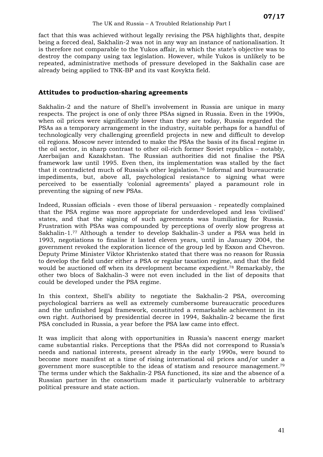fact that this was achieved without legally revising the PSA highlights that, despite being a forced deal, Sakhalin-2 was not in any way an instance of nationalisation. It is therefore not comparable to the Yukos affair, in which the state's objective was to destroy the company using tax legislation. However, while Yukos is unlikely to be repeated, administrative methods of pressure developed in the Sakhalin case are already being applied to TNK-BP and its vast Kovykta field.

#### **Attitudes to production-sharing agreements**

Sakhalin-2 and the nature of Shell's involvement in Russia are unique in many respects. The project is one of only three PSAs signed in Russia. Even in the 1990s, when oil prices were significantly lower than they are today, Russia regarded the PSAs as a temporary arrangement in the industry, suitable perhaps for a handful of technologically very challenging greenfield projects in new and difficult to develop oil regions. Moscow never intended to make the PSAs the basis of its fiscal regime in the oil sector, in sharp contrast to other oil-rich former Soviet republics – notably, Azerbaijan and Kazakhstan. The Russian authorities did not finalise the PSA framework law until 1995. Even then, its implementation was stalled by the fact that it contradicted much of Russia's other legislation.[76](#page-53-2) Informal and bureaucratic impediments, but, above all, psychological resistance to signing what were perceived to be essentially 'colonial agreements' played a paramount role in preventing the signing of new PSAs.

Indeed, Russian officials - even those of liberal persuasion - repeatedly complained that the PSA regime was more appropriate for underdeveloped and less 'civilised' states, and that the signing of such agreements was humiliating for Russia. Frustration with PSAs was compounded by perceptions of overly slow progress at Sakhalin-1.[77](#page-53-3) Although a tender to develop Sakhalin-3 under a PSA was held in 1993, negotiations to finalise it lasted eleven years, until in January 2004, the government revoked the exploration licence of the group led by Exxon and Chevron. Deputy Prime Minister Viktor Khristenko stated that there was no reason for Russia to develop the field under either a PSA or regular taxation regime, and that the field would be auctioned off when its development became expedient.[78](#page-53-4) Remarkably, the other two blocs of Sakhalin-3 were not even included in the list of deposits that could be developed under the PSA regime.

In this context, Shell's ability to negotiate the Sakhalin-2 PSA, overcoming psychological barriers as well as extremely cumbersome bureaucratic procedures and the unfinished legal framework, constituted a remarkable achievement in its own right. Authorised by presidential decree in 1994, Sakhalin-2 became the first PSA concluded in Russia, a year before the PSA law came into effect.

It was implicit that along with opportunities in Russia's nascent energy market came substantial risks. Perceptions that the PSAs did not correspond to Russia's needs and national interests, present already in the early 1990s, were bound to become more manifest at a time of rising international oil prices and/or under a government more susceptible to the ideas of statism and resource management.[79](#page-53-5) The terms under which the Sakhalin-2 PSA functioned, its size and the absence of a Russian partner in the consortium made it particularly vulnerable to arbitrary political pressure and state action.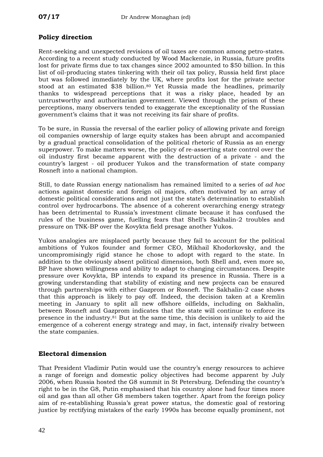#### **Policy direction**

Rent-seeking and unexpected revisions of oil taxes are common among petro-states. According to a recent study conducted by Wood Mackenzie, in Russia, future profits lost for private firms due to tax changes since 2002 amounted to \$50 billion. In this list of oil-producing states tinkering with their oil tax policy, Russia held first place but was followed immediately by the UK, where profits lost for the private sector stood at an estimated \$38 billion.<sup>80</sup> Yet Russia made the headlines, primarily thanks to widespread perceptions that it was a risky place, headed by an untrustworthy and authoritarian government. Viewed through the prism of these perceptions, many observers tended to exaggerate the exceptionality of the Russian government's claims that it was not receiving its fair share of profits.

To be sure, in Russia the reversal of the earlier policy of allowing private and foreign oil companies ownership of large equity stakes has been abrupt and accompanied by a gradual practical consolidation of the political rhetoric of Russia as an energy superpower. To make matters worse, the policy of re-asserting state control over the oil industry first became apparent with the destruction of a private - and the country's largest - oil producer Yukos and the transformation of state company Rosneft into a national champion.

Still, to date Russian energy nationalism has remained limited to a series of *ad hoc* actions against domestic and foreign oil majors, often motivated by an array of domestic political considerations and not just the state's determination to establish control over hydrocarbons. The absence of a coherent overarching energy strategy has been detrimental to Russia's investment climate because it has confused the rules of the business game, fuelling fears that Shell's Sakhalin-2 troubles and pressure on TNK-BP over the Kovykta field presage another Yukos.

Yukos analogies are misplaced partly because they fail to account for the political ambitions of Yukos founder and former CEO, Mikhail Khodorkovsky, and the uncompromisingly rigid stance he chose to adopt with regard to the state. In addition to the obviously absent political dimension, both Shell and, even more so, BP have shown willingness and ability to adapt to changing circumstances. Despite pressure over Kovykta, BP intends to expand its presence in Russia. There is a growing understanding that stability of existing and new projects can be ensured through partnerships with either Gazprom or Rosneft. The Sakhalin-2 case shows that this approach is likely to pay off. Indeed, the decision taken at a Kremlin meeting in January to split all new offshore oilfields, including on Sakhalin, between Rosneft and Gazprom indicates that the state will continue to enforce its presence in the industry.[81](#page-53-7) But at the same time, this decision is unlikely to aid the emergence of a coherent energy strategy and may, in fact, intensify rivalry between the state companies.

#### **Electoral dimension**

That President Vladimir Putin would use the country's energy resources to achieve a range of foreign and domestic policy objectives had become apparent by July 2006, when Russia hosted the G8 summit in St Petersburg. Defending the country's right to be in the G8, Putin emphasised that his country alone had four times more oil and gas than all other G8 members taken together. Apart from the foreign policy aim of re-establishing Russia's great power status, the domestic goal of restoring justice by rectifying mistakes of the early 1990s has become equally prominent, not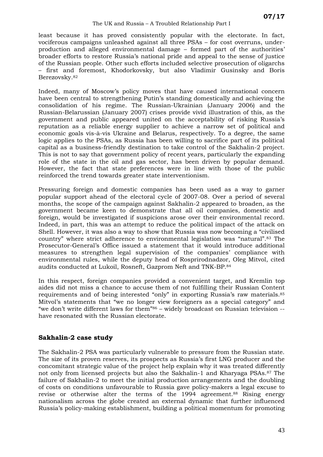#### The UK and Russia – A Troubled Relationship Part I

least because it has proved consistently popular with the electorate. In fact, vociferous campaigns unleashed against all three PSAs – for cost overruns, underproduction and alleged environmental damage – formed part of the authorities' broader efforts to restore Russia's national pride and appeal to the sense of justice of the Russian people. Other such efforts included selective prosecution of oligarchs – first and foremost, Khodorkovsky, but also Vladimir Gusinsky and Boris Berezovsky.[82](#page-53-8)

Indeed, many of Moscow's policy moves that have caused international concern have been central to strengthening Putin's standing domestically and achieving the consolidation of his regime. The Russian-Ukrainian (January 2006) and the Russian-Belarussian (January 2007) crises provide vivid illustration of this, as the government and public appeared united on the acceptability of risking Russia's reputation as a reliable energy supplier to achieve a narrow set of political and economic goals vis-à-vis Ukraine and Belarus, respectively. To a degree, the same logic applies to the PSAs, as Russia has been willing to sacrifice part of its political capital as a business-friendly destination to take control of the Sakhalin-2 project. This is not to say that government policy of recent years, particularly the expanding role of the state in the oil and gas sector, has been driven by popular demand. However, the fact that state preferences were in line with those of the public reinforced the trend towards greater state interventionism.

Pressuring foreign and domestic companies has been used as a way to garner popular support ahead of the electoral cycle of 2007-08. Over a period of several months, the scope of the campaign against Sakhalin-2 appeared to broaden, as the government became keen to demonstrate that all oil companies, domestic and foreign, would be investigated if suspicions arose over their environmental record. Indeed, in part, this was an attempt to reduce the political impact of the attack on Shell. However, it was also a way to show that Russia was now becoming a "civilised country" where strict adherence to environmental legislation was "natural".[83](#page-53-9) The Prosecutor-General's Office issued a statement that it would introduce additional measures to strengthen legal supervision of the companies' compliance with environmental rules, while the deputy head of Rosprirodnadzor, Oleg Mitvol, cited audits conducted at Lukoil, Rosneft, Gazprom Neft and TNK-BP.[84](#page-53-10) 

In this respect, foreign companies provided a convenient target, and Kremlin top aides did not miss a chance to accuse them of not fulfilling their Russian Content requirements and of being interested "only" in exporting Russia's raw materials.[85](#page-53-11) Mitvol's statements that "we no longer view foreigners as a special category" and "we don't write different laws for them"[86](#page-53-12) – widely broadcast on Russian television - have resonated with the Russian electorate.

#### **Sakhalin-2 case study**

The Sakhalin-2 PSA was particularly vulnerable to pressure from the Russian state. The size of its proven reserves, its prospects as Russia's first LNG producer and the concomitant strategic value of the project help explain why it was treated differently not only from licensed projects but also the Sakhalin-1 and Kharyaga PSAs.[87](#page-53-13) The failure of Sakhalin-2 to meet the initial production arrangements and the doubling of costs on conditions unfavourable to Russia gave policy-makers a legal excuse to revise or otherwise alter the terms of the 1994 agreement.[88](#page-53-14) Rising energy nationalism across the globe created an external dynamic that further influenced Russia's policy-making establishment, building a political momentum for promoting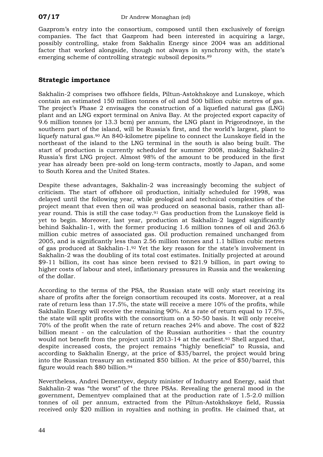Gazprom's entry into the consortium, composed until then exclusively of foreign companies. The fact that Gazprom had been interested in acquiring a large, possibly controlling, stake from Sakhalin Energy since 2004 was an additional factor that worked alongside, though not always in synchrony with, the state's emerging scheme of controlling strategic subsoil deposits.[89](#page-53-15) 

#### **Strategic importance**

Sakhalin-2 comprises two offshore fields, Piltun-Astokhskoye and Lunskoye, which contain an estimated 150 million tonnes of oil and 500 billion cubic metres of gas. The project's Phase 2 envisages the construction of a liquefied natural gas (LNG) plant and an LNG export terminal on Aniva Bay. At the projected export capacity of 9.6 million tonnes (or 13.3 bcm) per annum, the LNG plant in Prigorodnoye, in the southern part of the island, will be Russia's first, and the world's largest, plant to liquefy natural gas.[90](#page-53-16) An 840-kilometre pipeline to connect the Lunskoye field in the northeast of the island to the LNG terminal in the south is also being built. The start of production is currently scheduled for summer 2008, making Sakhalin-2 Russia's first LNG project. Almost 98% of the amount to be produced in the first year has already been pre-sold on long-term contracts, mostly to Japan, and some to South Korea and the United States.

Despite these advantages, Sakhalin-2 was increasingly becoming the subject of criticism. The start of offshore oil production, initially scheduled for 1998, was delayed until the following year, while geological and technical complexities of the project meant that even then oil was produced on seasonal basis, rather than allyear round. This is still the case today.<sup>91</sup> Gas production from the Lunskoye field is yet to begin. Moreover, last year, production at Sakhalin-2 lagged significantly behind Sakhalin-1, with the former producing 1.6 million tonnes of oil and 263.6 million cubic metres of associated gas. Oil production remained unchanged from 2005, and is significantly less than 2.56 million tonnes and 1.1 billion cubic metres of gas produced at Sakhalin-1.[92](#page-53-18) Yet the key reason for the state's involvement in Sakhalin-2 was the doubling of its total cost estimates. Initially projected at around \$9-11 billion, its cost has since been revised to \$21.9 billion, in part owing to higher costs of labour and steel, inflationary pressures in Russia and the weakening of the dollar.

According to the terms of the PSA, the Russian state will only start receiving its share of profits after the foreign consortium recouped its costs. Moreover, at a real rate of return less than 17.5%, the state will receive a mere 10% of the profits, while Sakhalin Energy will receive the remaining 90%. At a rate of return equal to 17.5%, the state will split profits with the consortium on a 50-50 basis. It will only receive 70% of the profit when the rate of return reaches 24% and above. The cost of \$22 billion meant - on the calculation of the Russian authorities - that the country would not benefit from the project until 2013-14 at the earliest.<sup>93</sup> Shell argued that, despite increased costs, the project remains "highly beneficial" to Russia, and according to Sakhalin Energy, at the price of \$35/barrel, the project would bring into the Russian treasury an estimated \$50 billion. At the price of \$50/barrel, this figure would reach \$80 billion.[94](#page-53-4) 

Nevertheless, Andrei Dementyev, deputy minister of Industry and Energy, said that Sakhalin-2 was "the worst" of the three PSAs. Revealing the general mood in the government, Dementyev complained that at the production rate of 1.5-2.0 million tonnes of oil per annum, extracted from the Piltun-Astokhskoye field, Russia received only \$20 million in royalties and nothing in profits. He claimed that, at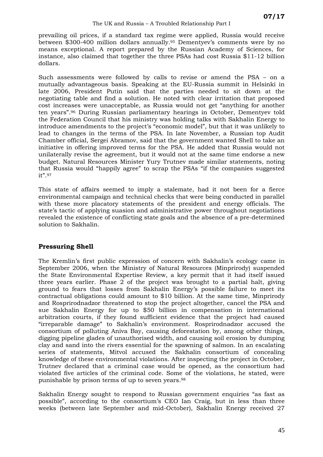#### The UK and Russia – A Troubled Relationship Part I

prevailing oil prices, if a standard tax regime were applied, Russia would receive between \$300-400 million dollars annually.[95](#page-53-20) Dementyev's comments were by no means exceptional. A report prepared by the Russian Academy of Sciences, for instance, also claimed that together the three PSAs had cost Russia \$11-12 billion dollars.

Such assessments were followed by calls to revise or amend the PSA – on a mutually advantageous basis. Speaking at the EU-Russia summit in Helsinki in late 2006, President Putin said that the parties needed to sit down at the negotiating table and find a solution. He noted with clear irritation that proposed cost increases were unacceptable, as Russia would not get "anything for another ten years".[96](#page-53-21) During Russian parliamentary hearings in October, Dementyev told the Federation Council that his ministry was holding talks with Sakhalin Energy to introduce amendments to the project's "economic model", but that it was unlikely to lead to changes in the terms of the PSA. In late November, a Russian top Audit Chamber official, Sergei Abramov, said that the government wanted Shell to take an initiative in offering improved terms for the PSA. He added that Russia would not unilaterally revise the agreement, but it would not at the same time endorse a new budget. Natural Resources Minister Yury Trutnev made similar statements, noting that Russia would "happily agree" to scrap the PSAs "if the companies suggested it".[97](#page-53-22)

This state of affairs seemed to imply a stalemate, had it not been for a fierce environmental campaign and technical checks that were being conducted in parallel with these more placatory statements of the president and energy officials. The state's tactic of applying suasion and administrative power throughout negotiations revealed the existence of conflicting state goals and the absence of a pre-determined solution to Sakhalin.

#### **Pressuring Shell**

The Kremlin's first public expression of concern with Sakhalin's ecology came in September 2006, when the Ministry of Natural Resources (Minprirody) suspended the State Environmental Expertise Review, a key permit that it had itself issued three years earlier. Phase 2 of the project was brought to a partial halt, giving ground to fears that losses from Sakhalin Energy's possible failure to meet its contractual obligations could amount to \$10 billion. At the same time, Minprirody and Rosprirodnadzor threatened to stop the project altogether, cancel the PSA and sue Sakhalin Energy for up to \$50 billion in compensation in international arbitration courts, if they found sufficient evidence that the project had caused "irreparable damage" to Sakhalin's environment. Rosprirodnadzor accused the consortium of polluting Aniva Bay, causing deforestation by, among other things, digging pipeline glades of unauthorised width, and causing soil erosion by dumping clay and sand into the rivers essential for the spawning of salmon. In an escalating series of statements, Mitvol accused the Sakhalin consortium of concealing knowledge of these environmental violations. After inspecting the project in October, Trutnev declared that a criminal case would be opened, as the consortium had violated five articles of the criminal code. Some of the violations, he stated, were punishable by prison terms of up to seven years.[98](#page-53-23)

Sakhalin Energy sought to respond to Russian government enquiries "as fast as possible", according to the consortium's CEO Ian Craig, but in less than three weeks (between late September and mid-October), Sakhalin Energy received 27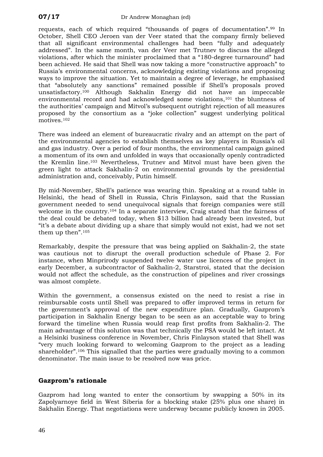requests, each of which required "thousands of pages of documentation".[99](#page-53-24) In October, Shell CEO Jeroen van der Veer stated that the company firmly believed that all significant environmental challenges had been "fully and adequately addressed". In the same month, van der Veer met Trutnev to discuss the alleged violations, after which the minister proclaimed that a "180-degree turnaround" had been achieved. He said that Shell was now taking a more "constructive approach" to Russia's environmental concerns, acknowledging existing violations and proposing ways to improve the situation. Yet to maintain a degree of leverage, he emphasised that "absolutely any sanctions" remained possible if Shell's proposals proved unsatisfactory.[100](#page-53-25) Although Sakhalin Energy did not have an impeccable environmental record and had acknowledged some violations,[101](#page-53-26) the bluntness of the authorities' campaign and Mitvol's subsequent outright rejection of all measures proposed by the consortium as a "joke collection" suggest underlying political motives.[102](#page-53-27) 

There was indeed an element of bureaucratic rivalry and an attempt on the part of the environmental agencies to establish themselves as key players in Russia's oil and gas industry. Over a period of four months, the environmental campaign gained a momentum of its own and unfolded in ways that occasionally openly contradicted the Kremlin line.[103](#page-53-28) Nevertheless, Trutnev and Mitvol must have been given the green light to attack Sakhalin-2 on environmental grounds by the presidential administration and, conceivably, Putin himself.

By mid-November, Shell's patience was wearing thin. Speaking at a round table in Helsinki, the head of Shell in Russia, Chris Finlayson, said that the Russian government needed to send unequivocal signals that foreign companies were still welcome in the country.<sup>[104](#page-53-29)</sup> In a separate interview. Craig stated that the fairness of the deal could be debated today, when \$13 billion had already been invested, but "it's a debate about dividing up a share that simply would not exist, had we not set them up then"[.105](#page-53-30) 

Remarkably, despite the pressure that was being applied on Sakhalin-2, the state was cautious not to disrupt the overall production schedule of Phase 2. For instance, when Minprirody suspended twelve water use licences of the project in early December, a subcontractor of Sakhalin-2, Starstroi, stated that the decision would not affect the schedule, as the construction of pipelines and river crossings was almost complete.

Within the government, a consensus existed on the need to resist a rise in reimbursable costs until Shell was prepared to offer improved terms in return for the government's approval of the new expenditure plan. Gradually, Gazprom's participation in Sakhalin Energy began to be seen as an acceptable way to bring forward the timeline when Russia would reap first profits from Sakhalin-2. The main advantage of this solution was that technically the PSA would be left intact. At a Helsinki business conference in November, Chris Finlayson stated that Shell was "very much looking forward to welcoming Gazprom to the project as a leading shareholder".[106](#page-53-31) This signalled that the parties were gradually moving to a common denominator. The main issue to be resolved now was price.

#### **Gazprom's rationale**

Gazprom had long wanted to enter the consortium by swapping a 50% in its Zapolyarnoye field in West Siberia for a blocking stake (25% plus one share) in Sakhalin Energy. That negotiations were underway became publicly known in 2005.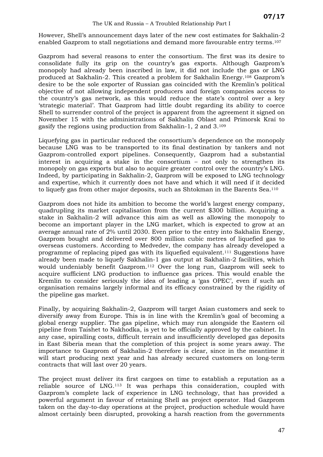However, Shell's announcement days later of the new cost estimates for Sakhalin-2 enabled Gazprom to stall negotiations and demand more favourable entry terms.[107](#page-53-32) 

Gazprom had several reasons to enter the consortium. The first was its desire to consolidate fully its grip on the country's gas exports. Although Gazprom's monopoly had already been inscribed in law, it did not include the gas or LNG produced at Sakhalin-2. This created a problem for Sakhalin Energy.[108](#page-53-33) Gazprom's desire to be the sole exporter of Russian gas coincided with the Kremlin's political objective of not allowing independent producers and foreign companies access to the country's gas network, as this would reduce the state's control over a key 'strategic material'. That Gazprom had little doubt regarding its ability to coerce Shell to surrender control of the project is apparent from the agreement it signed on November 15 with the administrations of Sakhalin Oblast and Primorsk Krai to gasify the regions using production from Sakhalin-1, 2 and 3.[109](#page-53-34) 

Liquefying gas in particular reduced the consortium's dependence on the monopoly because LNG was to be transported to its final destination by tankers and not Gazprom-controlled export pipelines. Consequently, Gazprom had a substantial interest in acquiring a stake in the consortium – not only to strengthen its monopoly on gas exports but also to acquire greater control over the country's LNG. Indeed, by participating in Sakhalin-2, Gazprom will be exposed to LNG technology and expertise, which it currently does not have and which it will need if it decided to liquefy gas from other major deposits, such as Shtokman in the Barents Sea.[110](#page-53-35)

Gazprom does not hide its ambition to become the world's largest energy company, quadrupling its market capitalisation from the current \$300 billion. Acquiring a stake in Sakhalin-2 will advance this aim as well as allowing the monopoly to become an important player in the LNG market, which is expected to grow at an average annual rate of 2% until 2030. Even prior to the entry into Sakhalin Energy, Gazprom bought and delivered over 800 million cubic metres of liquefied gas to overseas customers. According to Medvedev, the company has already developed a programme of replacing piped gas with its liquefied equivalent.[111](#page-53-36) Suggestions have already been made to liquefy Sakhalin-1 gas output at Sakhalin-2 facilities, which would undeniably benefit Gazprom.[112](#page-53-37) Over the long run, Gazprom will seek to acquire sufficient LNG production to influence gas prices. This would enable the Kremlin to consider seriously the idea of leading a 'gas OPEC', even if such an organisation remains largely informal and its efficacy constrained by the rigidity of the pipeline gas market.

Finally, by acquiring Sakhalin-2, Gazprom will target Asian customers and seek to diversify away from Europe. This is in line with the Kremlin's goal of becoming a global energy supplier. The gas pipeline, which may run alongside the Eastern oil pipeline from Taishet to Nakhodka, is yet to be officially approved by the cabinet. In any case, spiralling costs, difficult terrain and insufficiently developed gas deposits in East Siberia mean that the completion of this project is some years away. The importance to Gazprom of Sakhalin-2 therefore is clear, since in the meantime it will start producing next year and has already secured customers on long-term contracts that will last over 20 years.

The project must deliver its first cargoes on time to establish a reputation as a reliable source of LNG.[113](#page-53-38) It was perhaps this consideration, coupled with Gazprom's complete lack of experience in LNG technology, that has provided a powerful argument in favour of retaining Shell as project operator. Had Gazprom taken on the day-to-day operations at the project, production schedule would have almost certainly been disrupted, provoking a harsh reaction from the governments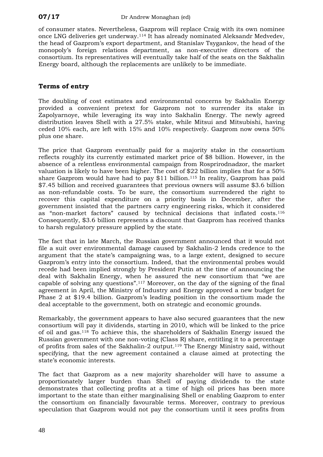of consumer states. Nevertheless, Gazprom will replace Craig with its own nominee once LNG deliveries get underway.[114](#page-53-39) It has already nominated Aleksandr Medvedev, the head of Gazprom's export department, and Stanislav Tsygankov, the head of the monopoly's foreign relations department, as non-executive directors of the consortium. Its representatives will eventually take half of the seats on the Sakhalin Energy board, although the replacements are unlikely to be immediate.

#### **Terms of entry**

The doubling of cost estimates and environmental concerns by Sakhalin Energy provided a convenient pretext for Gazprom not to surrender its stake in Zapolyarnoye, while leveraging its way into Sakhalin Energy. The newly agreed distribution leaves Shell with a 27.5% stake, while Mitsui and Mitsubishi, having ceded 10% each, are left with 15% and 10% respectively. Gazprom now owns 50% plus one share.

The price that Gazprom eventually paid for a majority stake in the consortium reflects roughly its currently estimated market price of \$8 billion. However, in the absence of a relentless environmental campaign from Rosprirodnadzor, the market valuation is likely to have been higher. The cost of \$22 billion implies that for a 50% share Gazprom would have had to pay \$11 billion.[115](#page-53-40) In reality, Gazprom has paid \$7.45 billion and received guarantees that previous owners will assume \$3.6 billion as non-refundable costs. To be sure, the consortium surrendered the right to recover this capital expenditure on a priority basis in December, after the government insisted that the partners carry engineering risks, which it considered as "non-market factors" caused by technical decisions that inflated costs.[116](#page-53-41) Consequently, \$3.6 billion represents a discount that Gazprom has received thanks to harsh regulatory pressure applied by the state.

The fact that in late March, the Russian government announced that it would not file a suit over environmental damage caused by Sakhalin-2 lends credence to the argument that the state's campaigning was, to a large extent, designed to secure Gazprom's entry into the consortium. Indeed, that the environmental probes would recede had been implied strongly by President Putin at the time of announcing the deal with Sakhalin Energy, when he assured the new consortium that "we are capable of solving any questions".[117](#page-53-42) Moreover, on the day of the signing of the final agreement in April, the Ministry of Industry and Energy approved a new budget for Phase 2 at \$19.4 billion. Gazprom's leading position in the consortium made the deal acceptable to the government, both on strategic and economic grounds.

Remarkably, the government appears to have also secured guarantees that the new consortium will pay it dividends, starting in 2010, which will be linked to the price of oil and gas.[118](#page-53-43) To achieve this, the shareholders of Sakhalin Energy issued the Russian government with one non-voting (Class R) share, entitling it to a percentage of profits from sales of the Sakhalin-2 output.[119](#page-53-44) The Energy Ministry said, without specifying, that the new agreement contained a clause aimed at protecting the state's economic interests.

The fact that Gazprom as a new majority shareholder will have to assume a proportionately larger burden than Shell of paying dividends to the state demonstrates that collecting profits at a time of high oil prices has been more important to the state than either marginalising Shell or enabling Gazprom to enter the consortium on financially favourable terms. Moreover, contrary to previous speculation that Gazprom would not pay the consortium until it sees profits from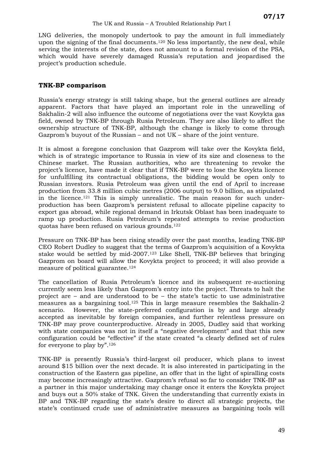LNG deliveries, the monopoly undertook to pay the amount in full immediately upon the signing of the final documents.[120](#page-53-45) No less importantly, the new deal, while serving the interests of the state, does not amount to a formal revision of the PSA, which would have severely damaged Russia's reputation and jeopardised the project's production schedule.

#### **TNK-BP comparison**

Russia's energy strategy is still taking shape, but the general outlines are already apparent. Factors that have played an important role in the unravelling of Sakhalin-2 will also influence the outcome of negotiations over the vast Kovykta gas field, owned by TNK-BP through Rusia Petroleum. They are also likely to affect the ownership structure of TNK-BP, although the change is likely to come through Gazprom's buyout of the Russian – and not UK – share of the joint venture.

It is almost a foregone conclusion that Gazprom will take over the Kovykta field, which is of strategic importance to Russia in view of its size and closeness to the Chinese market. The Russian authorities, who are threatening to revoke the project's licence, have made it clear that if TNK-BP were to lose the Kovykta licence for unfulfilling its contractual obligations, the bidding would be open only to Russian investors. Rusia Petroleum was given until the end of April to increase production from 33.8 million cubic metres (2006 output) to 9.0 billion, as stipulated in the licence.[121](#page-53-46) This is simply unrealistic. The main reason for such underproduction has been Gazprom's persistent refusal to allocate pipeline capacity to export gas abroad, while regional demand in Irkutsk Oblast has been inadequate to ramp up production. Rusia Petroleum's repeated attempts to revise production quotas have been refused on various grounds.[122](#page-53-47) 

Pressure on TNK-BP has been rising steadily over the past months, leading TNK-BP CEO Robert Dudley to suggest that the terms of Gazprom's acquisition of a Kovykta stake would be settled by mid-2007.[123](#page-53-48) Like Shell, TNK-BP believes that bringing Gazprom on board will allow the Kovykta project to proceed; it will also provide a measure of political guarantee.[124](#page-53-49)

The cancellation of Rusia Petroleum's licence and its subsequent re-auctioning currently seem less likely than Gazprom's entry into the project. Threats to halt the project are – and are understood to be – the state's tactic to use administrative measures as a bargaining tool.[125](#page-53-50) This in large measure resembles the Sakhalin-2 scenario. However, the state-preferred configuration is by and large already accepted as inevitable by foreign companies, and further relentless pressure on TNK-BP may prove counterproductive. Already in 2005, Dudley said that working with state companies was not in itself a "negative development" and that this new configuration could be "effective" if the state created "a clearly defined set of rules for everyone to play by"[.126](#page-53-51) 

TNK-BP is presently Russia's third-largest oil producer, which plans to invest around \$15 billion over the next decade. It is also interested in participating in the construction of the Eastern gas pipeline, an offer that in the light of spiralling costs may become increasingly attractive. Gazprom's refusal so far to consider TNK-BP as a partner in this major undertaking may change once it enters the Kovykta project and buys out a 50% stake of TNK. Given the understanding that currently exists in BP and TNK-BP regarding the state's desire to direct all strategic projects, the state's continued crude use of administrative measures as bargaining tools will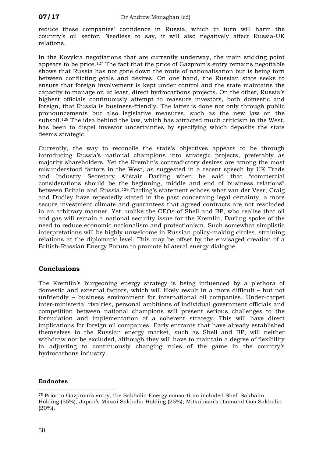<span id="page-53-17"></span><span id="page-53-2"></span>reduce these companies' confidence in Russia, which in turn will harm the country's oil sector. Needless to say, it will also negatively affect Russia-UK relations.

<span id="page-53-34"></span><span id="page-53-33"></span><span id="page-53-20"></span><span id="page-53-19"></span><span id="page-53-18"></span><span id="page-53-5"></span><span id="page-53-4"></span><span id="page-53-3"></span>In the Kovykta negotiations that are currently underway, the main sticking point appears to be price.[127](#page-53-52) The fact that the price of Gazprom's entry remains negotiable shows that Russia has not gone down the route of nationalisation but is being torn between conflicting goals and desires. On one hand, the Russian state seeks to ensure that foreign involvement is kept under control and the state maintains the capacity to manage or, at least, direct hydrocarbons projects. On the other, Russia's highest officials continuously attempt to reassure investors, both domestic and foreign, that Russia is business-friendly. The latter is done not only through public pronouncements but also legislative measures, such as the new law on the subsoil.[128](#page-53-53) The idea behind the law, which has attracted much criticism in the West, has been to dispel investor uncertainties by specifying which deposits the state deems strategic.

<span id="page-53-37"></span><span id="page-53-36"></span><span id="page-53-35"></span><span id="page-53-26"></span><span id="page-53-25"></span><span id="page-53-24"></span><span id="page-53-23"></span><span id="page-53-22"></span><span id="page-53-21"></span><span id="page-53-9"></span><span id="page-53-8"></span><span id="page-53-7"></span><span id="page-53-6"></span><span id="page-53-0"></span>Currently, the way to reconcile the state's objectives appears to be through introducing Russia's national champions into strategic projects, preferably as majority shareholders. Yet the Kremlin's contradictory desires are among the most misunderstood factors in the West, as suggested in a recent speech by UK Trade and Industry Secretary Alistair Darling when he said that "commercial considerations should be the beginning, middle and end of business relations" between Britain and Russia.[129](#page-65-0) Darling's statement echoes what van der Veer, Craig and Dudley have repeatedly stated in the past concerning legal certainty, a more secure investment climate and guarantees that agreed contracts are not rescinded in an arbitrary manner. Yet, unlike the CEOs of Shell and BP, who realise that oil and gas will remain a national security issue for the Kremlin, Darling spoke of the need to reduce economic nationalism and protectionism. Such somewhat simplistic interpretations will be highly unwelcome in Russian policy-making circles, straining relations at the diplomatic level. This may be offset by the envisaged creation of a British-Russian Energy Forum to promote bilateral energy dialogue.

#### <span id="page-53-41"></span><span id="page-53-40"></span><span id="page-53-39"></span><span id="page-53-38"></span><span id="page-53-27"></span><span id="page-53-11"></span><span id="page-53-10"></span>**Conclusions**

<span id="page-53-48"></span><span id="page-53-47"></span><span id="page-53-46"></span><span id="page-53-45"></span><span id="page-53-44"></span><span id="page-53-43"></span><span id="page-53-42"></span><span id="page-53-28"></span><span id="page-53-13"></span><span id="page-53-12"></span>The Kremlin's burgeoning energy strategy is being influenced by a plethora of domestic and external factors, which will likely result in a more difficult – but not unfriendly – business environment for international oil companies. Under-carpet inter-ministerial rivalries, personal ambitions of individual government officials and competition between national champions will present serious challenges to the formulation and implementation of a coherent strategy. This will have direct implications for foreign oil companies. Early entrants that have already established themselves in the Russian energy market, such as Shell and BP, will neither withdraw nor be excluded, although they will have to maintain a degree of flexibility in adjusting to continuously changing rules of the game in the country's hydrocarbons industry.

#### <span id="page-53-50"></span><span id="page-53-49"></span><span id="page-53-31"></span><span id="page-53-30"></span><span id="page-53-29"></span><span id="page-53-14"></span>**Endnotes**

<span id="page-53-51"></span><span id="page-53-32"></span><span id="page-53-15"></span> $\overline{a}$ 

<span id="page-53-53"></span><span id="page-53-52"></span><span id="page-53-16"></span><span id="page-53-1"></span><sup>75</sup> Prior to Gazprom's entry, the Sakhalin Energy consortium included Shell Sakhalin Holding (55%), Japan's Mitsui Sakhalin Holding (25%), Mitsubishi's Diamond Gas Sakhalin  $(20\%)$ .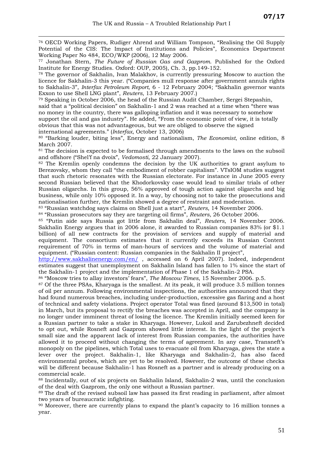$\overline{a}$ 

76 OECD Working Papers, Rudiger Ahrend and William Tompson, "Realising the Oil Supply Potential of the CIS: The Impact of Institutions and Policies", Economics Department Working Paper No 484, ECO/WKP (2006), 12 May 2006.

77 Jonathan Stern, *The Future of Russian Gas and Gazprom*. Published for the Oxford Institute for Energy Studies. Oxford: OUP, 2005), Ch. 3, pp.149-152.

78 The governor of Sakhalin, Ivan Malakhov, is currently pressuring Moscow to auction the licence for Sakhalin-3 this year. ("Companies mull response after government annuls rights to Sakhalin-3", *Interfax Petroleum Report*, 6 - 12 February 2004; "Sakhalin governor wants Exxon to use Shell LNG plant", *Reuters*, 13 February 2007.)

79 Speaking in October 2006, the head of the Russian Audit Chamber, Sergei Stepashin, said that a "political decision" on Sakhalin-1 and 2 was reached at a time when "there was no money in the country, there was galloping inflation and it was necessary to somehow support the oil and gas industry". He added, "From the economic point of view, it is totally obvious that this was not advantageous, but we are obliged to observe the signed international agreements." (*Interfax*, October 13, 2006)

80 "Barking louder, biting less", Energy and nationalism, *The Economist*, online edition, 8

March 2007.<br><sup>81</sup> The decision is expected to be formalised through amendments to the laws on the subsoil and offshore ("Shel'f na dvoix", *Vedomosti*, 22 January 2007).

<sup>82</sup> The Kremlin openly condemns the decision by the UK authorities to grant asylum to Berezovsky, whom they call "the embodiment of robber capitalism". VTsIOM studies suggest that such rhetoric resonates with the Russian electorate. For instance in June 2005 every second Russian believed that the Khodorkovsky case would lead to similar trials of other Russian oligarchs. In this group, 56% approved of tough action against oligarchs and big business, while only 10% opposed it. In a way, by choosing not to take the prosecutions and nationalisation further, the Kremlin showed a degree of restraint and moderation.

83 "Russian watchdog says claims on Shell just a start", *Reuters*, 14 November 2006. 84 "Russian prosecutors say they are targeting oil firms", *Reuters*, 26 October 2006.

85 "Putin aide says Russia got little from Sakhalin deal", *Reuters*, 14 November 2006. Sakhalin Energy argues that in 2006 alone, it awarded to Russian companies 83% (or \$1.1 billion) of all new contracts for the provision of services and supply of material and equipment. The consortium estimates that it currently exceeds its Russian Content requirement of 70% in terms of man-hours of services and the volume of material and equipment. ("Russian content: Russian companies in the Sakhalin II project",

<http://www.sakhalinenergy.com/en/>, accessed on 6 April 2007). Indeed, independent estimates suggest that unemployment on Sakhalin Island has fallen to 1% since the start of the Sakhalin-1 project and the implementation of Phase 1 of the Sakhalin-2 PSA. 86 "Moscow tries to allay investors' fears", *The Moscow Times*, 15 November 2006. p.5.

87 Of the three PSAs, Kharyaga is the smallest. At its peak, it will produce 3.5 million tonnes of oil per annum. Following environmental inspections, the authorities announced that they had found numerous breaches, including under-production, excessive gas flaring and a host of technical and safety violations. Project operator Total was fined (around \$13,500 in total) in March, but its proposal to rectify the breaches was accepted in April, and the company is no longer under imminent threat of losing the licence. The Kremlin initially seemed keen for a Russian partner to take a stake in Kharyaga. However, Lukoil and Zarubezhneft decided to opt out, while Rosneft and Gazprom showed little interest. In the light of the project's small size and the apparent lack of interest from Russian companies, the authorities have allowed it to proceed without changing the terms of agreement. In any case, Transneft's monopoly on the pipelines, which Total uses to evacuate oil from Kharyaga, gives the state a lever over the project. Sakhalin-1, like Kharyaga and Sakhalin-2, has also faced environmental probes, which are yet to be resolved. However, the outcome of these checks will be different because Sakhalin-1 has Rosneft as a partner and is already producing on a

commercial scale.<br><sup>88</sup> Incidentally, out of six projects on Sakhalin Island, Sakhalin-2 was, until the conclusion of the deal with Gazprom, the only one without a Russian partner.

<sup>89</sup> The draft of the revised subsoil law has passed its first reading in parliament, after almost two years of bureaucratic infighting.

<sup>90</sup> Moreover, there are currently plans to expand the plant's capacity to 16 million tonnes a year.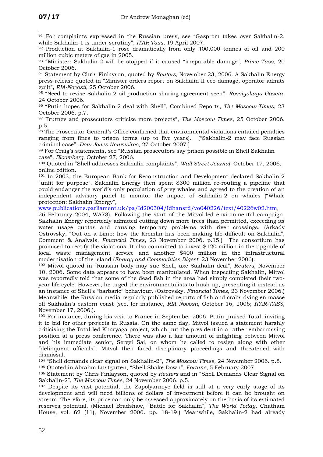$\overline{a}$ 

91 For complaints expressed in the Russian press, see "Gazprom takes over Sakhalin-2, while Sakhalin-1 is under scrutiny", *ITAR-Tass*, 19 April 2007.<br><sup>92</sup> Production at Sakhalin-1 rose dramatically from only 400,000 tonnes of oil and 200

million cubic meters of gas in 2005.

93 "Minister: Sakhalin-2 will be stopped if it caused "irreparable damage", *Prime Tass*, 20 October 2006. 94 Statement by Chris Finlayson, quoted by *Reuters,* November 23, 2006. A Sakhalin Energy

press release quoted in "Minister orders report on Sakhalin II eco-damage, operator admits guilt", *RIA-Novosti,* 25 October 2006. 95 "Need to revise Sakhalin-2 oil production sharing agreement seen", *Rossiyskaya Gazeta*,

24 October 2006.

96 "Putin hopes for Sakhalin-2 deal with Shell", Combined Reports, *The Moscow Times*, 23 October 2006. p.7. 97 Trutnev and prosecutors criticize more projects", *The Moscow Times*, 25 October 2006.

p.5.<br><sup>98</sup> The Prosecutor-General's Office confirmed that environmental violations entailed penalties ranging from fines to prison terms (up to five years). ("Sakhalin-2 may face Russian criminal case", *Dow Jones Newswires,* 27 October 2007.)

 $99$  For Craig's statements, see "Russian prosecutors say prison possible in Shell Sakhalin case", *Bloomberg*, October 27, 2006.

<sup>100</sup> Ouoted in "Shell addresses Sakhalin complaints", *Wall Street Journal*, October 17, 2006, online edition.

101 In 2003, the European Bank for Reconstruction and Development declared Sakhalin-2 "unfit for purpose". Sakhalin Energy then spent \$300 million re-routing a pipeline that could endanger the world's only population of grey whales and agreed to the creation of an independent advisory panel to monitor the impact of Sakhalin-2 on whales ("Whale protection: Sakhalin Energy",

[www.publications.parliament.uk/pa/Id200304/Idhansrd/vo040226/text/40226w02.htm](http://www.publications.parliament.uk/pa/Id200304/Idhansrd/vo040226/text/40226w02.htm),

26 February 2004, WA73). Following the start of the Mitvol-led environmental campaign, Sakhalin Energy reportedly admitted cutting down more trees than permitted, exceeding its water usage quotas and causing temporary problems with river crossings. (Arkady Ostrovsky, "Out on a Limb: how the Kremlin has been making life difficult on Sakhalin", Comment & Analysis, *Financial Times*, 23 November 2006. p.15.) The consortium has promised to rectify the violations. It also committed to invest \$120 million in the upgrade of local waste management service and another \$400 million in the infrastructural modernisation of the island (*Energy and Commodities Digest*, 23 November 2006). 102 Mitvol quoted in "Russian body may sue Shell, axe Sakhalin deal", *Reuters*, November

10, 2006. Some data appears to have been manipulated. When inspecting Sakhalin, Mitvol was reportedly told that some of the dead fish in the area had simply completed their twoyear life cycle. However, he urged the environmentalists to hush up, presenting it instead as an instance of Shell's "barbaric" behaviour. (Ostrovsky, *Financial Times,* 23 November 2006.) Meanwhile, the Russian media regularly published reports of fish and crabs dying en masse off Sakhalin's eastern coast (see, for instance, *RIA Novosti*, October 16, 2006; *ITAR*-*TASS*, November 17, 2006.).

103 For instance, during his visit to France in September 2006, Putin praised Total, inviting it to bid for other projects in Russia. On the same day, Mitvol issued a statement harshly criticising the Total-led Kharyaga project, which put the president in a rather embarrassing position at a press conference. There was also a fair amount of infighting between Mitvol and his immediate senior, Sergei Sai, on whom he called to resign along with other "delinquent officials". Mitvol then faced disciplinary proceedings and threatened with dismissal.

104 "Shell demands clear signal on Sakhalin-2", *The Moscow Times*, 24 November 2006. p.5. 105 Quoted in Abrahm Lustgarten, "Shell Shake Down", *Fortune,* 5 February 2007. 106 Statement by Chris Finlayson, quoted by *Reuters* and in "Shell Demands Clear Signal on

Sakhalin-2", *The Moscow Times*, 24 November 2006. p.5.

 $107$  Despite its vast potential, the Zapolyarnove field is still at a very early stage of its development and will need billions of dollars of investment before it can be brought on stream. Therefore, its price can only be assessed approximately on the basis of its estimated reserves potential. (Michael Bradshaw, "Battle for Sakhalin", *The World Today*, Chatham House, vol. 62 (11), November 2006. pp. 18-19.) Meanwhile, Sakhalin-2 had already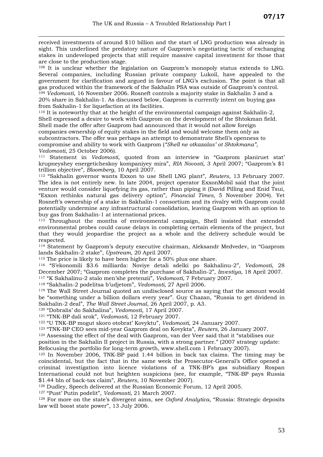$\overline{a}$ received investments of around \$10 billion and the start of LNG production was already in sight. This underlined the predatory nature of Gazprom's negotiating tactic of exchanging stakes in undeveloped projects that still require massive capital investment for those that are close to the production stage.

<sup>108</sup> It is unclear whether the legislation on Gazprom's monopoly status extends to LNG. Several companies, including Russian private company Lukoil, have appealed to the government for clarification and argued in favour of LNG's exclusion. The point is that all gas produced within the framework of the Sakhalin PSA was outside of Gazprom's control. <sup>109</sup> *Vedomosti*, 16 November 2006. Rosneft controls a majority stake in Sakhalin 3 and a 20% share in Sakhalin-1. As discussed below, Gazprom is currently intent on buying gas from Sakhalin-1 for liquefaction at its facilities.

110 It is noteworthy that at the height of the environmental campaign against Sakhalin-2, Shell expressed a desire to work with Gazprom on the development of the Shtokman field. Shell made the offer after Gazprom had announced that it would not allow foreign companies ownership of equity stakes in the field and would welcome them only as subcontractors. The offer was perhaps an attempt to demonstrate Shell's openness to compromise and ability to work with Gazprom (*"Shell ne otkazalas' ot Shtokmana", Vedomosti,* 25 October 2006).

111 Statement in *Vedomosti*, quoted from an interview in "Gazprom planiruet stat' krupneyshey energeticheskoy kompaniyey mira", *RIA Novosti*, 3 April 2007; "Gazprom's \$1 trillion objective", *Bloomberg*, 10 April 2007.

112 "Sakhalin governor wants Exxon to use Shell LNG plant", *Reuters*, 13 February 2007. The idea is not entirely new. In late 2004, project operator ExxonMobil said that the joint venture would consider liquefying its gas, rather than piping it (David Pilling and Enid Tsui, "Exxon rethinks natural gas delivery option", *Financial Times*, 5 November 2004). Yet Rosneft's ownership of a stake in Sakhalin-1 consortium and its rivalry with Gazprom could potentially undermine any infrastructural consolidation, leaving Gazprom with an option to

buy gas from Sakhalin-1 at international prices.<br><sup>113</sup> Throughout the months of environmental campaign, Shell insisted that extended environmental probes could cause delays in completing certain elements of the project, but that they would jeopardise the project as a whole and the delivery schedule would be respected. 114 Statement by Gazprom's deputy executive chairman, Aleksandr Medvedev, in "Gazprom

lands Sakhalin-2 stake", *Upstream*, 20 April 2007.<br><sup>115</sup> The price is likely to have been higher for a 50% plus one share.

116 "S'ekonomili \$3.6 milliarda: Noviye detali sdelki po Sakhalinu-2", *Vedomosti*, 28 December 2007; "Gazprom completes the purchase of Sakhalin-2", *Izvestiya*, 18 April 2007. 117 "K Sakhalinu-2 stalo men'she pretenzii", *Vedomosti,* 7 February 2007.

118 "Sakhalin-2 podelitsa b'udjetom", *Vedomosti,* 27 April 2006. 119 The Wall Street Journal quoted an undisclosed source as saying that the amount would be "something under a billion dollars every year". Guy Chazan, "Russia to get dividend in Sakhalin-2 deal", *The Wall Street Journal*, 26 April 2007, p. A3.

120 "Dobralis' do Sakhalina", *Vedomosti*, 17 April 2007.

121 "TNK-BP dali srok", *Vedomosti,* 12 February 2007.

<sup>122</sup> "U TNK-BP mogut skoro otobrat' Kovyktu", *Vedomosti*, 24 January 2007.<br><sup>123</sup> "TNK-BP CEO sees mid-year Gazprom deal on Kovykta", *Reuters*, 26 January 2007.<br><sup>124</sup> Assessing the effect of the deal with Gazprom, van d

position in the Sakhalin II project in Russia, with a strong partner." (2007 strategy update:

Refocusing the portfolio for long-term growth, www.shell.com 1 February 2007).

<sup>125</sup> In November 2006, TNK-BP paid 1.44 billion in back tax claims. The timing may be coincidental, but the fact that in the same week the Prosecutor-General's Office opened a criminal investigation into licence violations of a TNK-BP's gas subsidiary Rospan International could not but heighten suspicions (see, for example, "TNK-BP pays Russia \$1.44 bln of back-tax claim", *Reuters*, 10 November 2007).

126 Dudley, Speech delivered at the Russian Economic Forum, 12 April 2005.

127 "Pust' Putin podelit", *Vedomosti,* 21 March 2007.

128 For more on the state's divergent aims, see *Oxford Analytica*, "Russia: Strategic deposits law will boost state power", 13 July 2006.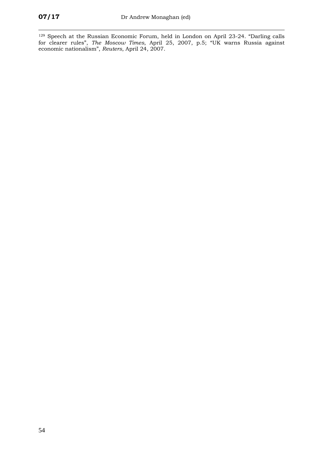$\overline{a}$ 129 Speech at the Russian Economic Forum, held in London on April 23-24. "Darling calls for clearer rules", *The Moscow Times*, April 25, 2007, p.5; "UK warns Russia against economic nationalism", *Reuters*, April 24, 2007.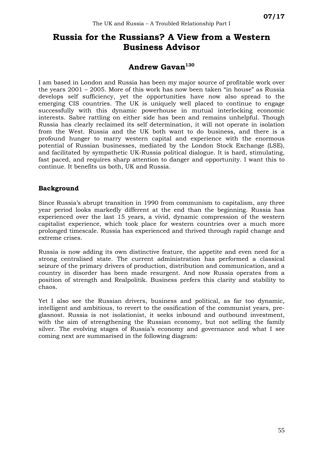# **Russia for the Russians? A View from a Western Business Advisor**

#### **Andrew Gavan[130](#page-65-1)**

I am based in London and Russia has been my major source of profitable work over the years 2001 – 2005. More of this work has now been taken "in house" as Russia develops self sufficiency, yet the opportunities have now also spread to the emerging CIS countries. The UK is uniquely well placed to continue to engage successfully with this dynamic powerhouse in mutual interlocking economic interests. Sabre rattling on either side has been and remains unhelpful. Though Russia has clearly reclaimed its self determination, it will not operate in isolation from the West. Russia and the UK both want to do business, and there is a profound hunger to marry western capital and experience with the enormous potential of Russian businesses, mediated by the London Stock Exchange (LSE), and facilitated by sympathetic UK-Russia political dialogue. It is hard, stimulating, fast paced, and requires sharp attention to danger and opportunity. I want this to continue. It benefits us both, UK and Russia.

#### **Background**

Since Russia's abrupt transition in 1990 from communism to capitalism, any three year period looks markedly different at the end than the beginning. Russia has experienced over the last 15 years, a vivid, dynamic compression of the western capitalist experience, which took place for western countries over a much more prolonged timescale. Russia has experienced and thrived through rapid change and extreme crises.

Russia is now adding its own distinctive feature, the appetite and even need for a strong centralised state. The current administration has performed a classical seizure of the primary drivers of production, distribution and communication, and a country in disorder has been made resurgent. And now Russia operates from a position of strength and Realpolitik. Business prefers this clarity and stability to chaos.

Yet I also see the Russian drivers, business and political, as far too dynamic, intelligent and ambitious, to revert to the ossification of the communist years, preglasnost. Russia is not isolationist, it seeks inbound and outbound investment, with the aim of strengthening the Russian economy, but not selling the family silver. The evolving stages of Russia's economy and governance and what I see coming next are summarised in the following diagram: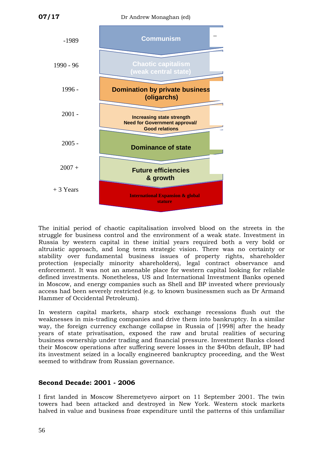

The initial period of chaotic capitalisation involved blood on the streets in the struggle for business control and the environment of a weak state. Investment in Russia by western capital in these initial years required both a very bold or altruistic approach, and long term strategic vision. There was no certainty or stability over fundamental business issues of property rights, shareholder protection (especially minority shareholders), legal contract observance and enforcement. It was not an amenable place for western capital looking for reliable defined investments. Nonetheless, US and International Investment Banks opened in Moscow, and energy companies such as Shell and BP invested where previously access had been severely restricted (e.g. to known businessmen such as Dr Armand Hammer of Occidental Petroleum).

In western capital markets, sharp stock exchange recessions flush out the weaknesses in mis-trading companies and drive them into bankruptcy. In a similar way, the foreign currency exchange collapse in Russia of [1998] after the heady years of state privatisation, exposed the raw and brutal realities of securing business ownership under trading and financial pressure. Investment Banks closed their Moscow operations after suffering severe losses in the \$40bn default, BP had its investment seized in a locally engineered bankruptcy proceeding, and the West seemed to withdraw from Russian governance.

#### **Second Decade: 2001 - 2006**

I first landed in Moscow Sheremetyevo airport on 11 September 2001. The twin towers had been attacked and destroyed in New York. Western stock markets halved in value and business froze expenditure until the patterns of this unfamiliar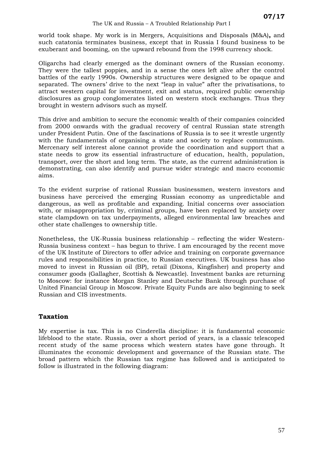world took shape. My work is in Mergers, Acquisitions and Disposals (M&A)**,** and such catatonia terminates business, except that in Russia I found business to be exuberant and booming, on the upward rebound from the 1998 currency shock.

Oligarchs had clearly emerged as the dominant owners of the Russian economy. They were the tallest poppies, and in a sense the ones left alive after the control battles of the early 1990s. Ownership structures were designed to be opaque and separated. The owners' drive to the next "leap in value" after the privatisations, to attract western capital for investment, exit and status, required public ownership disclosures as group conglomerates listed on western stock exchanges. Thus they brought in western advisors such as myself.

This drive and ambition to secure the economic wealth of their companies coincided from 2000 onwards with the gradual recovery of central Russian state strength under President Putin. One of the fascinations of Russia is to see it wrestle urgently with the fundamentals of organising a state and society to replace communism. Mercenary self interest alone cannot provide the coordination and support that a state needs to grow its essential infrastructure of education, health, population, transport, over the short and long term. The state, as the current administration is demonstrating, can also identify and pursue wider strategic and macro economic aims.

To the evident surprise of rational Russian businessmen, western investors and business have perceived the emerging Russian economy as unpredictable and dangerous, as well as profitable and expanding. Initial concerns over association with, or misappropriation by, criminal groups, have been replaced by anxiety over state clampdown on tax underpayments, alleged environmental law breaches and other state challenges to ownership title.

Nonetheless, the UK-Russia business relationship – reflecting the wider Western-Russia business context – has begun to thrive. I am encouraged by the recent move of the UK Institute of Directors to offer advice and training on corporate governance rules and responsibilities in practice, to Russian executives. UK business has also moved to invest in Russian oil (BP), retail (Dixons, Kingfisher) and property and consumer goods (Gallagher, Scottish & Newcastle). Investment banks are returning to Moscow: for instance Morgan Stanley and Deutsche Bank through purchase of United Financial Group in Moscow. Private Equity Funds are also beginning to seek Russian and CIS investments.

#### **Taxation**

My expertise is tax. This is no Cinderella discipline: it is fundamental economic lifeblood to the state. Russia, over a short period of years, is a classic telescoped recent study of the same process which western states have gone through. It illuminates the economic development and governance of the Russian state. The broad pattern which the Russian tax regime has followed and is anticipated to follow is illustrated in the following diagram: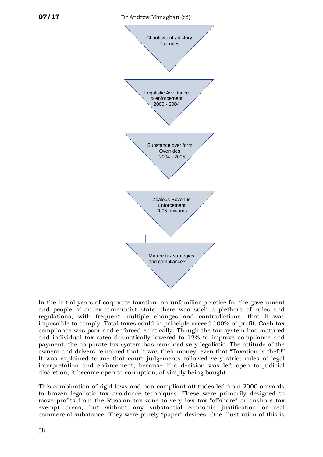

In the initial years of corporate taxation, an unfamiliar practice for the government and people of an ex-communist state, there was such a plethora of rules and regulations, with frequent multiple changes and contradictions, that it was impossible to comply. Total taxes could in principle exceed 100% of profit. Cash tax compliance was poor and enforced erratically. Though the tax system has matured and individual tax rates dramatically lowered to 12% to improve compliance and payment, the corporate tax system has remained very legalistic. The attitude of the owners and drivers remained that it was their money, even that "Taxation is theft!" It was explained to me that court judgements followed very strict rules of legal interpretation and enforcement, because if a decision was left open to judicial discretion, it became open to corruption, of simply being bought.

commercial substance. They were purely "paper" devices. One illustration of this is This combination of rigid laws and non-compliant attitudes led from 2000 onwards to brazen legalistic tax avoidance techniques. These were primarily designed to move profits from the Russian tax zone to very low tax "offshore" or onshore tax exempt areas, but without any substantial economic justification or real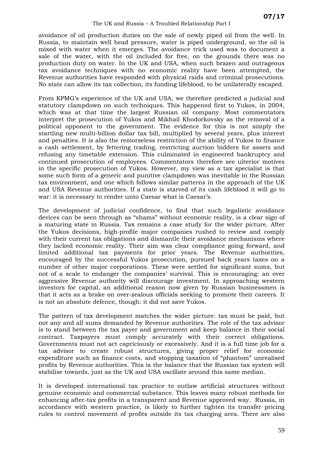avoidance of oil production duties on the sale of newly piped oil from the well. In Russia, to maintain well head pressure, water is piped underground, so the oil is mixed with water when it emerges. The avoidance trick used was to document a sale of the water, with the oil included for free, on the grounds there was no production duty on water. In the UK and USA, when such brazen and outrageous tax avoidance techniques with no economic reality have been attempted, the Revenue authorities have responded with physical raids and criminal prosecutions. No state can allow its tax collection, its funding lifeblood, to be unilaterally escaped.

From KPMG's experience of the UK and USA, we therefore predicted a judicial and statutory clampdown on such techniques. This happened first to Yukos, in 2004, which was at that time the largest Russian oil company. Most commentators interpret the prosecution of Yukos and Mikhail Khodorkovsky as the removal of a political opponent to the government. The evidence for this is not simply the startling new multi-billion dollar tax bill, multiplied by several years, plus interest and penalties. It is also the remorseless restriction of the ability of Yukos to finance a cash settlement, by fettering trading, restricting auction bidders for assets and refusing any timetable extension. This culminated in engineered bankruptcy and continued prosecution of employees. Commentators therefore see ulterior motives in the specific prosecution of Yukos. However, my view as a tax specialist is that some such form of a generic and punitive clampdown was inevitable in the Russian tax environment, and one which follows similar patterns in the approach of the UK and USA Revenue authorities. If a state is starved of its cash lifeblood it will go to war: it is necessary to render unto Caesar what is Caesar's.

The development of judicial confidence, to find that such legalistic avoidance devices can be seen through as "shams" without economic reality, is a clear sign of a maturing state in Russia. Tax remains a case study for the wider picture. After the Yukos decisions, high-profile major companies rushed to review and comply with their current tax obligations and dismantle their avoidance mechanisms where they lacked economic reality. Their aim was clear compliance going forward, and limited additional tax payments for prior years. The Revenue authorities, encouraged by the successful Yukos prosecution, pursued back years taxes on a number of other major corporations. These were settled for significant sums, but not of a scale to endanger the companies' survival. This is encouraging: an over aggressive Revenue authority will discourage investment. In approaching western investors for capital, an additional reason now given by Russian businessmen is that it acts as a brake on over-zealous officials seeking to promote their careers. It is not an absolute defence, though: it did not save Yukos.

The pattern of tax development matches the wider picture: tax must be paid, but not any and all sums demanded by Revenue authorities. The role of the tax advisor is to stand between the tax payer and government and keep balance in their social contract. Taxpayers must comply accurately with their correct obligations. Governments must not act capriciously or excessively. And it is a full time job for a tax advisor to create robust structures, giving proper relief for economic expenditure such as finance costs, and stopping taxation of "phantom" unrealised profits by Revenue authorities. This is the balance that the Russian tax system will stabilise towards, just as the UK and USA oscillate around this same median.

It is developed international tax practice to outlaw artificial structures without genuine economic and commercial substance. This leaves many robust methods for enhancing after-tax profits in a transparent and Revenue approved way. Russia, in accordance with western practice, is likely to further tighten its transfer pricing rules to control movement of profits outside its tax charging area. There are also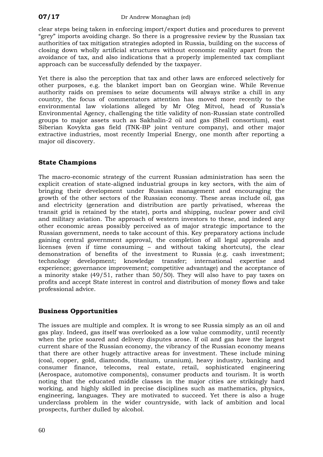clear steps being taken in enforcing import/export duties and procedures to prevent "grey" imports avoiding charge. So there is a progressive review by the Russian tax authorities of tax mitigation strategies adopted in Russia, building on the success of closing down wholly artificial structures without economic reality apart from the avoidance of tax, and also indications that a properly implemented tax compliant approach can be successfully defended by the taxpayer.

Yet there is also the perception that tax and other laws are enforced selectively for other purposes, e.g. the blanket import ban on Georgian wine. While Revenue authority raids on premises to seize documents will always strike a chill in any country, the focus of commentators attention has moved more recently to the environmental law violations alleged by Mr Oleg Mitvol, head of Russia's Environmental Agency, challenging the title validity of non-Russian state controlled groups to major assets such as Sakhalin-2 oil and gas (Shell consortium), east Siberian Kovykta gas field (TNK-BP joint venture company), and other major extractive industries, most recently Imperial Energy, one month after reporting a major oil discovery.

#### **tate Champions S**

The macro-economic strategy of the current Russian administration has seen the explicit creation of state-aligned industrial groups in key sectors, with the aim of bringing their development under Russian management and encouraging the growth of the other sectors of the Russian economy. These areas include oil, gas and electricity (generation and distribution are partly privatised, whereas the transit grid is retained by the state), ports and shipping, nuclear power and civil and military aviation. The approach of western investors to these, and indeed any other economic areas possibly perceived as of major strategic importance to the Russian government, needs to take account of this. Key preparatory actions include gaining central government approval, the completion of all legal approvals and licenses (even if time consuming – and without taking shortcuts), the clear demonstration of benefits of the investment to Russia (e.g. cash investment; technology development; knowledge transfer; international expertise and experience; governance improvement; competitive advantage) and the acceptance of a minority stake (49/51, rather than 50/50). They will also have to pay taxes on profits and accept State interest in control and distribution of money flows and take professional advice.

#### **usiness Opportunities B**

The issues are multiple and complex. It is wrong to see Russia simply as an oil and prospects, further dulled by alcohol. gas play. Indeed, gas itself was overlooked as a low value commodity, until recently when the price soared and delivery disputes arose. If oil and gas have the largest current share of the Russian economy, the vibrancy of the Russian economy means that there are other hugely attractive areas for investment. These include mining (coal, copper, gold, diamonds, titanium, uranium), heavy industry, banking and consumer finance, telecoms, real estate, retail, sophisticated engineering (Aerospace, automotive components), consumer products and tourism. It is worth noting that the educated middle classes in the major cities are strikingly hard working, and highly skilled in precise disciplines such as mathematics, physics, engineering, languages. They are motivated to succeed. Yet there is also a huge underclass problem in the wider countryside, with lack of ambition and local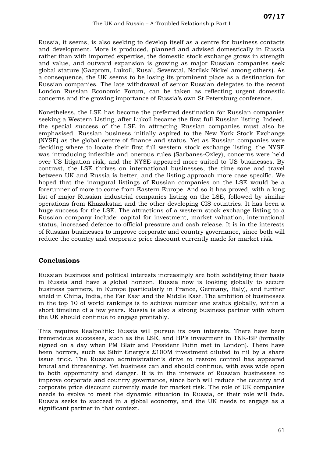Russia, it seems, is also seeking to develop itself as a centre for business contacts and development. More is produced, planned and advised domestically in Russia rather than with imported expertise, the domestic stock exchange grows in strength and value, and outward expansion is growing as major Russian companies seek global stature (Gazprom, Lukoil, Rusal, Severstal, Norilsk Nickel among others). As a consequence, the UK seems to be losing its prominent place as a destination for Russian companies. The late withdrawal of senior Russian delegates to the recent London Russian Economic Forum, can be taken as reflecting urgent domestic concerns and the growing importance of Russia's own St Petersburg conference.

Nonetheless, the LSE has become the preferred destination for Russian companies seeking a Western Listing, after Lukoil became the first full Russian listing. Indeed, the special success of the LSE in attracting Russian companies must also be emphasised. Russian business initially aspired to the New York Stock Exchange (NYSE) as the global centre of finance and status. Yet as Russian companies were deciding where to locate their first full western stock exchange listing, the NYSE was introducing inflexible and onerous rules (Sarbanes-Oxley), concerns were held over US litigation risk, and the NYSE appeared more suited to US businesses. By contrast, the LSE thrives on international businesses, the time zone and travel between UK and Russia is better, and the listing approach more case specific. We hoped that the inaugural listings of Russian companies on the LSE would be a forerunner of more to come from Eastern Europe. And so it has proved, with a long list of major Russian industrial companies listing on the LSE, followed by similar operations from Khazakstan and the other developing CIS countries. It has been a huge success for the LSE. The attractions of a western stock exchange listing to a Russian company include: capital for investment, market valuation, international status, increased defence to official pressure and cash release. It is in the interests of Russian businesses to improve corporate and country governance, since both will reduce the country and corporate price discount currently made for market risk.

#### **onclusions C**

Russian business and political interests increasingly are both solidifying their basis Russia and have a global horizon. Russia now is looking globally to secure in business partners, in Europe (particularly in France, Germany, Italy), and further afield in China, India, the Far East and the Middle East. The ambition of businesses in the top 10 of world rankings is to achieve number one status globally, within a short timeline of a few years. Russia is also a strong business partner with whom the UK should continue to engage profitably.

This requires Realpolitik: Russia will pursue its own interests. There have been tremendous successes, such as the LSE, and BP's investment in TNK-BP (formally signed on a day when PM Blair and President Putin met in London). There have been horrors, such as Sibir Energy's £100M investment diluted to nil by a share issue trick. The Russian administration's drive to restore control has appeared brutal and threatening. Yet business can and should continue, with eyes wide open to both opportunity and danger. It is in the interests of Russian businesses to improve corporate and country governance, since both will reduce the country and corporate price discount currently made for market risk. The role of UK companies needs to evolve to meet the dynamic situation in Russia, or their role will fade. Russia seeks to succeed in a global economy, and the UK needs to engage as a significant partner in that context.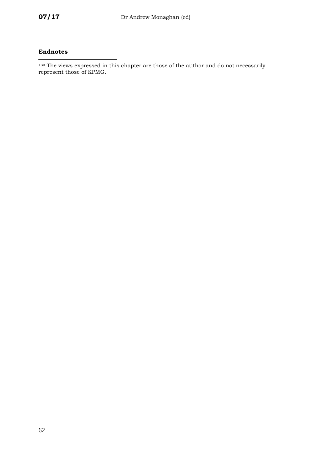#### <span id="page-65-0"></span>**Endnotes**

<span id="page-65-1"></span> $130$  The views expressed in this chapter are those of the author and do not necessarily represent those of KPMG.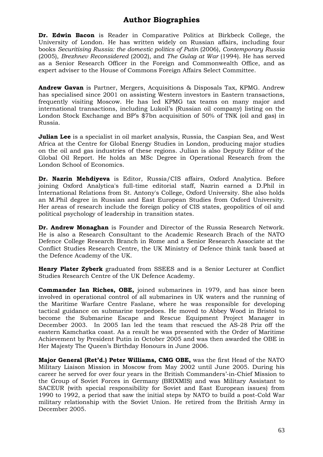#### **Author Biographies**

**Dr. Edwin Bacon** is Reader in Comparative Politics at Birkbeck College, the University of London. He has written widely on Russian affairs, including four books *Securitising Russia: the domestic politics of Putin* (2006), *Contemporary Russia* (2005), *Brezhnev Reconsidered* (2002), and *The Gulag at War* (1994). He has served as a Senior Research Officer in the Foreign and Commonwealth Office, and as expert adviser to the House of Commons Foreign Affairs Select Committee.

**Andrew Gavan** is Partner, Mergers, Acquisitions & Disposals Tax, KPMG. Andrew has specialised since 2001 on assisting Western investors in Eastern transactions, frequently visiting Moscow. He has led KPMG tax teams on many major and international transactions, including Lukoil's (Russian oil company) listing on the London Stock Exchange and BP's \$7bn acquisition of 50% of TNK (oil and gas) in Russia.

**Julian Lee** is a specialist in oil market analysis, Russia, the Caspian Sea, and West Africa at the Centre for Global Energy Studies in London, producing major studies on the oil and gas industries of these regions. Julian is also Deputy Editor of the Global Oil Report. He holds an MSc Degree in Operational Research from the London School of Economics.

**Dr. Nazrin Mehdiyeva** is Editor, Russia/CIS affairs, Oxford Analytica. Before joining Oxford Analytica's full-time editorial staff, Nazrin earned a D.Phil in International Relations from St. Antony's College, Oxford University. She also holds an M.Phil degree in Russian and East European Studies from Oxford University. Her areas of research include the foreign policy of CIS states, geopolitics of oil and political psychology of leadership in transition states.

**Dr. Andrew Monaghan** is Founder and Director of the Russia Research Network. He is also a Research Consultant to the Academic Research Brach of the NATO Defence College Research Branch in Rome and a Senior Research Associate at the Conflict Studies Research Centre, the UK Ministry of Defence think tank based at the Defence Academy of the UK.

**Henry Plater Zyberk** graduated from SSEES and is a Senior Lecturer at Conflict Studies Research Centre of the UK Defence Academy.

**Commander Ian Riches, OBE,** joined submarines in 1979, and has since been involved in operational control of all submarines in UK waters and the running of the Maritime Warfare Centre Faslane, where he was responsible for developing tactical guidance on submarine torpedoes. He moved to Abbey Wood in Bristol to become the Submarine Escape and Rescue Equipment Project Manager in December 2003. In 2005 Ian led the team that rescued the AS-28 Priz off the eastern Kamchatka coast. As a result he was presented with the Order of Maritime Achievement by President Putin in October 2005 and was then awarded the OBE in Her Majesty The Queen's Birthday Honours in June 2006.

**Major General (Ret'd.) Peter Williams, CMG OBE,** was the first Head of the NATO Military Liaison Mission in Moscow from May 2002 until June 2005. During his career he served for over four years in the British Commanders'-in-Chief Mission to the Group of Soviet Forces in Germany (BRIXMIS) and was Military Assistant to SACEUR (with special responsibility for Soviet and East European issues) from 1990 to 1992, a period that saw the initial steps by NATO to build a post-Cold War military relationship with the Soviet Union. He retired from the British Army in December 2005.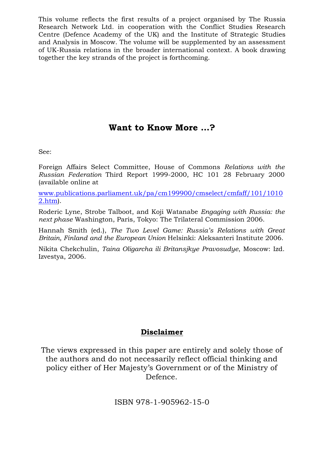This volume reflects the first results of a project organised by The Russia Research Network Ltd. in cooperation with the Conflict Studies Research Centre (Defence Academy of the UK) and the Institute of Strategic Studies and Analysis in Moscow. The volume will be supplemented by an assessment of UK-Russia relations in the broader international context. A book drawing together the key strands of the project is forthcoming.

# **Want to Know More …?**

See:

Foreign Affairs Select Committee, House of Commons *Relations with the Russian Federation* Third Report 1999-2000, HC 101 28 February 2000 (available online at

[www.publications.parliament.uk/pa/cm199900/cmselect/cmfaff/101/1010](http://www.publications.parliament.uk/pa/cm199900/cmselect/cmfaff/101/10102.htm) [2.htm\)](http://www.publications.parliament.uk/pa/cm199900/cmselect/cmfaff/101/10102.htm).

Roderic Lyne, Strobe Talboot, and Koji Watanabe *Engaging with Russia: the next phase* Washington, Paris, Tokyo: The Trilateral Commission 2006.

Hannah Smith (ed.), *The Two Level Game: Russia's Relations with Great Britain, Finland and the European Union* Helsinki: Aleksanteri Institute 2006.

Nikita Chekchulin, *Taina Oligarcha ili Britansjkye Pravosudye*, Moscow: Izd. Izvestya, 2006.

# **Disclaimer**

The views expressed in this paper are entirely and solely those of the authors and do not necessarily reflect official thinking and policy either of Her Majesty's Government or of the Ministry of Defence.

ISBN 978-1-905962-15-0